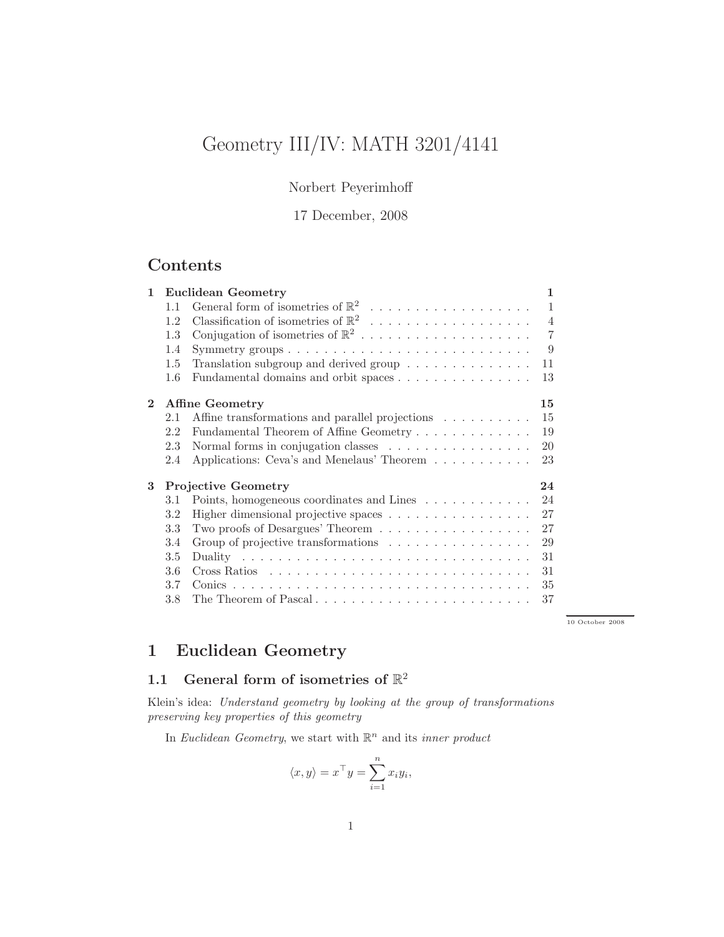# Geometry III/IV: MATH 3201/4141

### Norbert Peyerimhoff

17 December, 2008

# Contents

| $\mathbf{1}$   | Euclidean Geometry               |                                                                          | 1            |
|----------------|----------------------------------|--------------------------------------------------------------------------|--------------|
|                | 1.1                              |                                                                          | $\mathbf{1}$ |
|                | 1.2                              |                                                                          | 4            |
|                | 1.3                              | Conjugation of isometries of $\mathbb{R}^2$                              | 7            |
|                | 1.4                              |                                                                          | 9            |
|                | $1.5\,$                          | Translation subgroup and derived group $\ldots \ldots \ldots \ldots$     | 11           |
|                | $1.6\,$                          | Fundamental domains and orbit spaces                                     | 13           |
| $\overline{2}$ | <b>Affine Geometry</b>           |                                                                          | 15           |
|                | 2.1                              | Affine transformations and parallel projections                          | 15           |
|                | 2.2                              | Fundamental Theorem of Affine Geometry                                   | 19           |
|                | 2.3                              | Normal forms in conjugation classes $\ldots \ldots \ldots \ldots \ldots$ | 20           |
|                | 2.4                              | Applications: Ceva's and Menelaus' Theorem                               | 23           |
| 3              | <b>Projective Geometry</b><br>24 |                                                                          |              |
|                | 3.1                              | Points, homogeneous coordinates and Lines                                | 24           |
|                | 3.2                              | Higher dimensional projective spaces                                     | 27           |
|                | 3.3                              | Two proofs of Desargues' Theorem                                         | 27           |
|                | 3.4                              | Group of projective transformations                                      | 29           |
|                | 3.5                              |                                                                          | 31           |
|                | 3.6                              |                                                                          | 31           |
|                | 3.7                              |                                                                          | 35           |
|                | 3.8                              | The Theorem of Pascal                                                    | 37           |

← → 10 October 2008

# 1 Euclidean Geometry

# 1.1 General form of isometries of  $\mathbb{R}^2$

Klein's idea: *Understand geometry by looking at the group of transformations preserving key properties of this geometry*

In *Euclidean Geometry*, we start with  $\mathbb{R}^n$  and its *inner product* 

$$
\langle x, y \rangle = x^{\top} y = \sum_{i=1}^{n} x_i y_i,
$$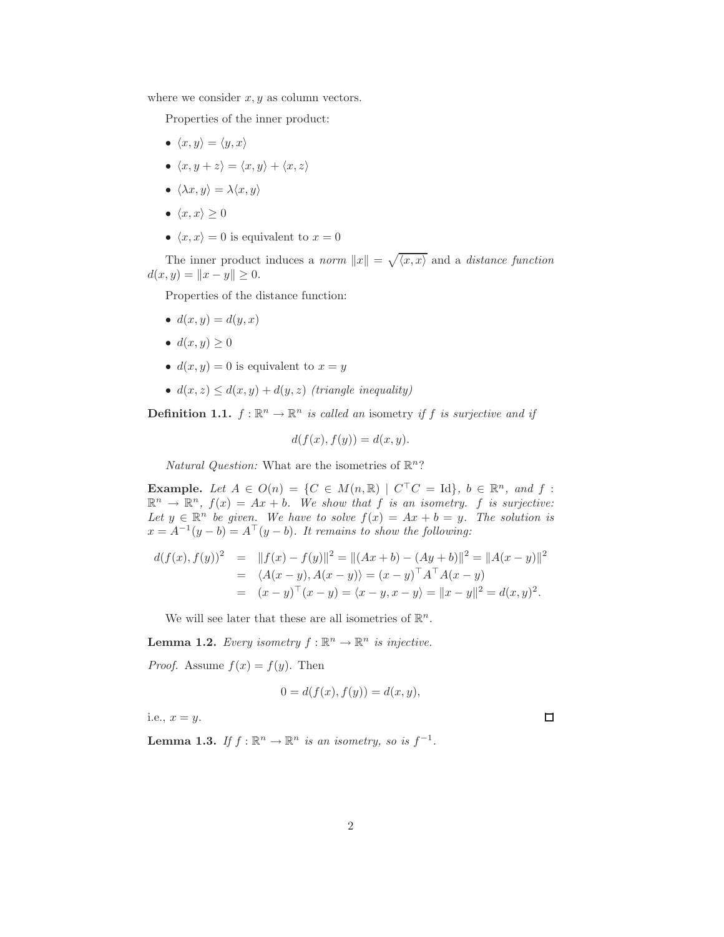where we consider  $x, y$  as column vectors.

Properties of the inner product:

- $\langle x, y \rangle = \langle y, x \rangle$
- $\langle x, y + z \rangle = \langle x, y \rangle + \langle x, z \rangle$
- $\langle \lambda x, y \rangle = \lambda \langle x, y \rangle$
- $\langle x, x \rangle \geq 0$
- $\langle x, x \rangle = 0$  is equivalent to  $x = 0$

The inner product induces a *norm*  $||x|| = \sqrt{\langle x, x \rangle}$  and a *distance function*  $d(x, y) = ||x - y|| \ge 0.$ 

Properties of the distance function:

- $d(x, y) = d(y, x)$
- $d(x, y) \geq 0$
- $d(x, y) = 0$  is equivalent to  $x = y$
- $d(x, z) \leq d(x, y) + d(y, z)$  *(triangle inequality)*

**Definition 1.1.**  $f: \mathbb{R}^n \to \mathbb{R}^n$  *is called an* isometry *if*  $f$  *is surjective and if* 

$$
d(f(x), f(y)) = d(x, y).
$$

*Natural Question:* What are the isometries of  $\mathbb{R}^n$ ?

**Example.** Let  $A \in O(n) = \{C \in M(n, \mathbb{R}) \mid C^{\top}C = \text{Id}\}, b \in \mathbb{R}^n, and f$ :  $\mathbb{R}^n \to \mathbb{R}^n$ ,  $f(x) = Ax + b$ . We show that f is an isometry. f is surjective: Let  $y \in \mathbb{R}^n$  be given. We have to solve  $f(x) = Ax + b = y$ . The solution is  $x = A^{-1}(y - b) = A^{\top}(y - b)$ . It remains to show the following:

$$
d(f(x), f(y))^2 = ||f(x) - f(y)||^2 = ||(Ax + b) - (Ay + b)||^2 = ||A(x - y)||^2
$$
  
=  $\langle A(x - y), A(x - y) \rangle = (x - y)^{\top} A^{\top} A(x - y)$   
=  $(x - y)^{\top} (x - y) = \langle x - y, x - y \rangle = ||x - y||^2 = d(x, y)^2$ .

We will see later that these are all isometries of  $\mathbb{R}^n$ .

**Lemma 1.2.** *Every isometry*  $f : \mathbb{R}^n \to \mathbb{R}^n$  *is injective.* 

*Proof.* Assume  $f(x) = f(y)$ . Then

$$
0 = d(f(x), f(y)) = d(x, y),
$$

i.e.,  $x = y$ .

**Lemma 1.3.** If  $f : \mathbb{R}^n \to \mathbb{R}^n$  is an isometry, so is  $f^{-1}$ .

 $\Box$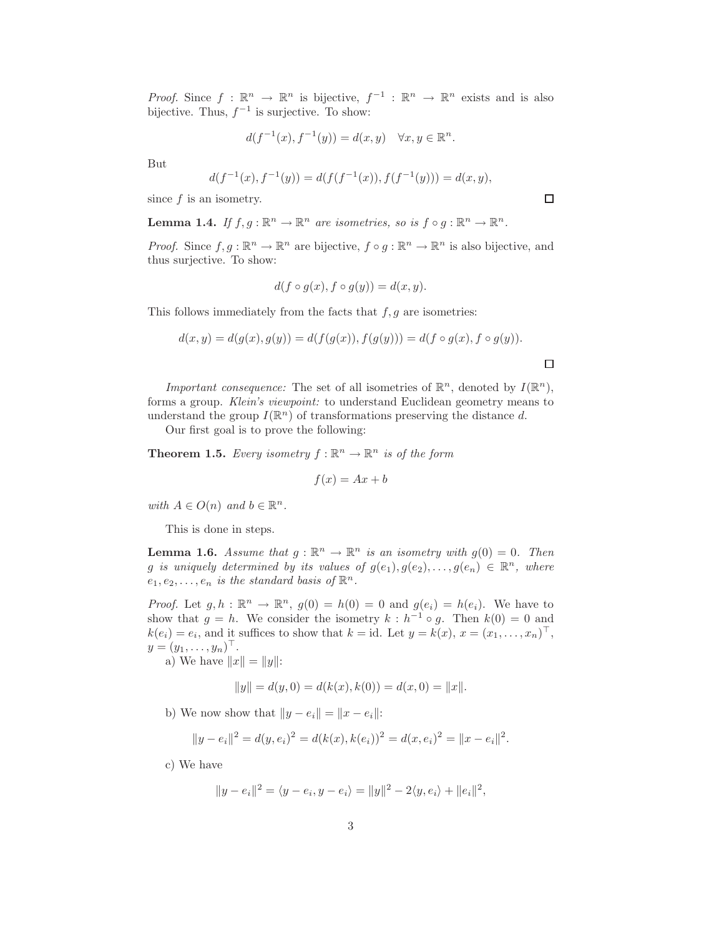*Proof.* Since  $f : \mathbb{R}^n \to \mathbb{R}^n$  is bijective,  $f^{-1} : \mathbb{R}^n \to \mathbb{R}^n$  exists and is also bijective. Thus,  $f^{-1}$  is surjective. To show:

$$
d(f^{-1}(x), f^{-1}(y)) = d(x, y) \quad \forall x, y \in \mathbb{R}^n.
$$

But

$$
d(f^{-1}(x), f^{-1}(y)) = d(f(f^{-1}(x)), f(f^{-1}(y))) = d(x, y),
$$

since  $f$  is an isometry.

**Lemma 1.4.** If  $f, g : \mathbb{R}^n \to \mathbb{R}^n$  are isometries, so is  $f \circ g : \mathbb{R}^n \to \mathbb{R}^n$ .

*Proof.* Since  $f, g : \mathbb{R}^n \to \mathbb{R}^n$  are bijective,  $f \circ g : \mathbb{R}^n \to \mathbb{R}^n$  is also bijective, and thus surjective. To show:

$$
d(f \circ g(x), f \circ g(y)) = d(x, y).
$$

This follows immediately from the facts that  $f, g$  are isometries:

$$
d(x, y) = d(g(x), g(y)) = d(f(g(x)), f(g(y))) = d(f \circ g(x), f \circ g(y)).
$$

*Important consequence:* The set of all isometries of  $\mathbb{R}^n$ , denoted by  $I(\mathbb{R}^n)$ , forms a group. *Klein's viewpoint:* to understand Euclidean geometry means to understand the group  $I(\mathbb{R}^n)$  of transformations preserving the distance d.

Our first goal is to prove the following:

**Theorem 1.5.** Every isometry  $f : \mathbb{R}^n \to \mathbb{R}^n$  is of the form

$$
f(x) = Ax + b
$$

*with*  $A \in O(n)$  *and*  $b \in \mathbb{R}^n$ *.* 

This is done in steps.

**Lemma 1.6.** Assume that  $g : \mathbb{R}^n \to \mathbb{R}^n$  is an isometry with  $g(0) = 0$ . Then g is uniquely determined by its values of  $g(e_1), g(e_2), \ldots, g(e_n) \in \mathbb{R}^n$ , where  $e_1, e_2, \ldots, e_n$  *is the standard basis of*  $\mathbb{R}^n$ .

*Proof.* Let  $g, h : \mathbb{R}^n \to \mathbb{R}^n$ ,  $g(0) = h(0) = 0$  and  $g(e_i) = h(e_i)$ . We have to show that  $g = h$ . We consider the isometry  $k : h^{-1} \circ g$ . Then  $k(0) = 0$  and  $k(e_i) = e_i$ , and it suffices to show that  $k = id$ . Let  $y = k(x), x = (x_1, \ldots, x_n)^\top$ ,  $y = (y_1, ..., y_n)^{\top}$ .

a) We have  $||x|| = ||y||$ :

$$
||y|| = d(y,0) = d(k(x),k(0)) = d(x,0) = ||x||.
$$

b) We now show that  $||y - e_i|| = ||x - e_i||$ :

$$
||y - e_i||^2 = d(y, e_i)^2 = d(k(x), k(e_i))^2 = d(x, e_i)^2 = ||x - e_i||^2.
$$

c) We have

$$
||y - e_i||^2 = \langle y - e_i, y - e_i \rangle = ||y||^2 - 2\langle y, e_i \rangle + ||e_i||^2,
$$

 $\Box$ 

 $\Box$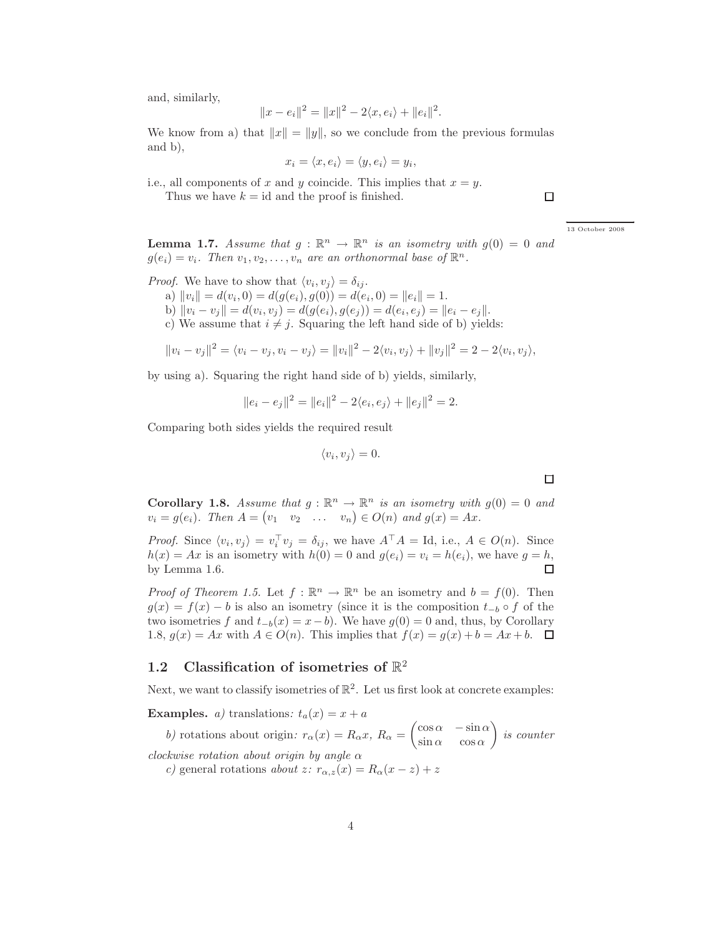and, similarly,

$$
||x - e_i||^2 = ||x||^2 - 2\langle x, e_i \rangle + ||e_i||^2
$$

.

We know from a) that  $||x|| = ||y||$ , so we conclude from the previous formulas and b),

$$
x_i = \langle x, e_i \rangle = \langle y, e_i \rangle = y_i,
$$

i.e., all components of x and y coincide. This implies that  $x = y$ .

Thus we have  $k = id$  and the proof is finished.

 $\Box$ 

← → 13 October 2008

**Lemma 1.7.** Assume that  $g : \mathbb{R}^n \to \mathbb{R}^n$  is an isometry with  $g(0) = 0$  and  $g(e_i) = v_i$ . Then  $v_1, v_2, \ldots, v_n$  are an orthonormal base of  $\mathbb{R}^n$ .

*Proof.* We have to show that  $\langle v_i, v_j \rangle = \delta_{ij}$ .

- a)  $||v_i|| = d(v_i, 0) = d(g(e_i), g(0)) = d(e_i, 0) = ||e_i|| = 1.$
- b)  $||v_i v_j|| = d(v_i, v_j) = d(g(e_i), g(e_j)) = d(e_i, e_j) = ||e_i e_j||.$
- c) We assume that  $i \neq j$ . Squaring the left hand side of b) yields:

$$
||v_i - v_j||^2 = \langle v_i - v_j, v_i - v_j \rangle = ||v_i||^2 - 2\langle v_i, v_j \rangle + ||v_j||^2 = 2 - 2\langle v_i, v_j \rangle,
$$

by using a). Squaring the right hand side of b) yields, similarly,

$$
||e_i - e_j||^2 = ||e_i||^2 - 2\langle e_i, e_j \rangle + ||e_j||^2 = 2.
$$

Comparing both sides yields the required result

$$
\langle v_i, v_j \rangle = 0.
$$

 $\Box$ 

**Corollary 1.8.** Assume that  $g : \mathbb{R}^n \to \mathbb{R}^n$  is an isometry with  $g(0) = 0$  and  $v_i = g(e_i)$ . Then  $A = \begin{pmatrix} v_1 & v_2 & \dots & v_n \end{pmatrix} \in O(n)$  and  $g(x) = Ax$ .

*Proof.* Since  $\langle v_i, v_j \rangle = v_i^{\top} v_j = \delta_{ij}$ , we have  $A^{\top} A = \text{Id}$ , i.e.,  $A \in O(n)$ . Since  $h(x) = Ax$  is an isometry with  $h(0) = 0$  and  $g(e_i) = v_i = h(e_i)$ , we have  $g = h$ , by Lemma 1.6. by Lemma 1.6.

*Proof of Theorem 1.5.* Let  $f : \mathbb{R}^n \to \mathbb{R}^n$  be an isometry and  $b = f(0)$ . Then  $g(x) = f(x) - b$  is also an isometry (since it is the composition  $t_{-b} \circ f$  of the two isometries f and  $t_{-b}(x) = x - b$ . We have  $g(0) = 0$  and, thus, by Corollary 1.8,  $g(x) = Ax$  with  $A \in O(n)$ . This implies that  $f(x) = g(x) + b = Ax + b$ .  $\Box$ 

# 1.2 Classification of isometries of  $\mathbb{R}^2$

Next, we want to classify isometries of  $\mathbb{R}^2$ . Let us first look at concrete examples:

**Examples.** *a*) translations:  $t_a(x) = x + a$ 

*b*) rotations about origin:  $r_{\alpha}(x) = R_{\alpha}x$ ,  $R_{\alpha} =$  $\int \cos \alpha - \sin \alpha$  $\sin \alpha$  cos  $\alpha$  $\overline{\phantom{0}}$ *is counter*

*clockwise rotation about origin by angle* α

*c)* general rotations *about* z*:*  $r_{\alpha,z}(x) = R_\alpha(x-z) + z$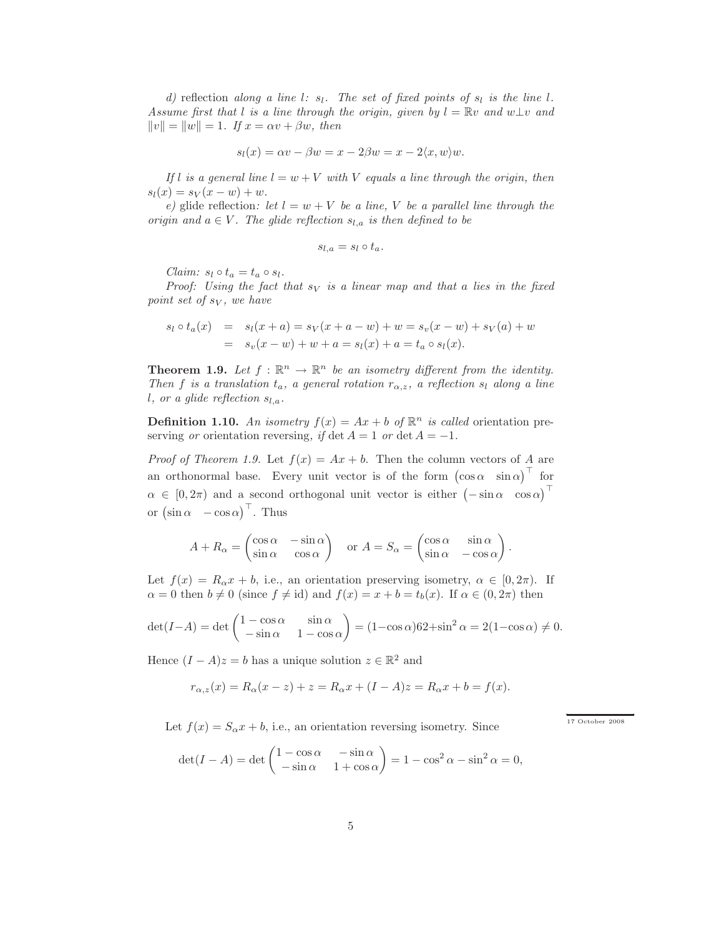*d*) reflection *along a* line *l:*  $s_l$ *. The set of fixed points of*  $s_l$  *is the line l. Assume first that* l *is a line through the origin, given by*  $l = \mathbb{R}v$  *and*  $w \perp v$  *and*  $||v|| = ||w|| = 1$ *. If*  $x = \alpha v + \beta w$ *, then* 

$$
s_l(x) = \alpha v - \beta w = x - 2\beta w = x - 2\langle x, w \rangle w.
$$

*If* l *is a general line*  $l = w + V$  *with* V *equals a line through the origin, then*  $s_l(x) = s_V(x - w) + w.$ 

*e*) glide reflection: let  $l = w + V$  be a line, V be a parallel line through the *origin and*  $a \in V$ *. The glide reflection*  $s_{l,a}$  *is then defined to be* 

$$
s_{l,a} = s_l \circ t_a.
$$

*Claim:*  $s_l \circ t_a = t_a \circ s_l$ .

*Proof:* Using the fact that  $s_V$  is a linear map and that a lies in the fixed *point set of sy, we have* 

$$
s_l \circ t_a(x) = s_l(x+a) = s_V(x+a-w) + w = s_v(x-w) + s_V(a) + w
$$
  
=  $s_v(x-w) + w + a = s_l(x) + a = t_a \circ s_l(x)$ .

**Theorem 1.9.** Let  $f : \mathbb{R}^n \to \mathbb{R}^n$  be an isometry different from the identity. *Then* f *is a translation*  $t_a$ *, a general rotation*  $r_{\alpha,z}$ *, a reflection*  $s_l$  *along a line l*, or a glide reflection  $s_{l,a}$ .

**Definition 1.10.** An isometry  $f(x) = Ax + b$  of  $\mathbb{R}^n$  is called orientation preserving *or* orientation reversing, if det  $A = 1$  *or* det  $A = -1$ .

*Proof of Theorem 1.9.* Let  $f(x) = Ax + b$ . Then the column vectors of A are an orthonormal base. Every unit vector is of the form  $(\cos \alpha \ \sin \alpha)^{\top}$  for  $\alpha \in [0, 2\pi)$  and a second orthogonal unit vector is either  $(-\sin \alpha \cos \alpha)^{\top}$ or  $(\sin \alpha - \cos \alpha)^\top$ . Thus

$$
A + R_{\alpha} = \begin{pmatrix} \cos \alpha & -\sin \alpha \\ \sin \alpha & \cos \alpha \end{pmatrix} \quad \text{or } A = S_{\alpha} = \begin{pmatrix} \cos \alpha & \sin \alpha \\ \sin \alpha & -\cos \alpha \end{pmatrix}.
$$

Let  $f(x) = R_0 x + b$ , i.e., an orientation preserving isometry,  $\alpha \in [0, 2\pi)$ . If  $\alpha = 0$  then  $b \neq 0$  (since  $f \neq id$ ) and  $f(x) = x + b = t_b(x)$ . If  $\alpha \in (0, 2\pi)$  then

$$
\det(I - A) = \det \begin{pmatrix} 1 - \cos \alpha & \sin \alpha \\ -\sin \alpha & 1 - \cos \alpha \end{pmatrix} = (1 - \cos \alpha) 62 + \sin^2 \alpha = 2(1 - \cos \alpha) \neq 0.
$$

Hence  $(I - A)z = b$  has a unique solution  $z \in \mathbb{R}^2$  and

$$
r_{\alpha,z}(x) = R_{\alpha}(x-z) + z = R_{\alpha}x + (I-A)z = R_{\alpha}x + b = f(x).
$$

Let  $f(x) = S_0x + b$ , i.e., an orientation reversing isometry. Since

 $\frac{17 \text{ October} 2008}{ }$ 

$$
\det(I - A) = \det \begin{pmatrix} 1 - \cos \alpha & -\sin \alpha \\ -\sin \alpha & 1 + \cos \alpha \end{pmatrix} = 1 - \cos^2 \alpha - \sin^2 \alpha = 0,
$$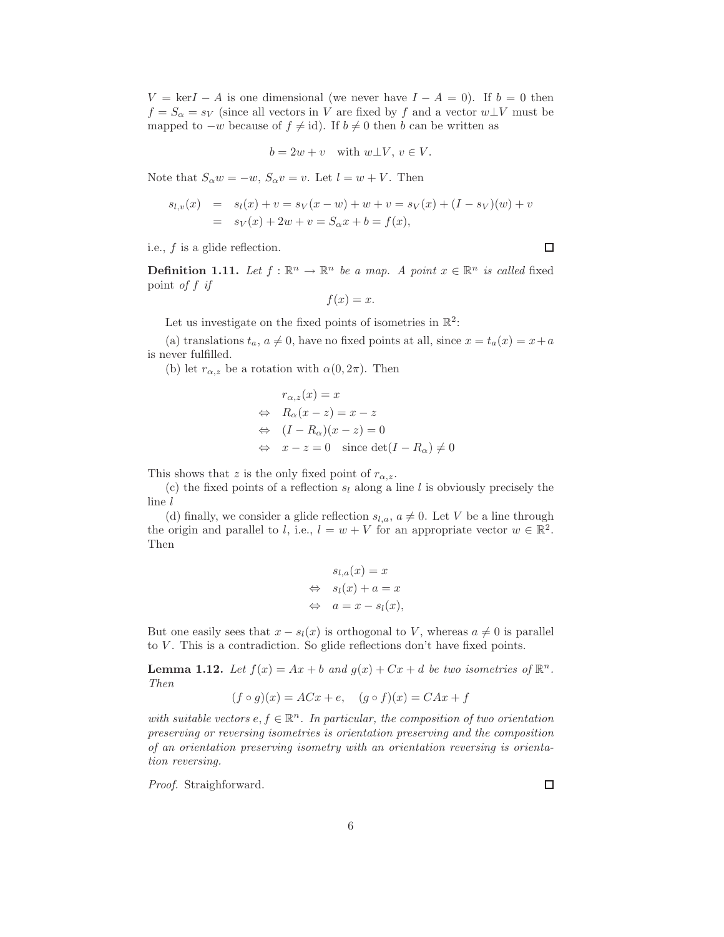$V = \text{ker}I - A$  is one dimensional (we never have  $I - A = 0$ ). If  $b = 0$  then  $f = S_\alpha = s_V$  (since all vectors in V are fixed by f and a vector  $w \perp V$  must be mapped to  $-w$  because of  $f \neq id$ ). If  $b \neq 0$  then b can be written as

$$
b = 2w + v \quad \text{with } w \bot V, \, v \in V.
$$

Note that  $S_\alpha w = -w$ ,  $S_\alpha v = v$ . Let  $l = w + V$ . Then

$$
s_{l,v}(x) = s_l(x) + v = s_V(x - w) + w + v = s_V(x) + (I - s_V)(w) + v
$$
  
=  $s_V(x) + 2w + v = S_\alpha x + b = f(x),$ 

i.e., f is a glide reflection.

**Definition 1.11.** Let  $f : \mathbb{R}^n \to \mathbb{R}^n$  be a map. A point  $x \in \mathbb{R}^n$  is called fixed point *of* f *if*

$$
f(x) = x.
$$

Let us investigate on the fixed points of isometries in  $\mathbb{R}^2$ :

(a) translations  $t_a, a \neq 0$ , have no fixed points at all, since  $x = t_a(x) = x + a$ is never fulfilled.

(b) let  $r_{\alpha,z}$  be a rotation with  $\alpha(0,2\pi)$ . Then

$$
r_{\alpha,z}(x) = x
$$
  
\n
$$
\Leftrightarrow R_{\alpha}(x - z) = x - z
$$
  
\n
$$
\Leftrightarrow (I - R_{\alpha})(x - z) = 0
$$
  
\n
$$
\Leftrightarrow x - z = 0 \text{ since } \det(I - R_{\alpha}) \neq 0
$$

This shows that z is the only fixed point of  $r_{\alpha,z}$ .

(c) the fixed points of a reflection  $s_l$  along a line l is obviously precisely the line l

(d) finally, we consider a glide reflection  $s_{l,a}, a \neq 0$ . Let V be a line through the origin and parallel to l, i.e.,  $l = w + V$  for an appropriate vector  $w \in \mathbb{R}^2$ . Then

$$
s_{l,a}(x) = x
$$
  
\n
$$
\Leftrightarrow s_l(x) + a = x
$$
  
\n
$$
\Leftrightarrow a = x - s_l(x),
$$

But one easily sees that  $x - s<sub>l</sub>(x)$  is orthogonal to V, whereas  $a \neq 0$  is parallel to V. This is a contradiction. So glide reflections don't have fixed points.

**Lemma 1.12.** Let  $f(x) = Ax + b$  and  $g(x) + Cx + d$  be two isometries of  $\mathbb{R}^n$ . *Then*

$$
(f \circ g)(x) = ACx + e, \quad (g \circ f)(x) = CAx + f
$$

with suitable vectors  $e, f \in \mathbb{R}^n$ . In particular, the composition of two orientation *preserving or reversing isometries is orientation preserving and the composition of an orientation preserving isometry with an orientation reversing is orientation reversing.*

*Proof.* Straighforward.

 $\Box$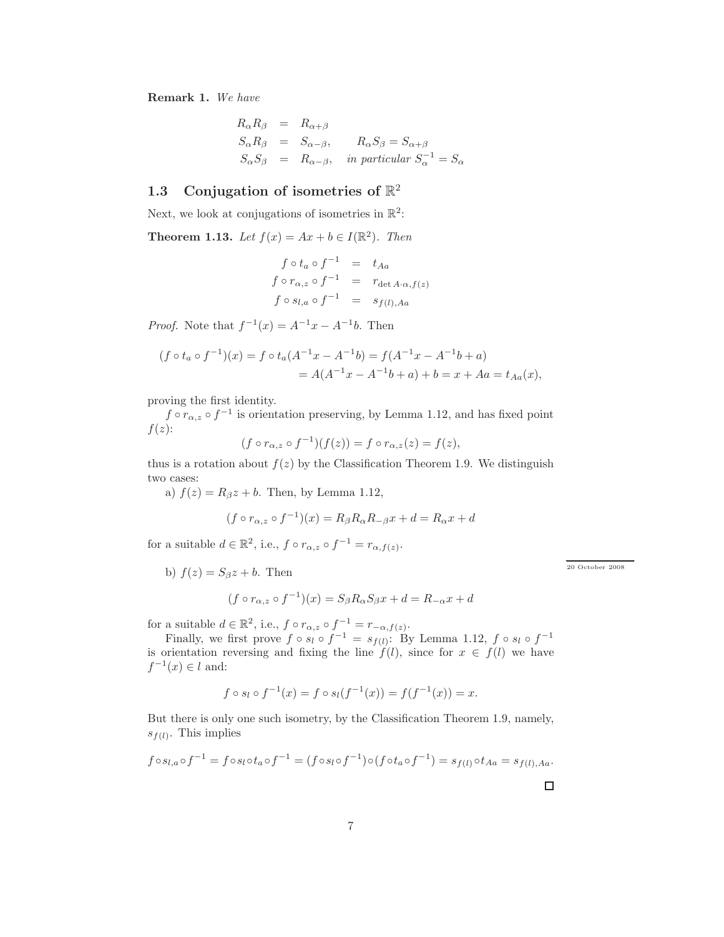Remark 1. *We have*

$$
R_{\alpha}R_{\beta} = R_{\alpha+\beta}
$$
  
\n
$$
S_{\alpha}R_{\beta} = S_{\alpha-\beta}, \qquad R_{\alpha}S_{\beta} = S_{\alpha+\beta}
$$
  
\n
$$
S_{\alpha}S_{\beta} = R_{\alpha-\beta}, \qquad \text{in particular } S_{\alpha}^{-1} = S_{\alpha}
$$

# 1.3 Conjugation of isometries of  $\mathbb{R}^2$

Next, we look at conjugations of isometries in  $\mathbb{R}^2$ :

**Theorem 1.13.** *Let*  $f(x) = Ax + b \in I(\mathbb{R}^2)$ *. Then* 

$$
f \circ t_a \circ f^{-1} = t_{Aa}
$$
  
\n
$$
f \circ r_{\alpha,z} \circ f^{-1} = r_{\det A \cdot \alpha, f(z)}
$$
  
\n
$$
f \circ s_{l,a} \circ f^{-1} = s_{f(l),Aa}
$$

*Proof.* Note that  $f^{-1}(x) = A^{-1}x - A^{-1}b$ . Then

$$
(f \circ t_a \circ f^{-1})(x) = f \circ t_a (A^{-1}x - A^{-1}b) = f(A^{-1}x - A^{-1}b + a)
$$
  
=  $A(A^{-1}x - A^{-1}b + a) + b = x + Aa = t_{Aa}(x),$ 

proving the first identity.

 $f \circ r_{\alpha,z} \circ f^{-1}$  is orientation preserving, by Lemma 1.12, and has fixed point  $f(z)$ :

$$
(f \circ r_{\alpha,z} \circ f^{-1})(f(z)) = f \circ r_{\alpha,z}(z) = f(z),
$$

thus is a rotation about  $f(z)$  by the Classification Theorem 1.9. We distinguish two cases:

a)  $f(z) = R_{\beta}z + b$ . Then, by Lemma 1.12,

$$
(f \circ r_{\alpha,z} \circ f^{-1})(x) = R_{\beta}R_{\alpha}R_{-\beta}x + d = R_{\alpha}x + d
$$

for a suitable  $d \in \mathbb{R}^2$ , i.e.,  $f \circ r_{\alpha,z} \circ f^{-1} = r_{\alpha,f(z)}$ .

b)  $f(z) = S_{\beta}z + b$ . Then

$$
(f \circ r_{\alpha,z} \circ f^{-1})(x) = S_{\beta}R_{\alpha}S_{\beta}x + d = R_{-\alpha}x + d
$$

for a suitable  $d \in \mathbb{R}^2$ , i.e.,  $f \circ r_{\alpha,z} \circ f^{-1} = r_{-\alpha,f(z)}$ .

Finally, we first prove  $f \circ s_l \circ f^{-1} = s_{f(l)}$ : By Lemma 1.12,  $f \circ s_l \circ f^{-1}$ is orientation reversing and fixing the line  $f(l)$ , since for  $x \in f(l)$  we have  $f^{-1}(x) \in l$  and:

$$
f \circ s_l \circ f^{-1}(x) = f \circ s_l(f^{-1}(x)) = f(f^{-1}(x)) = x.
$$

But there is only one such isometry, by the Classification Theorem 1.9, namely,  $s_{f(l)}$ . This implies

$$
f \circ s_{l,a} \circ f^{-1} = f \circ s_l \circ t_a \circ f^{-1} = (f \circ s_l \circ f^{-1}) \circ (f \circ t_a \circ f^{-1}) = s_{f(l)} \circ t_{Aa} = s_{f(l),Aa}.
$$

 $20$  October  $2008$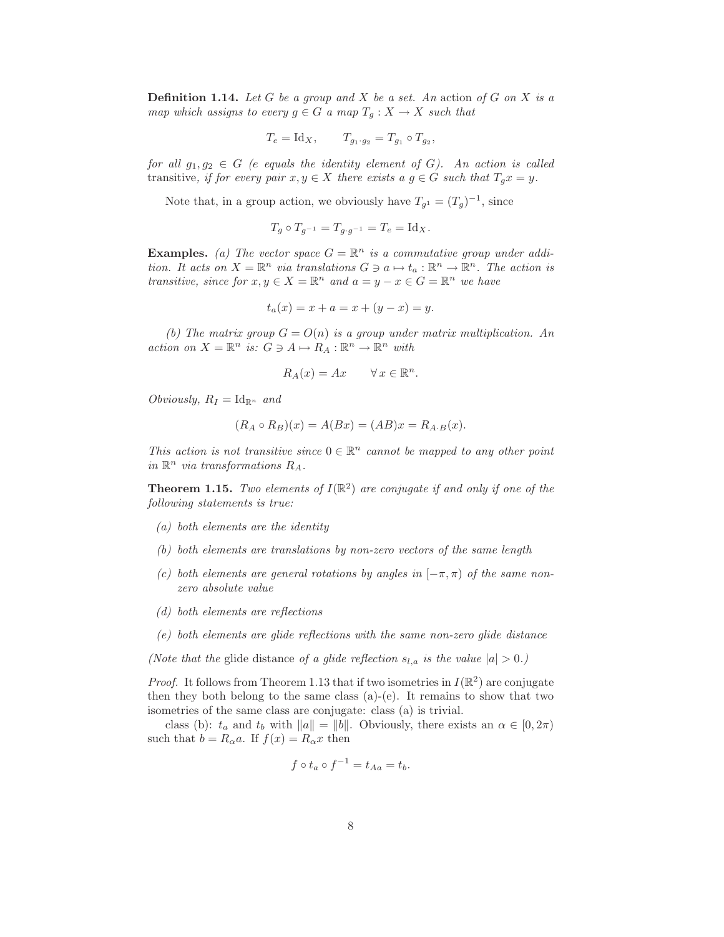Definition 1.14. *Let* G *be a group and* X *be a set. An* action *of* G *on* X *is a map which assigns to every*  $g \in G$  *a map*  $T_g : X \to X$  *such that* 

$$
T_e = \text{Id}_X, \qquad T_{g_1 \cdot g_2} = T_{g_1} \circ T_{g_2},
$$

*for all*  $g_1, g_2 \in G$  *(e equals the identity element of G). An action is called* transitive, if for every pair  $x, y \in X$  there exists a  $g \in G$  such that  $T_g x = y$ .

Note that, in a group action, we obviously have  $T_{g^1} = (T_g)^{-1}$ , since

$$
T_g \circ T_{g^{-1}} = T_{g \cdot g^{-1}} = T_e = \text{Id}_X.
$$

**Examples.** (a) The vector space  $G = \mathbb{R}^n$  is a commutative group under addi*tion.* It acts on  $X = \mathbb{R}^n$  *via translations*  $G \ni a \mapsto t_a : \mathbb{R}^n \to \mathbb{R}^n$ . The action is *transitive, since for*  $x, y \in X = \mathbb{R}^n$  *and*  $a = y - x \in G = \mathbb{R}^n$  *we have* 

$$
t_a(x) = x + a = x + (y - x) = y.
$$

*(b)* The matrix group  $G = O(n)$  is a group under matrix multiplication. An  $action on X = \mathbb{R}^n$  *is:*  $G \ni A \mapsto R_A : \mathbb{R}^n \to \mathbb{R}^n$  *with* 

$$
R_A(x) = Ax \qquad \forall x \in \mathbb{R}^n.
$$

*Obviously,*  $R_I = \text{Id}_{\mathbb{R}^n}$  and

$$
(R_A \circ R_B)(x) = A(Bx) = (AB)x = R_{A \cdot B}(x).
$$

*This action is not transitive since*  $0 \in \mathbb{R}^n$  *cannot be mapped to any other point*  $in \mathbb{R}^n$  *via transformations*  $R_A$ .

**Theorem 1.15.** *Two elements of*  $I(\mathbb{R}^2)$  *are conjugate if and only if one of the following statements is true:*

- *(a) both elements are the identity*
- *(b) both elements are translations by non-zero vectors of the same length*
- *(c) both elements are general rotations by angles in* [−π, π) *of the same nonzero absolute value*
- *(d) both elements are reflections*
- *(e) both elements are glide reflections with the same non-zero glide distance*

*(Note that the* glide distance *of a glide reflection*  $s_{l,a}$  *is the value*  $|a| > 0$ *.)* 

*Proof.* It follows from Theorem 1.13 that if two isometries in  $I(\mathbb{R}^2)$  are conjugate then they both belong to the same class  $(a)-(e)$ . It remains to show that two isometries of the same class are conjugate: class (a) is trivial.

class (b):  $t_a$  and  $t_b$  with  $||a|| = ||b||$ . Obviously, there exists an  $\alpha \in [0, 2\pi)$ such that  $b = R_{\alpha}a$ . If  $f(x) = R_{\alpha}x$  then

$$
f \circ t_a \circ f^{-1} = t_{Aa} = t_b.
$$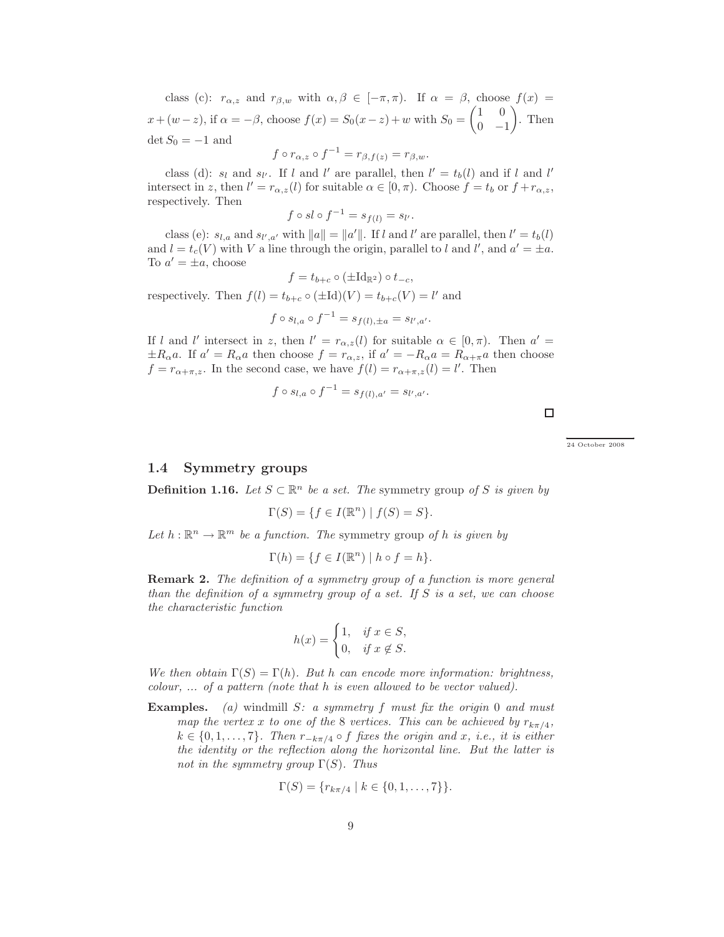class (c):  $r_{\alpha,z}$  and  $r_{\beta,w}$  with  $\alpha,\beta \in [-\pi,\pi)$ . If  $\alpha = \beta$ , choose  $f(x) =$  $x + (w - z)$ , if  $\alpha = -\beta$ , choose  $f(x) = S_0(x - z) + w$  with  $S_0 =$  $(1 \ 0)$  $0 -1$ <sup>1</sup> . Then  $\det S_0 = -1$  and

$$
f \circ r_{\alpha,z} \circ f^{-1} = r_{\beta,f(z)} = r_{\beta,w}.
$$

class (d):  $s_l$  and  $s_{l'}$ . If l and l' are parallel, then  $l' = t_b(l)$  and if l and l' intersect in z, then  $l' = r_{\alpha,z}(l)$  for suitable  $\alpha \in [0, \pi)$ . Choose  $f = t_b$  or  $f + r_{\alpha,z}$ , respectively. Then

$$
f \circ sl \circ f^{-1} = s_{f(l)} = s_{l'}.
$$

class (e):  $s_{l,a}$  and  $s_{l',a'}$  with  $||a|| = ||a'||$ . If l and l' are parallel, then  $l' = t_b(l)$ and  $l = t_c(V)$  with V a line through the origin, parallel to l and l', and  $a' = \pm a$ . To  $a' = \pm a$ , choose

$$
f = t_{b+c} \circ (\pm \mathrm{Id}_{\mathbb{R}^2}) \circ t_{-c},
$$

respectively. Then  $f(l) = t_{b+c} \circ (\pm \mathrm{Id})(V) = t_{b+c}(V) = l'$  and

$$
f \circ s_{l,a} \circ f^{-1} = s_{f(l),\pm a} = s_{l',a'}.
$$

If l and l' intersect in z, then  $l' = r_{\alpha,z}(l)$  for suitable  $\alpha \in [0,\pi)$ . Then  $\alpha' =$  $\pm R_{\alpha}a$ . If  $a' = R_{\alpha}a$  then choose  $f = r_{\alpha,z}$ , if  $a' = -R_{\alpha}a = R_{\alpha+\pi}a$  then choose  $f = r_{\alpha + \pi, z}$ . In the second case, we have  $f(l) = r_{\alpha + \pi, z}(l) = l'$ . Then

$$
f \circ s_{l,a} \circ f^{-1} = s_{f(l),a'} = s_{l',a'}.
$$

 $\Box$ 

### ← → 24 October 2008

#### 1.4 Symmetry groups

**Definition 1.16.** *Let*  $S \subset \mathbb{R}^n$  *be a set. The* symmetry group *of* S *is given by* 

$$
\Gamma(S) = \{ f \in I(\mathbb{R}^n) \mid f(S) = S \}.
$$

Let  $h : \mathbb{R}^n \to \mathbb{R}^m$  *be a function. The* symmetry group *of* h *is given by* 

$$
\Gamma(h) = \{ f \in I(\mathbb{R}^n) \mid h \circ f = h \}.
$$

Remark 2. *The definition of a symmetry group of a function is more general than the definition of a symmetry group of a set. If* S *is a set, we can choose the characteristic function*

$$
h(x) = \begin{cases} 1, & \text{if } x \in S, \\ 0, & \text{if } x \notin S. \end{cases}
$$

*We then obtain*  $\Gamma(S) = \Gamma(h)$ *. But* h *can encode more information: brightness, colour, ... of a pattern (note that* h *is even allowed to be vector valued).*

Examples. *(a)* windmill S*: a symmetry* f *must fix the origin* 0 *and must map the vertex* x *to one of the* 8 *vertices. This can be achieved by*  $r_{k\pi/4}$ ,  $k ∈ {0, 1, ..., 7}$ *. Then*  $r_{-kπ/4} ∘ f$  *fixes the origin and x, i.e., it is either the identity or the reflection along the horizontal line. But the latter is not in the symmetry group* Γ(S)*. Thus*

$$
\Gamma(S) = \{r_{k\pi/4} \mid k \in \{0, 1, \ldots, 7\}\}.
$$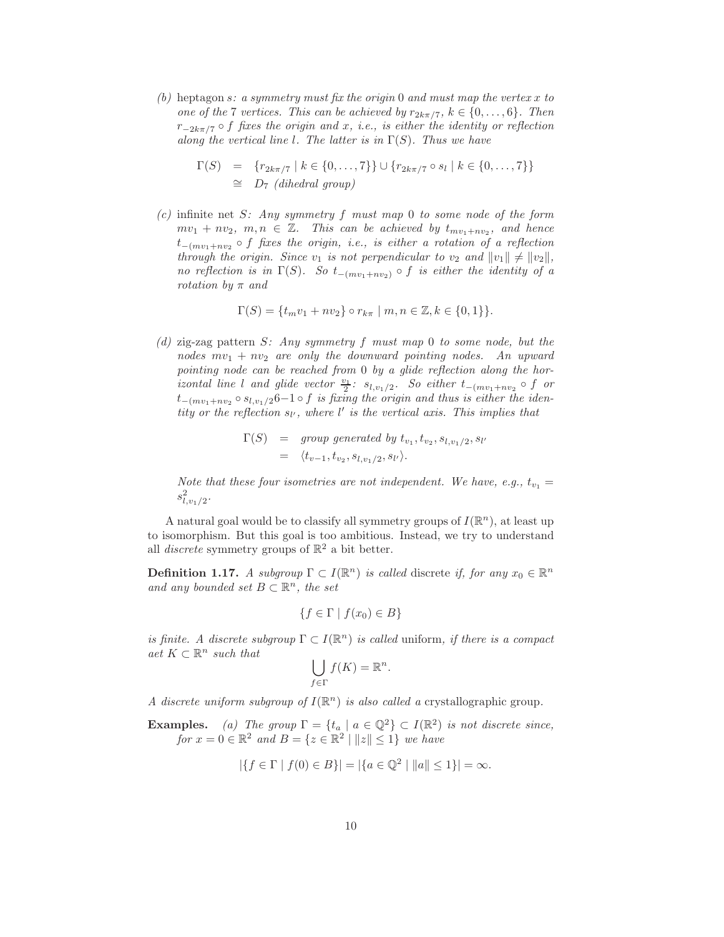*(b)* heptagon s*: a symmetry must fix the origin* 0 *and must map the vertex* x *to one of the* 7 *vertices. This can be achieved by*  $r_{2k\pi/7}$ ,  $k \in \{0, \ldots, 6\}$ *. Then* r−2kπ/<sup>7</sup> ◦ f *fixes the origin and* x*, i.e., is either the identity or reflection along the vertical line* l*. The latter is in* Γ(S)*. Thus we have*

$$
\Gamma(S) = \{r_{2k\pi/7} \mid k \in \{0, ..., 7\}\} \cup \{r_{2k\pi/7} \circ s_l \mid k \in \{0, ..., 7\}\}\
$$
  
\n
$$
\cong D_7 \text{ (dihedral group)}
$$

*(c)* infinite net S*: Any symmetry* f *must map* 0 *to some node of the form*  $mv_1 + nv_2, m, n \in \mathbb{Z}$ . This can be achieved by  $t_{mv_1+nv_2}$ , and hence t−(mv1+nv<sup>2</sup> ◦ f *fixes the origin, i.e., is either a rotation of a reflection through the origin. Since*  $v_1$  *is not perpendicular to*  $v_2$  *and*  $||v_1|| \neq ||v_2||$ *, no reflection is in*  $\Gamma(S)$ *. So*  $t_{-(mv_1+nv_2)} \circ f$  *is either the identity of a rotation by* π *and*

$$
\Gamma(S) = \{ t_m v_1 + n v_2 \} \circ r_{k\pi} \mid m, n \in \mathbb{Z}, k \in \{0, 1\} \}.
$$

*(d)* zig-zag pattern S*: Any symmetry* f *must map* 0 *to some node, but the nodes*  $mv_1 + nv_2$  are only the downward pointing nodes. An upward *pointing node can be reached from* 0 *by a glide reflection along the horizontal line* l *and glide vector*  $\frac{v_1}{2}$ *:*  $s_{l,v_1/2}$ *. So either*  $t_{-(mv_1+nv_2)} \circ f$  *or* t−(mv1+nv<sup>2</sup> ◦ sl,v1/<sup>2</sup>6−1 ◦ f *is fixing the origin and thus is either the iden* $tity$  or the reflection  $s_V$ , where  $l'$  is the vertical axis. This implies that

$$
\Gamma(S) = \text{group generated by } t_{v_1}, t_{v_2}, s_{l, v_1/2}, s_{l'}
$$
\n
$$
= \langle t_{v-1}, t_{v_2}, s_{l, v_1/2}, s_{l'} \rangle.
$$

*Note that these four isometries are not independent. We have, e.g.,*  $t_{v_1} =$  $s_{l,v_1/2}^2$ .

A natural goal would be to classify all symmetry groups of  $I(\mathbb{R}^n)$ , at least up to isomorphism. But this goal is too ambitious. Instead, we try to understand all *discrete* symmetry groups of  $\mathbb{R}^2$  a bit better.

**Definition 1.17.** *A subgroup*  $\Gamma \subset I(\mathbb{R}^n)$  *is called* discrete *if, for any*  $x_0 \in \mathbb{R}^n$ and any bounded set  $B \subset \mathbb{R}^n$ , the set

$$
\{f \in \Gamma \mid f(x_0) \in B\}
$$

*is finite.* A discrete subgroup  $\Gamma \subset I(\mathbb{R}^n)$  *is called* uniform, *if there is a compact*  $\det K \subset \mathbb{R}^n$  such that

$$
\bigcup_{f \in \Gamma} f(K) = \mathbb{R}^n.
$$

*A* discrete uniform subgroup of  $I(\mathbb{R}^n)$  is also called a crystallographic group.

**Examples.** (a) The group  $\Gamma = \{t_a \mid a \in \mathbb{Q}^2\} \subset I(\mathbb{R}^2)$  is not discrete since, *for*  $x = 0 \in \mathbb{R}^2$  *and*  $B = \{z \in \mathbb{R}^2 \mid ||z|| \le 1\}$  *we have* 

$$
|\{f \in \Gamma \mid f(0) \in B\}| = |\{a \in \mathbb{Q}^2 \mid ||a|| \le 1\}| = \infty.
$$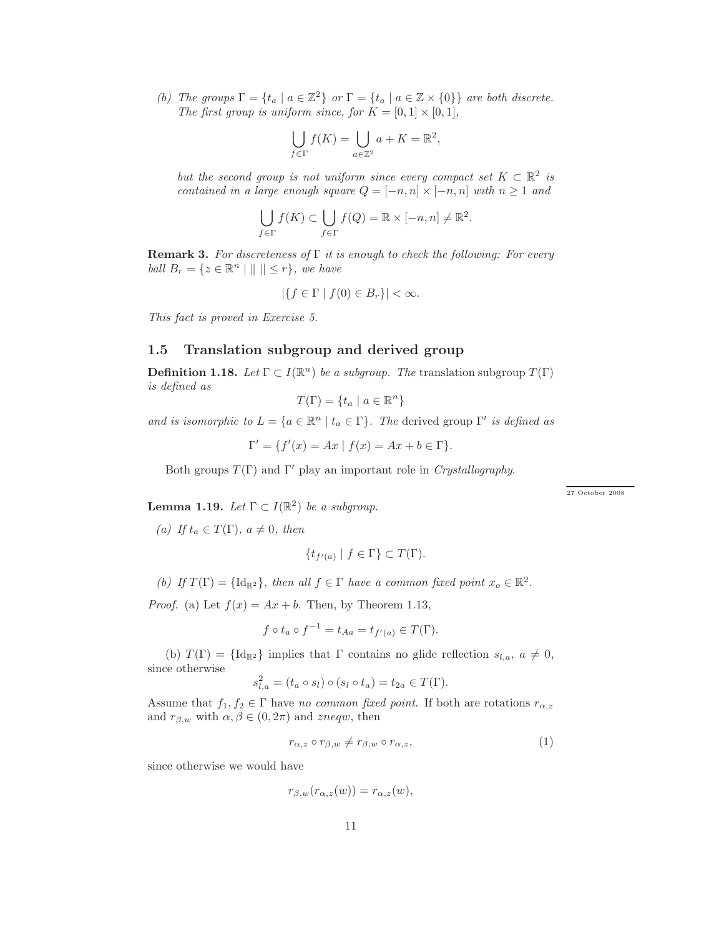*(b) The groups*  $\Gamma = \{t_a \mid a \in \mathbb{Z}^2\}$  *or*  $\Gamma = \{t_a \mid a \in \mathbb{Z} \times \{0\}\}$  *are both discrete. The first group is uniform since, for*  $K = [0, 1] \times [0, 1]$ *,* 

$$
\bigcup_{f \in \Gamma} f(K) = \bigcup_{a \in \mathbb{Z}^2} a + K = \mathbb{R}^2,
$$

*but the second group is not uniform since every compact set*  $K \subset \mathbb{R}^2$  *is contained in a large enough square*  $Q = [-n, n] \times [-n, n]$  *with*  $n \ge 1$  *and* 

$$
\bigcup_{f \in \Gamma} f(K) \subset \bigcup_{f \in \Gamma} f(Q) = \mathbb{R} \times [-n, n] \neq \mathbb{R}^2.
$$

Remark 3. *For discreteness of* Γ *it is enough to check the following: For every ball*  $B_r = \{z \in \mathbb{R}^n \mid \|\| \leq r\}$ *, we have* 

$$
|\{f \in \Gamma \mid f(0) \in B_r\}| < \infty.
$$

*This fact is proved in Exercise 5.*

#### 1.5 Translation subgroup and derived group

**Definition 1.18.** *Let*  $\Gamma \subset I(\mathbb{R}^n)$  *be a subgroup. The* translation subgroup  $T(\Gamma)$ *is defined as*

$$
T(\Gamma) = \{ t_a \mid a \in \mathbb{R}^n \}
$$

*and is isomorphic to*  $L = \{a \in \mathbb{R}^n \mid t_a \in \Gamma\}$ *. The* derived group  $\Gamma'$  *is defined as* 

 $\Gamma' = \{ f'(x) = Ax \mid f(x) = Ax + b \in \Gamma \}.$ 

Both groups  $T(\Gamma)$  and  $\Gamma'$  play an important role in *Crystallography*.

← → 27 October 2008

**Lemma 1.19.** *Let*  $\Gamma \subset I(\mathbb{R}^2)$  *be a subgroup.* 

*(a)* If  $t_a \in T(\Gamma)$ ,  $a \neq 0$ , then

$$
\{t_{f'(a)} \mid f \in \Gamma\} \subset T(\Gamma).
$$

(b) If  $T(\Gamma) = {\text{Id}_{\mathbb{R}^2}}$ , then all  $f \in \Gamma$  have a common fixed point  $x_o \in \mathbb{R}^2$ .

*Proof.* (a) Let  $f(x) = Ax + b$ . Then, by Theorem 1.13,

$$
f \circ t_a \circ f^{-1} = t_{Aa} = t_{f'(a)} \in T(\Gamma).
$$

(b)  $T(\Gamma) = {\{Id_{\mathbb{R}^2}\}\}\$ implies that  $\Gamma$  contains no glide reflection  $s_{l,a}, a \neq 0,$ since otherwise

$$
s_{l,a}^2 = (t_a \circ s_l) \circ (s_l \circ t_a) = t_{2a} \in T(\Gamma).
$$

Assume that  $f_1, f_2 \in \Gamma$  have *no common fixed point*. If both are rotations  $r_{\alpha,z}$ and  $r_{\beta,w}$  with  $\alpha,\beta\in(0,2\pi)$  and zneqw, then

$$
r_{\alpha,z} \circ r_{\beta,w} \neq r_{\beta,w} \circ r_{\alpha,z},\tag{1}
$$

since otherwise we would have

$$
r_{\beta,w}(r_{\alpha,z}(w)) = r_{\alpha,z}(w),
$$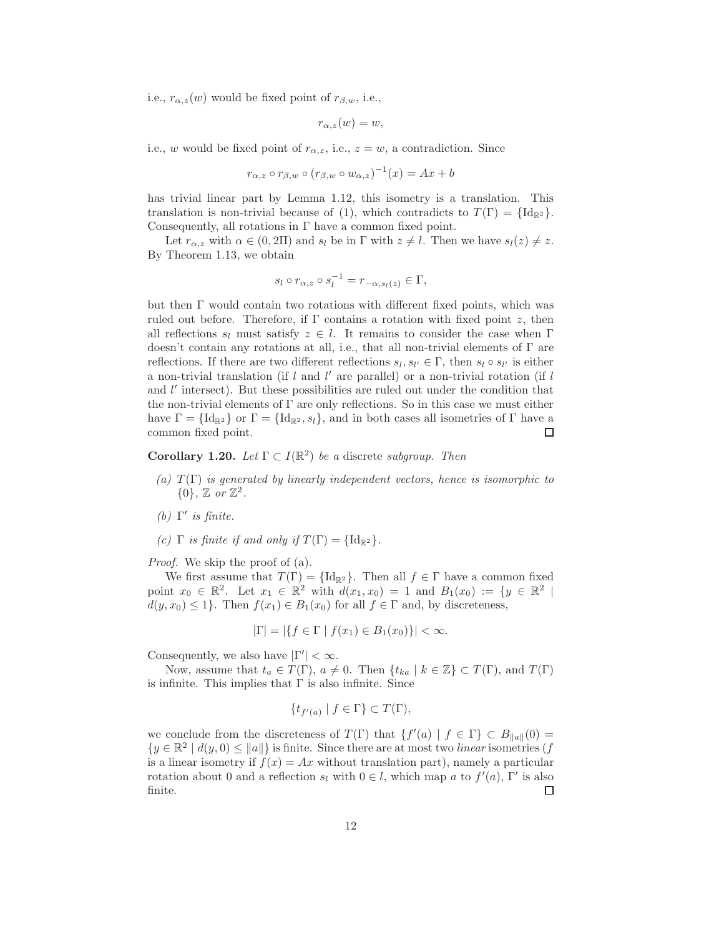i.e.,  $r_{\alpha,z}(w)$  would be fixed point of  $r_{\beta,w}$ , i.e.,

$$
r_{\alpha,z}(w)=w,
$$

i.e., w would be fixed point of  $r_{\alpha,z}$ , i.e.,  $z = w$ , a contradiction. Since

$$
r_{\alpha,z} \circ r_{\beta,w} \circ (r_{\beta,w} \circ w_{\alpha,z})^{-1}(x) = Ax + b
$$

has trivial linear part by Lemma 1.12, this isometry is a translation. This translation is non-trivial because of (1), which contradicts to  $T(\Gamma) = {\{Id_{\mathbb{R}^2}\}}$ . Consequently, all rotations in Γ have a common fixed point.

Let  $r_{\alpha,z}$  with  $\alpha \in (0,2\Pi)$  and  $s_l$  be in  $\Gamma$  with  $z \neq l$ . Then we have  $s_l(z) \neq z$ . By Theorem 1.13, we obtain

$$
s_l \circ r_{\alpha,z} \circ s_l^{-1} = r_{-\alpha,s_l(z)} \in \Gamma,
$$

but then  $\Gamma$  would contain two rotations with different fixed points, which was ruled out before. Therefore, if  $\Gamma$  contains a rotation with fixed point z, then all reflections  $s_l$  must satisfy  $z \in l$ . It remains to consider the case when Γ doesn't contain any rotations at all, i.e., that all non-trivial elements of Γ are reflections. If there are two different reflections  $s_l, s_{l'} \in \Gamma$ , then  $s_l \circ s_{l'}$  is either a non-trivial translation (if  $l$  and  $l'$  are parallel) or a non-trivial rotation (if  $l$ and l' intersect). But these possibilities are ruled out under the condition that the non-trivial elements of  $\Gamma$  are only reflections. So in this case we must either have  $\Gamma = {\{\operatorname{Id}_{\mathbb{R}^2}\}\ x \in {\{\operatorname{Id}_{\mathbb{R}^2}, s_l\}}\}$ , and in both cases all isometries of  $\Gamma$  have a common fixed point. □

**Corollary 1.20.** *Let*  $\Gamma \subset I(\mathbb{R}^2)$  *be a* discrete *subgroup. Then* 

- $(a)$   $T(\Gamma)$  *is generated by linearly independent vectors, hence is isomorphic to*  $\{0\}$ *,*  $\mathbb{Z}$  *or*  $\mathbb{Z}^2$ *.*
- *(b)* Γ ′ *is finite.*
- *(c)*  $\Gamma$  *is finite if and only if*  $T(\Gamma) = {\{Id_{\mathbb{R}^2} \}}$ .

*Proof.* We skip the proof of (a).

We first assume that  $T(\Gamma) = {\{Id_{\mathbb{R}^2} \}}$ . Then all  $f \in \Gamma$  have a common fixed point  $x_0 \in \mathbb{R}^2$ . Let  $x_1 \in \mathbb{R}^2$  with  $d(x_1, x_0) = 1$  and  $B_1(x_0) := \{y \in \mathbb{R}^2 \mid$  $d(y, x_0) \leq 1$ . Then  $f(x_1) \in B_1(x_0)$  for all  $f \in \Gamma$  and, by discreteness,

$$
|\Gamma| = |\{f \in \Gamma \mid f(x_1) \in B_1(x_0)\}| < \infty.
$$

Consequently, we also have  $|\Gamma'| < \infty$ .

Now, assume that  $t_a \in T(\Gamma)$ ,  $a \neq 0$ . Then  $\{t_{ka} \mid k \in \mathbb{Z}\} \subset T(\Gamma)$ , and  $T(\Gamma)$ is infinite. This implies that  $\Gamma$  is also infinite. Since

$$
\{t_{f'(a)} \mid f \in \Gamma\} \subset T(\Gamma),
$$

we conclude from the discreteness of  $T(\Gamma)$  that  $\{f'(a) | f \in \Gamma\} \subset B_{\|a\|}(0) =$  $\{y \in \mathbb{R}^2 \mid d(y,0) \leq ||a||\}$  is finite. Since there are at most two *linear* isometries (f is a linear isometry if  $f(x) = Ax$  without translation part), namely a particular rotation about 0 and a reflection  $s_l$  with  $0 \in l$ , which map a to  $f'(a)$ , Γ' is also finite. □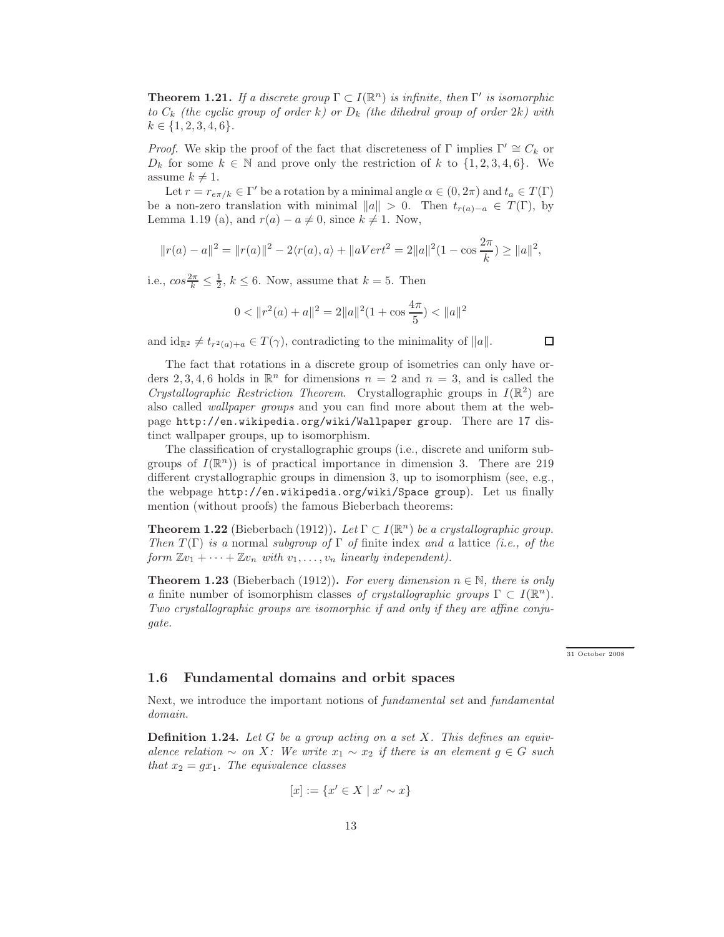**Theorem 1.21.** *If a discrete group*  $\Gamma \subset I(\mathbb{R}^n)$  *is infinite, then*  $\Gamma'$  *is isomorphic* to  $C_k$  *(the cyclic group of order* k*)* or  $D_k$  *(the dihedral group of order* 2k*)* with  $k \in \{1, 2, 3, 4, 6\}.$ 

*Proof.* We skip the proof of the fact that discreteness of Γ implies  $\Gamma' \cong C_k$  or  $D_k$  for some  $k \in \mathbb{N}$  and prove only the restriction of k to  $\{1, 2, 3, 4, 6\}$ . We assume  $k \neq 1$ .

Let  $r = r_{e\pi/k} \in \Gamma'$  be a rotation by a minimal angle  $\alpha \in (0, 2\pi)$  and  $t_a \in T(\Gamma)$ be a non-zero translation with minimal  $||a|| > 0$ . Then  $t_{r(a)-a} \in T(\Gamma)$ , by Lemma 1.19 (a), and  $r(a) - a \neq 0$ , since  $k \neq 1$ . Now,

$$
||r(a) - a||2 = ||r(a)||2 - 2\langle r(a), a \rangle + ||aVert2 = 2||a||2(1 - \cos \frac{2\pi}{k}) \ge ||a||2,
$$

i.e.,  $\cos \frac{2\pi}{k} \leq \frac{1}{2}$ ,  $k \leq 6$ . Now, assume that  $k = 5$ . Then

$$
0 < \|r^2(a) + a\|^2 = 2\|a\|^2(1 + \cos\frac{4\pi}{5}) < \|a\|^2
$$

and  $id_{\mathbb{R}^2} \neq t_{r^2(a)+a} \in T(\gamma)$ , contradicting to the minimality of  $||a||$ .

 $\Box$ 

The fact that rotations in a discrete group of isometries can only have orders 2, 3, 4, 6 holds in  $\mathbb{R}^n$  for dimensions  $n = 2$  and  $n = 3$ , and is called the *Crystallographic Restriction Theorem.* Crystallographic groups in  $I(\mathbb{R}^2)$  are also called *wallpaper groups* and you can find more about them at the webpage http://en.wikipedia.org/wiki/Wallpaper group. There are 17 distinct wallpaper groups, up to isomorphism.

The classification of crystallographic groups (i.e., discrete and uniform subgroups of  $I(\mathbb{R}^n)$  is of practical importance in dimension 3. There are 219 different crystallographic groups in dimension 3, up to isomorphism (see, e.g., the webpage http://en.wikipedia.org/wiki/Space group). Let us finally mention (without proofs) the famous Bieberbach theorems:

**Theorem 1.22** (Bieberbach (1912)). Let  $\Gamma \subset I(\mathbb{R}^n)$  be a crystallographic group. *Then* T (Γ) *is a* normal *subgroup of* Γ *of* finite index *and a* lattice *(i.e., of the form*  $\mathbb{Z}v_1 + \cdots + \mathbb{Z}v_n$  *with*  $v_1, \ldots, v_n$  *linearly independent*).

**Theorem 1.23** (Bieberbach (1912)). For every dimension  $n \in \mathbb{N}$ , there is only *a* finite number of isomorphism classes *of crystallographic groups*  $\Gamma \subset I(\mathbb{R}^n)$ *. Two crystallographic groups are isomorphic if and only if they are affine conjugate.*

← → 31 October 2008

#### 1.6 Fundamental domains and orbit spaces

Next, we introduce the important notions of *fundamental set* and *fundamental domain*.

Definition 1.24. *Let* G *be a group acting on a set* X*. This defines an equivalence relation* ∼ *on* X: We write  $x_1 \sim x_2$  *if there is an element*  $g \in G$  *such that*  $x_2 = gx_1$ *. The equivalence classes* 

$$
[x] := \{ x' \in X \mid x' \sim x \}
$$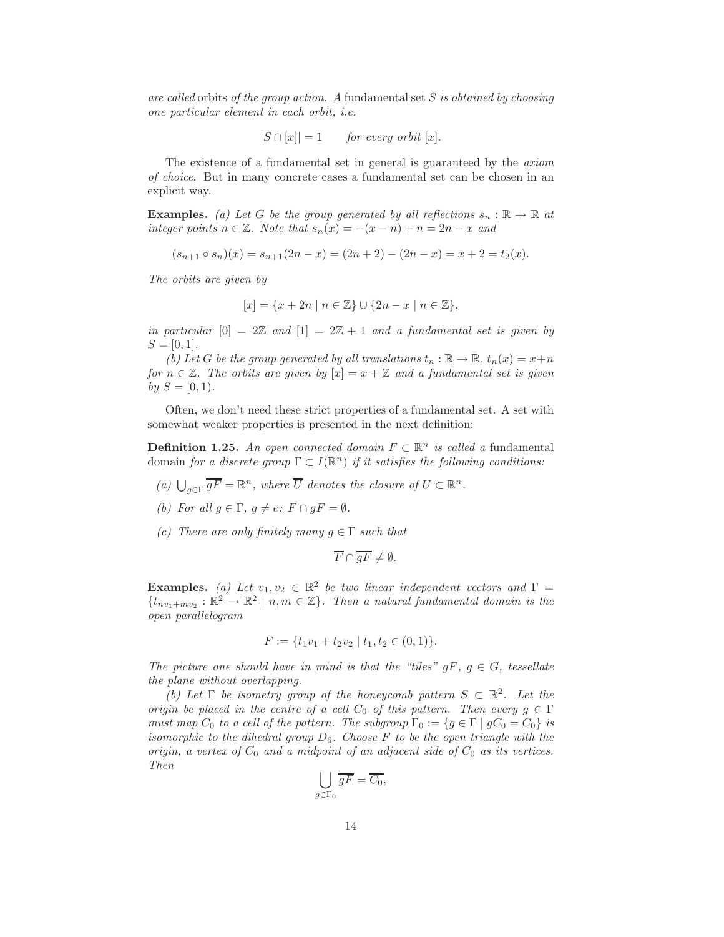*are called* orbits *of the group action. A* fundamental set S *is obtained by choosing one particular element in each orbit, i.e.*

$$
|S \cap [x]| = 1 \qquad for every orbit [x].
$$

The existence of a fundamental set in general is guaranteed by the *axiom of choice*. But in many concrete cases a fundamental set can be chosen in an explicit way.

**Examples.** *(a) Let* G *be the group generated by all reflections*  $s_n : \mathbb{R} \to \mathbb{R}$  *at integer points*  $n \in \mathbb{Z}$ *. Note that*  $s_n(x) = -(x - n) + n = 2n - x$  and

$$
(s_{n+1} \circ s_n)(x) = s_{n+1}(2n-x) = (2n+2) - (2n-x) = x+2 = t_2(x).
$$

*The orbits are given by*

$$
[x] = \{x + 2n \mid n \in \mathbb{Z}\} \cup \{2n - x \mid n \in \mathbb{Z}\},\
$$

*in particular*  $[0] = 2\mathbb{Z}$  *and*  $[1] = 2\mathbb{Z} + 1$  *and a fundamental set is given by*  $S = [0, 1]$ .

*(b)* Let G be the group generated by all translations  $t_n : \mathbb{R} \to \mathbb{R}$ ,  $t_n(x) = x+n$ *for*  $n \in \mathbb{Z}$ *. The orbits are given by*  $[x] = x + \mathbb{Z}$  *and a fundamental set is given by*  $S = [0, 1)$ *.* 

Often, we don't need these strict properties of a fundamental set. A set with somewhat weaker properties is presented in the next definition:

**Definition 1.25.** An open connected domain  $F \subset \mathbb{R}^n$  is called a fundamental domain *for a discrete group*  $\Gamma \subset I(\mathbb{R}^n)$  *if it satisfies the following conditions:* 

- *(a)*  $\bigcup_{g \in \Gamma} \overline{gF} = \mathbb{R}^n$ *, where*  $\overline{U}$  *denotes the closure of*  $U \subset \mathbb{R}^n$ *.*
- *(b)* For all  $g \in \Gamma$ ,  $g \neq e$ :  $F \cap gF = \emptyset$ .
- *(c)* There are only finitely many  $g \in \Gamma$  such that

$$
\overline{F} \cap \overline{gF} \neq \emptyset.
$$

**Examples.** (a) Let  $v_1, v_2 \in \mathbb{R}^2$  be two linear independent vectors and  $\Gamma =$  $\{t_{nv_1+mv_2}: \mathbb{R}^2 \to \mathbb{R}^2 \mid n,m \in \mathbb{Z}\}$ . Then a natural fundamental domain is the *open parallelogram*

$$
F := \{ t_1v_1 + t_2v_2 \mid t_1, t_2 \in (0,1) \}.
$$

*The picture one should have in mind is that the "tiles"*  $gF, g \in G$ , tessellate *the plane without overlapping.*

*(b)* Let  $\Gamma$  be isometry group of the honeycomb pattern  $S \subset \mathbb{R}^2$ . Let the *origin be placed in the centre of a cell*  $C_0$  *of this pattern. Then every*  $g \in \Gamma$ *must map*  $C_0$  *to a cell of the pattern. The subgroup*  $\Gamma_0 := \{g \in \Gamma \mid gC_0 = C_0\}$  *is isomorphic to the dihedral group* D6*. Choose* F *to be the open triangle with the origin, a vertex of*  $C_0$  *and a midpoint of an adjacent side of*  $C_0$  *as its vertices. Then*

$$
\bigcup_{g \in \Gamma_0} \overline{gF} = \overline{C_0},
$$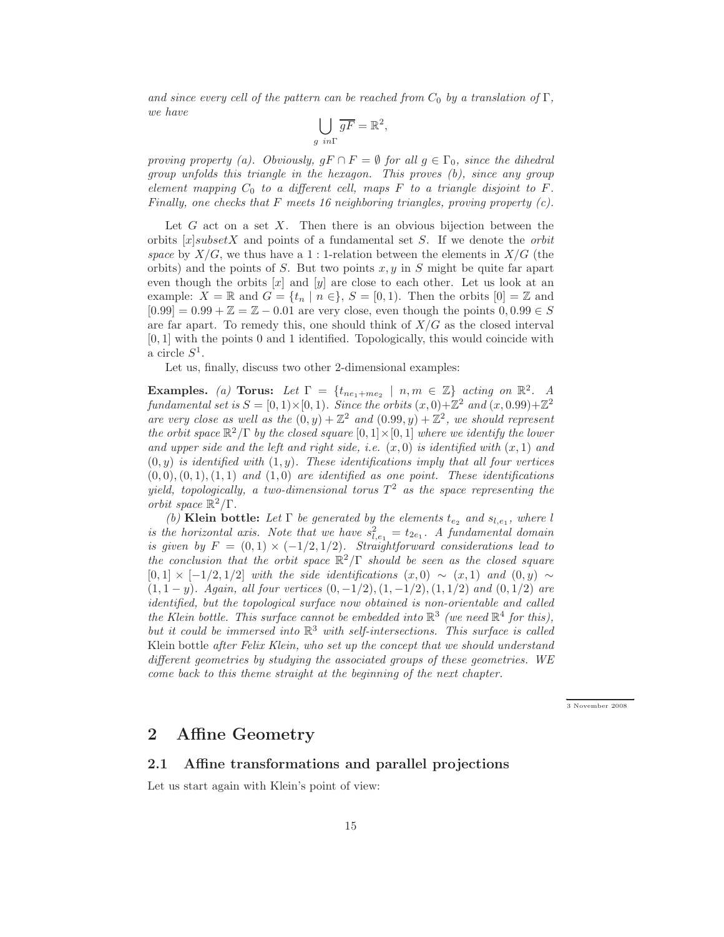*and since every cell of the pattern can be reached from*  $C_0$  *by a translation of*  $\Gamma$ *, we have*

$$
\bigcup_{g \ in \Gamma} \overline{gF} = \mathbb{R}^2
$$

,

*proving property (a). Obviously,*  $gF \cap F = \emptyset$  *for all*  $g \in \Gamma_0$ *, since the dihedral group unfolds this triangle in the hexagon. This proves (b), since any group element mapping*  $C_0$  *to a different cell, maps*  $F$  *to a triangle disjoint to*  $F$ *. Finally, one checks that* F *meets 16 neighboring triangles, proving property (c).*

Let  $G$  act on a set  $X$ . Then there is an obvious bijection between the orbits [x]subsetX and points of a fundamental set S. If we denote the *orbit space* by  $X/G$ , we thus have a 1 : 1-relation between the elements in  $X/G$  (the orbits) and the points of S. But two points  $x, y$  in S might be quite far apart even though the orbits  $[x]$  and  $[y]$  are close to each other. Let us look at an example:  $X = \mathbb{R}$  and  $G = \{t_n \mid n \in \}, S = [0, 1)$ . Then the orbits  $[0] = \mathbb{Z}$  and  $[0.99] = 0.99 + \mathbb{Z} = \mathbb{Z} - 0.01$  are very close, even though the points  $0, 0.99 \in S$ are far apart. To remedy this, one should think of  $X/G$  as the closed interval [0, 1] with the points 0 and 1 identified. Topologically, this would coincide with a circle  $S^1$ .

Let us, finally, discuss two other 2-dimensional examples:

**Examples.** (a) **Torus:** Let  $\Gamma = \{t_{ne_1+me_2} \mid n,m \in \mathbb{Z}\}$  acting on  $\mathbb{R}^2$ . A fundamental set is  $S = [0, 1) \times [0, 1)$ . Since the orbits  $(x, 0) + \mathbb{Z}^2$  and  $(x, 0.99) + \mathbb{Z}^2$ are very close as well as the  $(0, y) + \mathbb{Z}^2$  and  $(0.99, y) + \mathbb{Z}^2$ , we should represent *the orbit space*  $\mathbb{R}^2/\Gamma$  *by the closed square*  $[0,1] \times [0,1]$  *where we identify the lower* and upper side and the left and right side, i.e.  $(x, 0)$  is identified with  $(x, 1)$  and  $(0, y)$  *is identified with*  $(1, y)$ *. These identifications imply that all four vertices*  $(0, 0), (0, 1), (1, 1)$  *and*  $(1, 0)$  *are identified as one point. These identifications yield, topologically, a two-dimensional torus* T <sup>2</sup> *as the space representing the orbit space*  $\mathbb{R}^2/\Gamma$ .

*(b)* Klein bottle: Let  $\Gamma$  be generated by the elements  $t_{e_2}$  and  $s_{l,e_1}$ , where l *is the horizontal axis. Note that we have*  $s_{l,e_1}^2 = t_{2e_1}$ . A fundamental domain *is given by*  $F = (0,1) \times (-1/2,1/2)$ *. Straightforward considerations lead to the conclusion that the orbit space* R <sup>2</sup>/Γ *should be seen as the closed square*  $[0, 1] \times [-1/2, 1/2]$  *with the side identifications*  $(x, 0) \sim (x, 1)$  *and*  $(0, y) \sim$ (1, 1 − y)*. Again, all four vertices* (0, −1/2),(1, −1/2),(1, 1/2) *and* (0, 1/2) *are identified, but the topological surface now obtained is non-orientable and called the Klein bottle. This surface cannot be embedded into*  $\mathbb{R}^3$  (we need  $\mathbb{R}^4$  for this), *but it could be immersed into* R <sup>3</sup> *with self-intersections. This surface is called* Klein bottle *after Felix Klein, who set up the concept that we should understand different geometries by studying the associated groups of these geometries. WE come back to this theme straight at the beginning of the next chapter.*

← → 3 November 2008

### 2 Affine Geometry

#### 2.1 Affine transformations and parallel projections

Let us start again with Klein's point of view: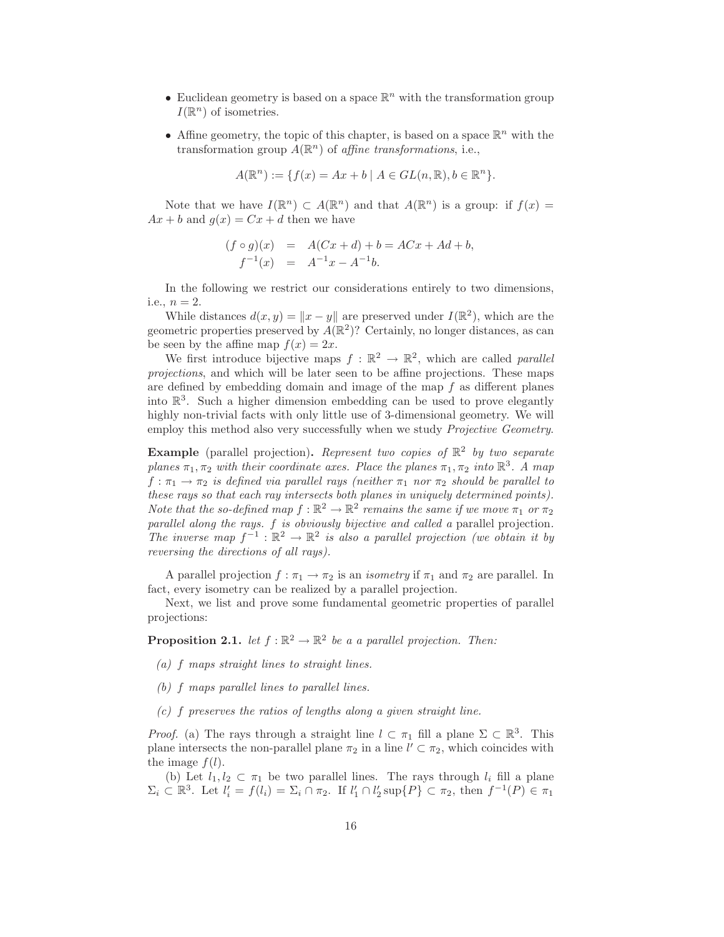- Euclidean geometry is based on a space  $\mathbb{R}^n$  with the transformation group  $I(\mathbb{R}^n)$  of isometries.
- Affine geometry, the topic of this chapter, is based on a space  $\mathbb{R}^n$  with the transformation group  $A(\mathbb{R}^n)$  of *affine transformations*, i.e.,

$$
A(\mathbb{R}^n) := \{ f(x) = Ax + b \mid A \in GL(n, \mathbb{R}), b \in \mathbb{R}^n \}.
$$

Note that we have  $I(\mathbb{R}^n) \subset A(\mathbb{R}^n)$  and that  $A(\mathbb{R}^n)$  is a group: if  $f(x) =$  $Ax + b$  and  $q(x) = Cx + d$  then we have

$$
(f \circ g)(x) = A(Cx + d) + b = ACx + Ad + b,
$$
  

$$
f^{-1}(x) = A^{-1}x - A^{-1}b.
$$

In the following we restrict our considerations entirely to two dimensions, i.e.,  $n = 2$ .

While distances  $d(x, y) = ||x - y||$  are preserved under  $I(\mathbb{R}^2)$ , which are the geometric properties preserved by  $A(\mathbb{R}^2)$ ? Certainly, no longer distances, as can be seen by the affine map  $f(x) = 2x$ .

We first introduce bijective maps  $f : \mathbb{R}^2 \to \mathbb{R}^2$ , which are called *parallel projections*, and which will be later seen to be affine projections. These maps are defined by embedding domain and image of the map  $f$  as different planes into  $\mathbb{R}^3$ . Such a higher dimension embedding can be used to prove elegantly highly non-trivial facts with only little use of 3-dimensional geometry. We will employ this method also very successfully when we study *Projective Geometry*.

Example (parallel projection). *Represent two copies of* R 2 *by two separate planes*  $\pi_1, \pi_2$  *with their coordinate axes. Place the planes*  $\pi_1, \pi_2$  *into*  $\mathbb{R}^3$ *. A map*  $f: \pi_1 \to \pi_2$  *is defined via parallel rays (neither*  $\pi_1$  *nor*  $\pi_2$  *should be parallel to these rays so that each ray intersects both planes in uniquely determined points). Note that the so-defined map*  $f : \mathbb{R}^2 \to \mathbb{R}^2$  *remains the same if we move*  $\pi_1$  *or*  $\pi_2$ *parallel along the rays.* f *is obviously bijective and called a* parallel projection*. The inverse map*  $f^{-1}: \mathbb{R}^2 \to \mathbb{R}^2$  *is also a parallel projection (we obtain it by reversing the directions of all rays).*

A parallel projection  $f : \pi_1 \to \pi_2$  is an *isometry* if  $\pi_1$  and  $\pi_2$  are parallel. In fact, every isometry can be realized by a parallel projection.

Next, we list and prove some fundamental geometric properties of parallel projections:

**Proposition 2.1.** *let*  $f : \mathbb{R}^2 \to \mathbb{R}^2$  *be a a parallel projection. Then:* 

- *(a)* f *maps straight lines to straight lines.*
- *(b)* f *maps parallel lines to parallel lines.*
- *(c)* f *preserves the ratios of lengths along a given straight line.*

*Proof.* (a) The rays through a straight line  $l \subset \pi_1$  fill a plane  $\Sigma \subset \mathbb{R}^3$ . This plane intersects the non-parallel plane  $\pi_2$  in a line  $l' \subset \pi_2$ , which coincides with the image  $f(l)$ .

(b) Let  $l_1, l_2 \subset \pi_1$  be two parallel lines. The rays through  $l_i$  fill a plane  $\Sigma_i \subset \mathbb{R}^3$ . Let  $l'_i = f(l_i) = \Sigma_i \cap \pi_2$ . If  $l'_1 \cap l'_2 \sup\{P\} \subset \pi_2$ , then  $f^{-1}(P) \in \pi_1$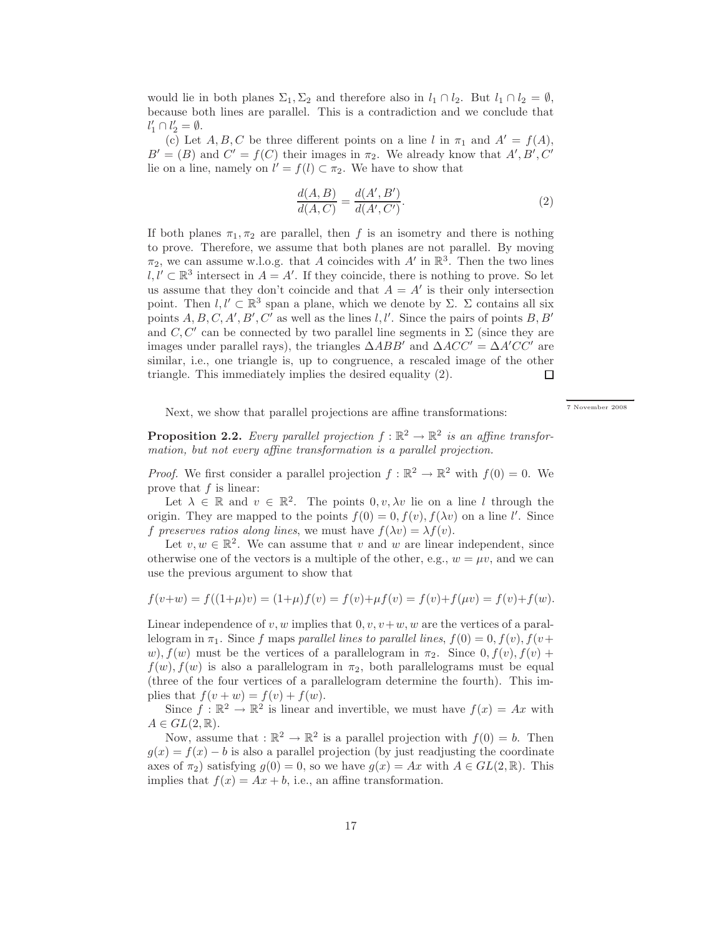would lie in both planes  $\Sigma_1, \Sigma_2$  and therefore also in  $l_1 \cap l_2$ . But  $l_1 \cap l_2 = \emptyset$ , because both lines are parallel. This is a contradiction and we conclude that  $l'_1 \cap l'_2 = \emptyset.$ 

(c) Let  $A, B, C$  be three different points on a line l in  $\pi_1$  and  $A' = f(A)$ ,  $B' = (B)$  and  $C' = f(C)$  their images in  $\pi_2$ . We already know that  $A', B', C'$ lie on a line, namely on  $l' = f(l) \subset \pi_2$ . We have to show that

$$
\frac{d(A,B)}{d(A,C)} = \frac{d(A',B')}{d(A',C')}.
$$
\n(2)

–<br>7 November 2008

If both planes  $\pi_1, \pi_2$  are parallel, then f is an isometry and there is nothing to prove. Therefore, we assume that both planes are not parallel. By moving  $\pi_2$ , we can assume w.l.o.g. that A coincides with A' in  $\mathbb{R}^3$ . Then the two lines  $l, l' \subset \mathbb{R}^3$  intersect in  $A = A'$ . If they coincide, there is nothing to prove. So let us assume that they don't coincide and that  $A = A'$  is their only intersection point. Then  $l, l' \subset \mathbb{R}^3$  span a plane, which we denote by  $\Sigma$ .  $\Sigma$  contains all six points  $A, B, C, A', B', C'$  as well as the lines  $l, l'$ . Since the pairs of points  $B, B'$ and  $C, C'$  can be connected by two parallel line segments in  $\Sigma$  (since they are images under parallel rays), the triangles  $\triangle ABB'$  and  $\triangle ACC' = \triangle A'CC'$  are similar, i.e., one triangle is, up to congruence, a rescaled image of the other triangle. This immediately implies the desired equality (2).  $\Box$ 

Next, we show that parallel projections are affine transformations:

**Proposition 2.2.** Every parallel projection  $f : \mathbb{R}^2 \to \mathbb{R}^2$  is an affine transfor*mation, but not every affine transformation is a parallel projection.*

*Proof.* We first consider a parallel projection  $f : \mathbb{R}^2 \to \mathbb{R}^2$  with  $f(0) = 0$ . We prove that  $f$  is linear:

Let  $\lambda \in \mathbb{R}$  and  $v \in \mathbb{R}^2$ . The points  $0, v, \lambda v$  lie on a line l through the origin. They are mapped to the points  $f(0) = 0, f(v), f(\lambda v)$  on a line l'. Since f preserves ratios along lines, we must have  $f(\lambda v) = \lambda f(v)$ .

Let  $v, w \in \mathbb{R}^2$ . We can assume that v and w are linear independent, since otherwise one of the vectors is a multiple of the other, e.g.,  $w = \mu v$ , and we can use the previous argument to show that

$$
f(v+w) = f((1+\mu)v) = (1+\mu)f(v) = f(v)+\mu f(v) = f(v)+f(\mu v) = f(v)+f(w).
$$

Linear independence of v, w implies that  $0, v, v+w, w$  are the vertices of a parallelogram in  $\pi_1$ . Since f maps *parallel lines to parallel lines*,  $f(0) = 0, f(v), f(v+$ w),  $f(w)$  must be the vertices of a parallelogram in  $\pi_2$ . Since  $0, f(v), f(v)$  +  $f(w)$ ,  $f(w)$  is also a parallelogram in  $\pi_2$ , both parallelograms must be equal (three of the four vertices of a parallelogram determine the fourth). This implies that  $f(v + w) = f(v) + f(w)$ .

Since  $f : \mathbb{R}^2 \to \mathbb{R}^2$  is linear and invertible, we must have  $f(x) = Ax$  with  $A \in GL(2,\mathbb{R}).$ 

Now, assume that :  $\mathbb{R}^2 \to \mathbb{R}^2$  is a parallel projection with  $f(0) = b$ . Then  $g(x) = f(x) - b$  is also a parallel projection (by just readjusting the coordinate axes of  $\pi_2$ ) satisfying  $g(0) = 0$ , so we have  $g(x) = Ax$  with  $A \in GL(2, \mathbb{R})$ . This implies that  $f(x) = Ax + b$ , i.e., an affine transformation.

17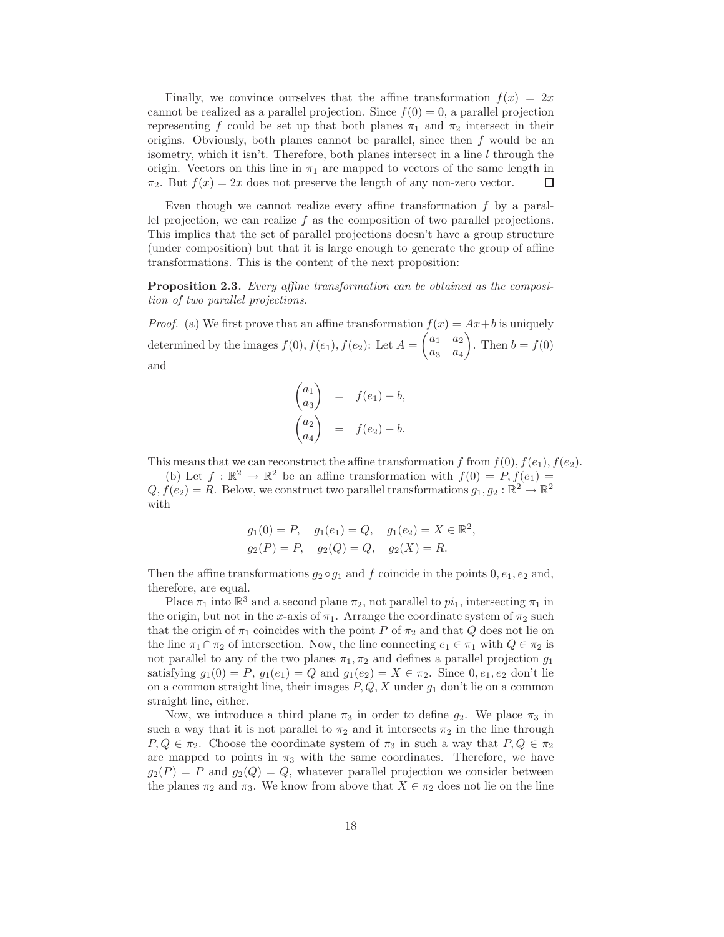Finally, we convince ourselves that the affine transformation  $f(x) = 2x$ cannot be realized as a parallel projection. Since  $f(0) = 0$ , a parallel projection representing f could be set up that both planes  $\pi_1$  and  $\pi_2$  intersect in their origins. Obviously, both planes cannot be parallel, since then  $f$  would be an isometry, which it isn't. Therefore, both planes intersect in a line  $l$  through the origin. Vectors on this line in  $\pi_1$  are mapped to vectors of the same length in  $\pi_2$ . But  $f(x) = 2x$  does not preserve the length of any non-zero vector.  $\Box$ 

Even though we cannot realize every affine transformation  $f$  by a parallel projection, we can realize  $f$  as the composition of two parallel projections. This implies that the set of parallel projections doesn't have a group structure (under composition) but that it is large enough to generate the group of affine transformations. This is the content of the next proposition:

Proposition 2.3. *Every affine transformation can be obtained as the composition of two parallel projections.*

*Proof.* (a) We first prove that an affine transformation  $f(x) = Ax + b$  is uniquely determined by the images  $f(0), f(e_1), f(e_2)$ : Let  $A =$  $\begin{pmatrix} a_1 & a_2 \end{pmatrix}$  $a_3 \quad a_4$  $\setminus$ . Then  $b = f(0)$ and

$$
\begin{pmatrix} a_1 \\ a_3 \end{pmatrix} = f(e_1) - b,
$$
  

$$
\begin{pmatrix} a_2 \\ a_4 \end{pmatrix} = f(e_2) - b.
$$

This means that we can reconstruct the affine transformation f from  $f(0), f(e_1), f(e_2)$ .

(b) Let  $f : \mathbb{R}^2 \to \mathbb{R}^2$  be an affine transformation with  $f(0) = P, f(e_1) =$  $Q, f(e_2) = R$ . Below, we construct two parallel transformations  $g_1, g_2 : \mathbb{R}^2 \to \mathbb{R}^2$ with

$$
g_1(0) = P
$$
,  $g_1(e_1) = Q$ ,  $g_1(e_2) = X \in \mathbb{R}^2$ ,  
\n $g_2(P) = P$ ,  $g_2(Q) = Q$ ,  $g_2(X) = R$ .

Then the affine transformations  $g_2 \circ g_1$  and f coincide in the points  $0, e_1, e_2$  and, therefore, are equal.

Place  $\pi_1$  into  $\mathbb{R}^3$  and a second plane  $\pi_2$ , not parallel to  $pi_1$ , intersecting  $\pi_1$  in the origin, but not in the x-axis of  $\pi_1$ . Arrange the coordinate system of  $\pi_2$  such that the origin of  $\pi_1$  coincides with the point P of  $\pi_2$  and that Q does not lie on the line  $\pi_1 \cap \pi_2$  of intersection. Now, the line connecting  $e_1 \in \pi_1$  with  $Q \in \pi_2$  is not parallel to any of the two planes  $\pi_1, \pi_2$  and defines a parallel projection  $g_1$ satisfying  $g_1(0) = P$ ,  $g_1(e_1) = Q$  and  $g_1(e_2) = X \in \pi_2$ . Since  $0, e_1, e_2$  don't lie on a common straight line, their images  $P, Q, X$  under  $g_1$  don't lie on a common straight line, either.

Now, we introduce a third plane  $\pi_3$  in order to define  $g_2$ . We place  $\pi_3$  in such a way that it is not parallel to  $\pi_2$  and it intersects  $\pi_2$  in the line through  $P, Q \in \pi_2$ . Choose the coordinate system of  $\pi_3$  in such a way that  $P, Q \in \pi_2$ are mapped to points in  $\pi_3$  with the same coordinates. Therefore, we have  $g_2(P) = P$  and  $g_2(Q) = Q$ , whatever parallel projection we consider between the planes  $\pi_2$  and  $\pi_3$ . We know from above that  $X \in \pi_2$  does not lie on the line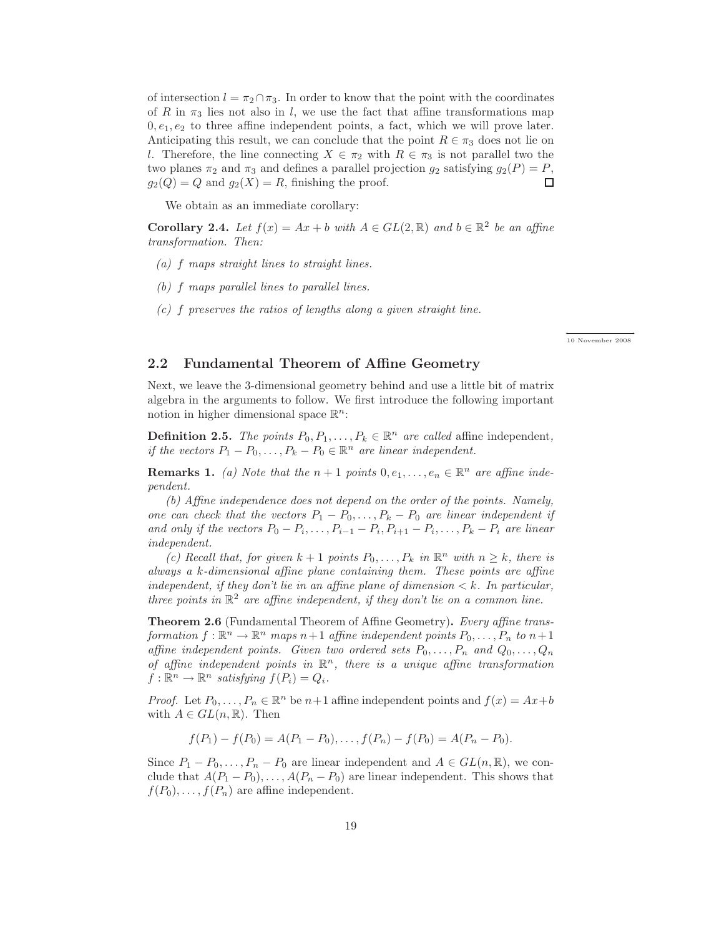of intersection  $l = \pi_2 \cap \pi_3$ . In order to know that the point with the coordinates of R in  $\pi_3$  lies not also in l, we use the fact that affine transformations map  $0, e_1, e_2$  to three affine independent points, a fact, which we will prove later. Anticipating this result, we can conclude that the point  $R \in \pi_3$  does not lie on l. Therefore, the line connecting  $X \in \pi_2$  with  $R \in \pi_3$  is not parallel two the two planes  $\pi_2$  and  $\pi_3$  and defines a parallel projection  $g_2$  satisfying  $g_2(P) = P$ ,  $g_2(Q) = Q$  and  $g_2(X) = R$ , finishing the proof.  $g_2(Q) = Q$  and  $g_2(X) = R$ , finishing the proof.

We obtain as an immediate corollary:

**Corollary 2.4.** *Let*  $f(x) = Ax + b$  *with*  $A \in GL(2, \mathbb{R})$  *and*  $b \in \mathbb{R}^2$  *be an affine transformation. Then:*

- *(a)* f *maps straight lines to straight lines.*
- *(b)* f *maps parallel lines to parallel lines.*
- *(c)* f *preserves the ratios of lengths along a given straight line.*

+ + 10 November 2008

#### 2.2 Fundamental Theorem of Affine Geometry

Next, we leave the 3-dimensional geometry behind and use a little bit of matrix algebra in the arguments to follow. We first introduce the following important notion in higher dimensional space  $\mathbb{R}^n$ :

**Definition 2.5.** *The points*  $P_0, P_1, \ldots, P_k \in \mathbb{R}^n$  *are called* affine independent, *if the vectors*  $P_1 - P_0, \ldots, P_k - P_0 \in \mathbb{R}^n$  *are linear independent.* 

**Remarks 1.** (a) Note that the  $n+1$  points  $0, e_1, \ldots, e_n \in \mathbb{R}^n$  are affine inde*pendent.*

*(b) Affine independence does not depend on the order of the points. Namely, one can check that the vectors*  $P_1 - P_0, \ldots, P_k - P_0$  *are linear independent if and only if the vectors*  $P_0 - P_i, \ldots, P_{i-1} - P_i, P_{i+1} - P_i, \ldots, P_k - P_i$  are linear *independent.*

*(c)* Recall that, for given  $k + 1$  points  $P_0, \ldots, P_k$  in  $\mathbb{R}^n$  with  $n \geq k$ , there is *always a* k*-dimensional affine plane containing them. These points are affine independent, if they don't lie in an affine plane of dimension*  $\lt k$ *. In particular, three points in*  $\mathbb{R}^2$  *are affine independent, if they don't lie on a common line.* 

Theorem 2.6 (Fundamental Theorem of Affine Geometry). *Every affine transformation*  $f: \mathbb{R}^n \to \mathbb{R}^n$  *maps*  $n+1$  *affine independent points*  $P_0, \ldots, P_n$  *to*  $n+1$ *affine independent points. Given two ordered sets*  $P_0, \ldots, P_n$  *and*  $Q_0, \ldots, Q_n$ *of affine independent points in* R <sup>n</sup>*, there is a unique affine transformation*  $f: \mathbb{R}^n \to \mathbb{R}^n$  satisfying  $f(P_i) = Q_i$ .

*Proof.* Let  $P_0, \ldots, P_n \in \mathbb{R}^n$  be  $n+1$  affine independent points and  $f(x) = Ax + b$ with  $A \in GL(n, \mathbb{R})$ . Then

$$
f(P_1) - f(P_0) = A(P_1 - P_0), \dots, f(P_n) - f(P_0) = A(P_n - P_0).
$$

Since  $P_1 - P_0, \ldots, P_n - P_0$  are linear independent and  $A \in GL(n, \mathbb{R})$ , we conclude that  $A(P_1 - P_0), \ldots, A(P_n - P_0)$  are linear independent. This shows that  $f(P_0), \ldots, f(P_n)$  are affine independent.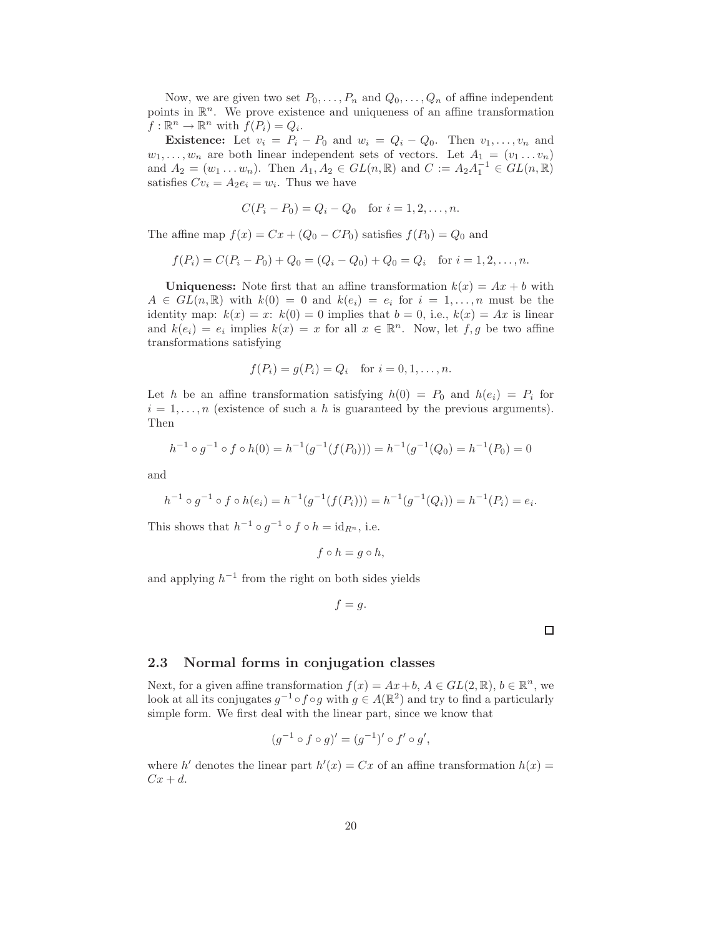Now, we are given two set  $P_0, \ldots, P_n$  and  $Q_0, \ldots, Q_n$  of affine independent points in  $\mathbb{R}^n$ . We prove existence and uniqueness of an affine transformation  $f: \mathbb{R}^n \to \mathbb{R}^n$  with  $f(P_i) = Q_i$ .

**Existence:** Let  $v_i = P_i - P_0$  and  $w_i = Q_i - Q_0$ . Then  $v_1, \ldots, v_n$  and  $w_1, \ldots, w_n$  are both linear independent sets of vectors. Let  $A_1 = (v_1 \ldots v_n)$ and  $A_2 = (w_1 \dots w_n)$ . Then  $A_1, A_2 \in GL(n, \mathbb{R})$  and  $C := A_2 A_1^{-1} \in GL(n, \mathbb{R})$ satisfies  $Cv_i = A_2e_i = w_i$ . Thus we have

$$
C(P_i - P_0) = Q_i - Q_0
$$
 for  $i = 1, 2, ..., n$ .

The affine map  $f(x) = Cx + (Q_0 - CP_0)$  satisfies  $f(P_0) = Q_0$  and

$$
f(P_i) = C(P_i - P_0) + Q_0 = (Q_i - Q_0) + Q_0 = Q_i \text{ for } i = 1, 2, ..., n.
$$

Uniqueness: Note first that an affine transformation  $k(x) = Ax + b$  with  $A \in GL(n,\mathbb{R})$  with  $k(0) = 0$  and  $k(e_i) = e_i$  for  $i = 1,\ldots,n$  must be the identity map:  $k(x) = x$ :  $k(0) = 0$  implies that  $b = 0$ , i.e.,  $k(x) = Ax$  is linear and  $k(e_i) = e_i$  implies  $k(x) = x$  for all  $x \in \mathbb{R}^n$ . Now, let  $f, g$  be two affine transformations satisfying

$$
f(P_i) = g(P_i) = Q_i
$$
 for  $i = 0, 1, ..., n$ .

Let h be an affine transformation satisfying  $h(0) = P_0$  and  $h(e_i) = P_i$  for  $i = 1, \ldots, n$  (existence of such a h is guaranteed by the previous arguments). Then

$$
h^{-1} \circ g^{-1} \circ f \circ h(0) = h^{-1}(g^{-1}(f(P_0))) = h^{-1}(g^{-1}(Q_0)) = h^{-1}(P_0) = 0
$$

and

$$
h^{-1} \circ g^{-1} \circ f \circ h(e_i) = h^{-1}(g^{-1}(f(P_i))) = h^{-1}(g^{-1}(Q_i)) = h^{-1}(P_i) = e_i.
$$

This shows that  $h^{-1} \circ g^{-1} \circ f \circ h = \text{id}_{R^n}$ , i.e.

$$
f \circ h = g \circ h,
$$

and applying  $h^{-1}$  from the right on both sides yields

$$
f=g.
$$

 $\Box$ 

#### 2.3 Normal forms in conjugation classes

Next, for a given affine transformation  $f(x) = Ax + b$ ,  $A \in GL(2, \mathbb{R})$ ,  $b \in \mathbb{R}^n$ , we look at all its conjugates  $g^{-1} \circ f \circ g$  with  $g \in A(\mathbb{R}^2)$  and try to find a particularly simple form. We first deal with the linear part, since we know that

$$
(g^{-1} \circ f \circ g)' = (g^{-1})' \circ f' \circ g',
$$

where h' denotes the linear part  $h'(x) = Cx$  of an affine transformation  $h(x) =$  $Cx + d$ .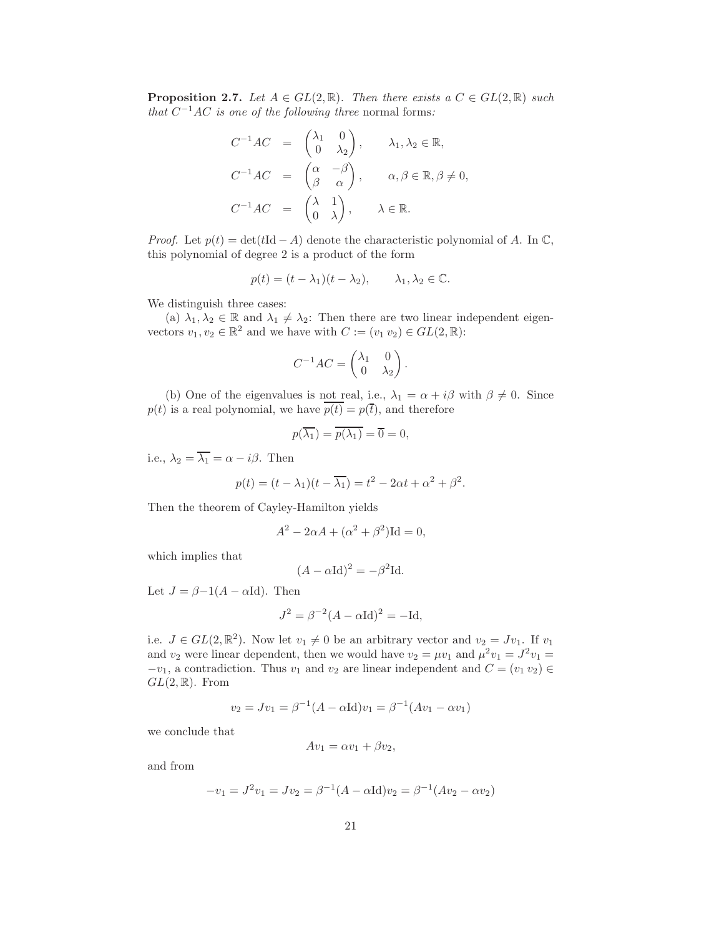**Proposition 2.7.** *Let*  $A \in GL(2, \mathbb{R})$ *. Then there exists a*  $C \in GL(2, \mathbb{R})$  *such that*  $C^{-1}AC$  *is one of the following three* normal forms:

$$
C^{-1}AC = \begin{pmatrix} \lambda_1 & 0 \\ 0 & \lambda_2 \end{pmatrix}, \qquad \lambda_1, \lambda_2 \in \mathbb{R},
$$
  
\n
$$
C^{-1}AC = \begin{pmatrix} \alpha & -\beta \\ \beta & \alpha \end{pmatrix}, \qquad \alpha, \beta \in \mathbb{R}, \beta \neq 0,
$$
  
\n
$$
C^{-1}AC = \begin{pmatrix} \lambda & 1 \\ 0 & \lambda \end{pmatrix}, \qquad \lambda \in \mathbb{R}.
$$

*Proof.* Let  $p(t) = det(tId - A)$  denote the characteristic polynomial of A. In  $\mathbb{C}$ , this polynomial of degree 2 is a product of the form

$$
p(t) = (t - \lambda_1)(t - \lambda_2), \qquad \lambda_1, \lambda_2 \in \mathbb{C}.
$$

We distinguish three cases:

(a)  $\lambda_1, \lambda_2 \in \mathbb{R}$  and  $\lambda_1 \neq \lambda_2$ : Then there are two linear independent eigenvectors  $v_1, v_2 \in \mathbb{R}^2$  and we have with  $C := (v_1, v_2) \in GL(2, \mathbb{R})$ :

$$
C^{-1}AC = \begin{pmatrix} \lambda_1 & 0 \\ 0 & \lambda_2 \end{pmatrix}.
$$

(b) One of the eigenvalues is not real, i.e.,  $\lambda_1 = \alpha + i\beta$  with  $\beta \neq 0$ . Since  $p(t)$  is a real polynomial, we have  $p(t) = p(\bar{t})$ , and therefore

$$
p(\overline{\lambda_1}) = \overline{p(\lambda_1)} = \overline{0} = 0,
$$

i.e.,  $\lambda_2 = \overline{\lambda_1} = \alpha - i\beta$ . Then

$$
p(t) = (t - \lambda_1)(t - \overline{\lambda_1}) = t^2 - 2\alpha t + \alpha^2 + \beta^2.
$$

Then the theorem of Cayley-Hamilton yields

$$
A^2 - 2\alpha A + (\alpha^2 + \beta^2) \text{Id} = 0,
$$

which implies that

$$
(A - \alpha \mathrm{Id})^2 = -\beta^2 \mathrm{Id}.
$$

Let  $J = \beta - 1(A - \alpha \text{Id})$ . Then

$$
J^2 = \beta^{-2}(A - \alpha \mathrm{Id})^2 = -\mathrm{Id},
$$

i.e.  $J \in GL(2,\mathbb{R}^2)$ . Now let  $v_1 \neq 0$  be an arbitrary vector and  $v_2 = Jv_1$ . If  $v_1$ and  $v_2$  were linear dependent, then we would have  $v_2 = \mu v_1$  and  $\mu^2 v_1 = J^2 v_1 =$  $-v_1$ , a contradiction. Thus  $v_1$  and  $v_2$  are linear independent and  $C = (v_1, v_2) \in$  $GL(2,\mathbb{R})$ . From

$$
v_2 = Jv_1 = \beta^{-1}(A - \alpha \text{Id})v_1 = \beta^{-1}(Av_1 - \alpha v_1)
$$

we conclude that

$$
Av_1 = \alpha v_1 + \beta v_2,
$$

and from

$$
-v_1 = J^2 v_1 = Jv_2 = \beta^{-1}(A - \alpha \text{Id})v_2 = \beta^{-1}(Av_2 - \alpha v_2)
$$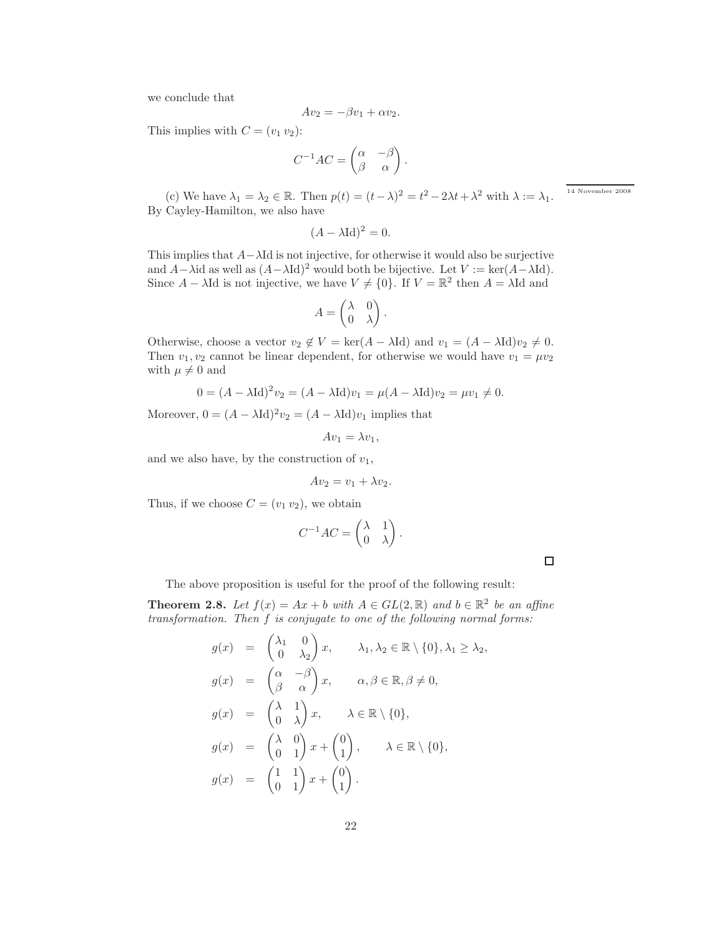we conclude that

$$
Av_2 = -\beta v_1 + \alpha v_2.
$$

This implies with  $C = (v_1 v_2)$ :

$$
C^{-1}AC = \begin{pmatrix} \alpha & -\beta \\ \beta & \alpha \end{pmatrix}.
$$

(c) We have  $\lambda_1 = \lambda_2 \in \mathbb{R}$ . Then  $p(t) = (t - \lambda)^2 = t^2 - 2\lambda t + \lambda^2$  with  $\lambda := \lambda_1$ . By Cayley-Hamilton, we also have

$$
(A - \lambda \mathrm{Id})^2 = 0.
$$

This implies that  $A-\lambda \mathrm{Id}$  is not injective, for otherwise it would also be surjective and  $A-\lambda$ id as well as  $(A-\lambda Id)^2$  would both be bijective. Let  $V := \text{ker}(A-\lambda Id)$ . Since  $A - \lambda \text{Id}$  is not injective, we have  $V \neq \{0\}$ . If  $V = \mathbb{R}^2$  then  $A = \lambda \text{Id}$  and

$$
A = \begin{pmatrix} \lambda & 0 \\ 0 & \lambda \end{pmatrix}.
$$

Otherwise, choose a vector  $v_2 \notin V = \text{ker}(A - \lambda \text{Id})$  and  $v_1 = (A - \lambda \text{Id})v_2 \neq 0$ . Then  $v_1, v_2$  cannot be linear dependent, for otherwise we would have  $v_1 = \mu v_2$ with  $\mu \neq 0$  and

$$
0 = (A - \lambda \text{Id})^2 v_2 = (A - \lambda \text{Id})v_1 = \mu(A - \lambda \text{Id})v_2 = \mu v_1 \neq 0.
$$

Moreover,  $0 = (A - \lambda \text{Id})^2 v_2 = (A - \lambda \text{Id})v_1$  implies that

$$
Av_1 = \lambda v_1,
$$

and we also have, by the construction of  $v_1$ ,

$$
Av_2 = v_1 + \lambda v_2.
$$

Thus, if we choose  $C = (v_1 v_2)$ , we obtain

$$
C^{-1}AC = \begin{pmatrix} \lambda & 1 \\ 0 & \lambda \end{pmatrix}.
$$

 $\Box$ 

The above proposition is useful for the proof of the following result:

 $\sim$   $\sim$ 

**Theorem 2.8.** Let  $f(x) = Ax + b$  with  $A \in GL(2, \mathbb{R})$  and  $b \in \mathbb{R}^2$  be an affine *transformation. Then* f *is conjugate to one of the following normal forms:*

$$
g(x) = \begin{pmatrix} \lambda_1 & 0 \\ 0 & \lambda_2 \end{pmatrix} x, \qquad \lambda_1, \lambda_2 \in \mathbb{R} \setminus \{0\}, \lambda_1 \ge \lambda_2,
$$
  
\n
$$
g(x) = \begin{pmatrix} \alpha & -\beta \\ \beta & \alpha \end{pmatrix} x, \qquad \alpha, \beta \in \mathbb{R}, \beta \ne 0,
$$
  
\n
$$
g(x) = \begin{pmatrix} \lambda & 1 \\ 0 & \lambda \end{pmatrix} x, \qquad \lambda \in \mathbb{R} \setminus \{0\},
$$
  
\n
$$
g(x) = \begin{pmatrix} \lambda & 0 \\ 0 & 1 \end{pmatrix} x + \begin{pmatrix} 0 \\ 1 \end{pmatrix}, \qquad \lambda \in \mathbb{R} \setminus \{0\},
$$
  
\n
$$
g(x) = \begin{pmatrix} 1 & 1 \\ 0 & 1 \end{pmatrix} x + \begin{pmatrix} 0 \\ 1 \end{pmatrix}.
$$

 $14$  November  $2008\,$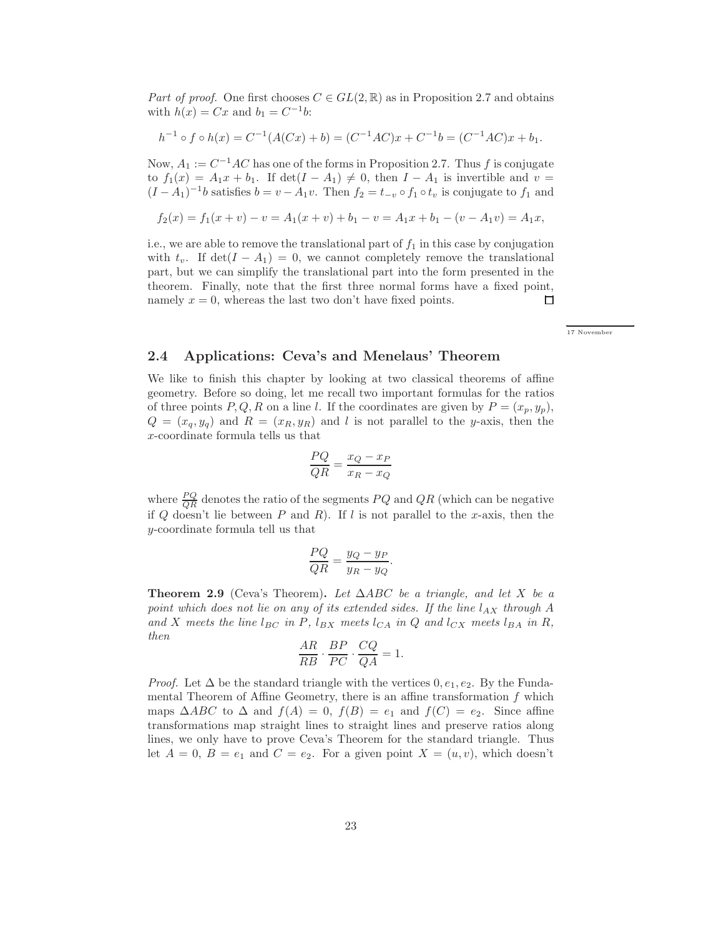*Part of proof.* One first chooses  $C \in GL(2, \mathbb{R})$  as in Proposition 2.7 and obtains with  $h(x) = Cx$  and  $b_1 = C^{-1}b$ :

$$
h^{-1} \circ f \circ h(x) = C^{-1}(A(Cx) + b) = (C^{-1}AC)x + C^{-1}b = (C^{-1}AC)x + b_1.
$$

Now,  $A_1 := C^{-1}AC$  has one of the forms in Proposition 2.7. Thus f is conjugate to  $f_1(x) = A_1x + b_1$ . If  $\det(I - A_1) \neq 0$ , then  $I - A_1$  is invertible and  $v =$  $(I - A_1)^{-1}b$  satisfies  $b = v - A_1v$ . Then  $f_2 = t_{-v} \circ f_1 \circ t_v$  is conjugate to  $f_1$  and

$$
f_2(x) = f_1(x + v) - v = A_1(x + v) + b_1 - v = A_1x + b_1 - (v - A_1v) = A_1x,
$$

i.e., we are able to remove the translational part of  $f_1$  in this case by conjugation with  $t_v$ . If  $\det(I - A_1) = 0$ , we cannot completely remove the translational part, but we can simplify the translational part into the form presented in the theorem. Finally, note that the first three normal forms have a fixed point, namely  $x = 0$ , whereas the last two don't have fixed points.  $\Box$ 

← → 17 November

#### 2.4 Applications: Ceva's and Menelaus' Theorem

We like to finish this chapter by looking at two classical theorems of affine geometry. Before so doing, let me recall two important formulas for the ratios of three points P, Q, R on a line l. If the coordinates are given by  $P = (x_p, y_p)$ ,  $Q = (x_q, y_q)$  and  $R = (x_R, y_R)$  and l is not parallel to the y-axis, then the x-coordinate formula tells us that

$$
\frac{PQ}{QR} = \frac{x_Q - x_P}{x_R - x_Q}
$$

where  $\frac{PQ}{QR}$  denotes the ratio of the segments  $PQ$  and  $QR$  (which can be negative if  $Q$  doesn't lie between  $P$  and  $R$ ). If  $l$  is not parallel to the x-axis, then the y-coordinate formula tell us that

$$
\frac{PQ}{QR} = \frac{y_Q - y_P}{y_R - y_Q}.
$$

Theorem 2.9 (Ceva's Theorem). *Let* ∆ABC *be a triangle, and let* X *be a point which does not lie on any of its extended sides. If the line*  $l_{AX}$  *through* A and X meets the line  $l_{BC}$  in P,  $l_{BX}$  meets  $l_{CA}$  *in* Q and  $l_{CX}$  meets  $l_{BA}$  *in* R, *then*

$$
\frac{AR}{RB} \cdot \frac{BP}{PC} \cdot \frac{CQ}{QA} = 1.
$$

*Proof.* Let  $\Delta$  be the standard triangle with the vertices  $0, e_1, e_2$ . By the Fundamental Theorem of Affine Geometry, there is an affine transformation  $f$  which maps  $\triangle ABC$  to  $\triangle$  and  $f(A) = 0$ ,  $f(B) = e_1$  and  $f(C) = e_2$ . Since affine transformations map straight lines to straight lines and preserve ratios along lines, we only have to prove Ceva's Theorem for the standard triangle. Thus let  $A = 0$ ,  $B = e_1$  and  $C = e_2$ . For a given point  $X = (u, v)$ , which doesn't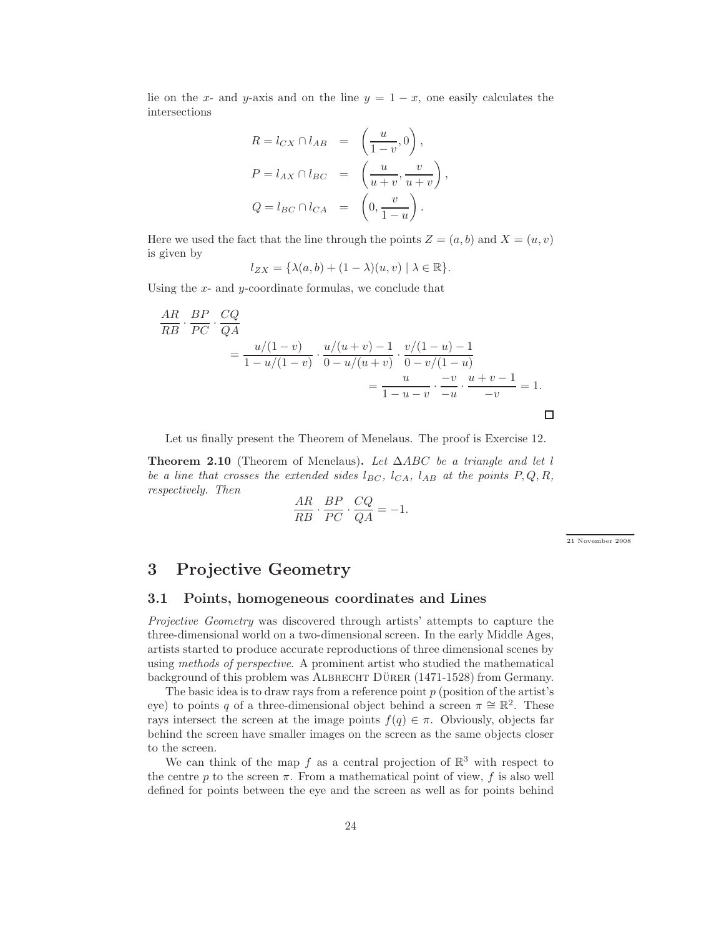lie on the x- and y-axis and on the line  $y = 1 - x$ , one easily calculates the intersections

$$
R = l_{CX} \cap l_{AB} = \left(\frac{u}{1-v}, 0\right),
$$
  
\n
$$
P = l_{AX} \cap l_{BC} = \left(\frac{u}{u+v}, \frac{v}{u+v}\right),
$$
  
\n
$$
Q = l_{BC} \cap l_{CA} = \left(0, \frac{v}{1-u}\right).
$$

Here we used the fact that the line through the points  $Z = (a, b)$  and  $X = (u, v)$ is given by

$$
l_{ZX} = \{\lambda(a, b) + (1 - \lambda)(u, v) \mid \lambda \in \mathbb{R}\}.
$$

Using the  $x$ - and  $y$ -coordinate formulas, we conclude that

$$
\frac{AR}{RB} \cdot \frac{BP}{PC} \cdot \frac{CQ}{QA} = \frac{u/(1-v)}{1-u/(1-v)} \cdot \frac{u/(u+v)-1}{0-u/(u+v)} \cdot \frac{v/(1-u)-1}{0-v/(1-u)} = \frac{u}{1-u-v} \cdot \frac{-v}{-u} \cdot \frac{u+v-1}{-v} = 1.
$$

Let us finally present the Theorem of Menelaus. The proof is Exercise 12.

Theorem 2.10 (Theorem of Menelaus). *Let* ∆ABC *be a triangle and let* l *be a line that crosses the extended sides*  $l_{BC}$ ,  $l_{CA}$ ,  $l_{AB}$  *at the points*  $P, Q, R$ , *respectively. Then*

$$
\frac{AR}{RB} \cdot \frac{BP}{PC} \cdot \frac{CQ}{QA} = -1.
$$

← → 21 November 2008

### 3 Projective Geometry

#### 3.1 Points, homogeneous coordinates and Lines

*Projective Geometry* was discovered through artists' attempts to capture the three-dimensional world on a two-dimensional screen. In the early Middle Ages, artists started to produce accurate reproductions of three dimensional scenes by using *methods of perspective*. A prominent artist who studied the mathematical background of this problem was ALBRECHT DÜRER (1471-1528) from Germany.

The basic idea is to draw rays from a reference point  $p$  (position of the artist's eye) to points q of a three-dimensional object behind a screen  $\pi \cong \mathbb{R}^2$ . These rays intersect the screen at the image points  $f(q) \in \pi$ . Obviously, objects far behind the screen have smaller images on the screen as the same objects closer to the screen.

We can think of the map f as a central projection of  $\mathbb{R}^3$  with respect to the centre p to the screen  $\pi$ . From a mathematical point of view, f is also well defined for points between the eye and the screen as well as for points behind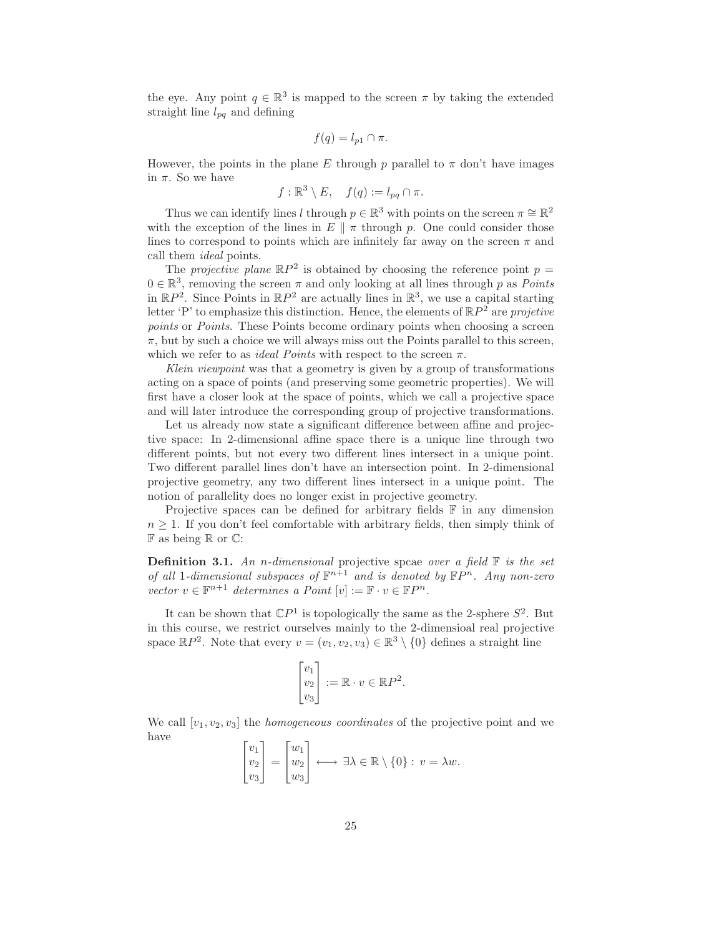the eye. Any point  $q \in \mathbb{R}^3$  is mapped to the screen  $\pi$  by taking the extended straight line  $l_{pq}$  and defining

$$
f(q) = l_{p1} \cap \pi.
$$

However, the points in the plane E through p parallel to  $\pi$  don't have images in  $\pi$ . So we have

$$
f: \mathbb{R}^3 \setminus E, \quad f(q) := l_{pq} \cap \pi.
$$

Thus we can identify lines l through  $p \in \mathbb{R}^3$  with points on the screen  $\pi \cong \mathbb{R}^2$ with the exception of the lines in  $E \parallel \pi$  through p. One could consider those lines to correspond to points which are infinitely far away on the screen  $\pi$  and call them *ideal* points.

The *projective plane*  $\mathbb{R}P^2$  is obtained by choosing the reference point  $p =$  $0 \in \mathbb{R}^3$ , removing the screen  $\pi$  and only looking at all lines through p as *Points* in  $\mathbb{R}P^2$ . Since Points in  $\mathbb{R}P^2$  are actually lines in  $\mathbb{R}^3$ , we use a capital starting letter 'P' to emphasize this distinction. Hence, the elements of RP <sup>2</sup> are *projetive points* or *Points*. These Points become ordinary points when choosing a screen  $\pi$ , but by such a choice we will always miss out the Points parallel to this screen, which we refer to as *ideal Points* with respect to the screen  $\pi$ .

*Klein viewpoint* was that a geometry is given by a group of transformations acting on a space of points (and preserving some geometric properties). We will first have a closer look at the space of points, which we call a projective space and will later introduce the corresponding group of projective transformations.

Let us already now state a significant difference between affine and projective space: In 2-dimensional affine space there is a unique line through two different points, but not every two different lines intersect in a unique point. Two different parallel lines don't have an intersection point. In 2-dimensional projective geometry, any two different lines intersect in a unique point. The notion of parallelity does no longer exist in projective geometry.

Projective spaces can be defined for arbitrary fields  $\mathbb F$  in any dimension  $n \geq 1$ . If you don't feel comfortable with arbitrary fields, then simply think of  $\mathbb F$  as being  $\mathbb R$  or  $\mathbb C$ :

Definition 3.1. *An* n*-dimensional* projective spcae *over a field* F *is the set of all* 1-dimensional subspaces of  $\mathbb{F}^{n+1}$  and is denoted by  $\mathbb{F}P^n$ . Any non-zero *vector*  $v \in \mathbb{F}^{n+1}$  *determines* a *Point*  $[v] := \mathbb{F} \cdot v \in \mathbb{F}P^n$ *.* 

It can be shown that  $\mathbb{C}P^1$  is topologically the same as the 2-sphere  $S^2$ . But in this course, we restrict ourselves mainly to the 2-dimensioal real projective space  $\mathbb{R}P^2$ . Note that every  $v = (v_1, v_2, v_3) \in \mathbb{R}^3 \setminus \{0\}$  defines a straight line

$$
\begin{bmatrix} v_1 \\ v_2 \\ v_3 \end{bmatrix} := \mathbb{R} \cdot v \in \mathbb{R}P^2.
$$

We call  $[v_1, v_2, v_3]$  the *homogeneous coordinates* of the projective point and we have

$$
\begin{bmatrix} v_1 \\ v_2 \\ v_3 \end{bmatrix} = \begin{bmatrix} w_1 \\ w_2 \\ w_3 \end{bmatrix} \longleftrightarrow \exists \lambda \in \mathbb{R} \setminus \{0\} : v = \lambda w.
$$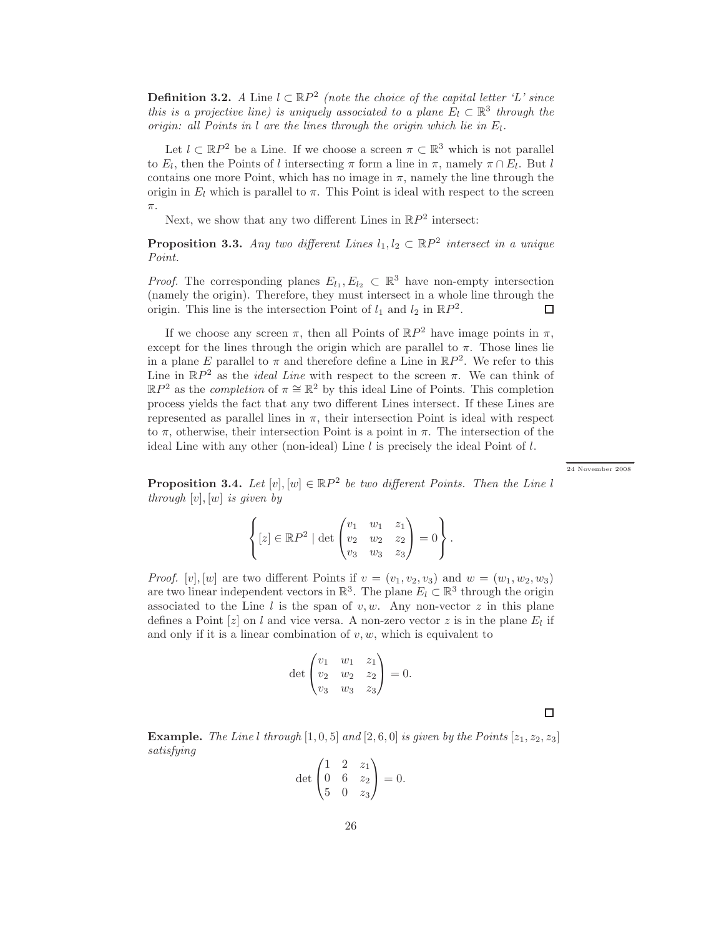**Definition 3.2.** *A* Line  $l \text{ }\subset \mathbb{R}P^2$  (note the choice of the capital letter 'L' since *this is a projective line) is uniquely associated to a plane*  $E_l \subset \mathbb{R}^3$  *through the origin: all Points in l are the lines through the origin which lie in*  $E_l$ .

Let  $l \subset \mathbb{R}P^2$  be a Line. If we choose a screen  $\pi \subset \mathbb{R}^3$  which is not parallel to  $E_l$ , then the Points of l intersecting  $\pi$  form a line in  $\pi$ , namely  $\pi \cap E_l$ . But l contains one more Point, which has no image in  $\pi$ , namely the line through the origin in  $E_l$  which is parallel to  $\pi$ . This Point is ideal with respect to the screen π.

Next, we show that any two different Lines in  $\mathbb{R}P^2$  intersect:

**Proposition 3.3.** Any two different Lines  $l_1, l_2 \,\subset \mathbb{R}P^2$  intersect in a unique *Point.*

*Proof.* The corresponding planes  $E_{l_1}, E_{l_2} \subset \mathbb{R}^3$  have non-empty intersection (namely the origin). Therefore, they must intersect in a whole line through the origin. This line is the intersection Point of  $l_1$  and  $l_2$  in  $\mathbb{R}P^2$ . □

If we choose any screen  $\pi$ , then all Points of  $\mathbb{R}P^2$  have image points in  $\pi$ , except for the lines through the origin which are parallel to  $\pi$ . Those lines lie in a plane E parallel to  $\pi$  and therefore define a Line in  $\mathbb{R}P^2$ . We refer to this Line in  $\mathbb{R}P^2$  as the *ideal Line* with respect to the screen  $\pi$ . We can think of  $\mathbb{R}P^2$  as the *completion* of  $\pi \cong \mathbb{R}^2$  by this ideal Line of Points. This completion process yields the fact that any two different Lines intersect. If these Lines are represented as parallel lines in  $\pi$ , their intersection Point is ideal with respect to  $\pi$ , otherwise, their intersection Point is a point in  $\pi$ . The intersection of the ideal Line with any other (non-ideal) Line  $l$  is precisely the ideal Point of  $l$ .

←<br>24 November 2008

**Proposition 3.4.** Let  $[v], [w] \in \mathbb{R}P^2$  be two different Points. Then the Line l *through* [v], [w] *is given by*

$$
\left\{ [z] \in \mathbb{R}P^2 \mid \det \begin{pmatrix} v_1 & w_1 & z_1 \\ v_2 & w_2 & z_2 \\ v_3 & w_3 & z_3 \end{pmatrix} = 0 \right\}.
$$

*Proof.* [v], [w] are two different Points if  $v = (v_1, v_2, v_3)$  and  $w = (w_1, w_2, w_3)$ are two linear independent vectors in  $\mathbb{R}^3$ . The plane  $E_l \subset \mathbb{R}^3$  through the origin associated to the Line l is the span of  $v, w$ . Any non-vector z in this plane defines a Point  $[z]$  on l and vice versa. A non-zero vector z is in the plane  $E_l$  if and only if it is a linear combination of  $v, w$ , which is equivalent to

$$
\det \begin{pmatrix} v_1 & w_1 & z_1 \\ v_2 & w_2 & z_2 \\ v_3 & w_3 & z_3 \end{pmatrix} = 0.
$$

 $\Box$ 

**Example.** The Line l through  $[1, 0, 5]$  and  $[2, 6, 0]$  is given by the Points  $[z_1, z_2, z_3]$ *satisfying*

$$
\det \begin{pmatrix} 1 & 2 & z_1 \\ 0 & 6 & z_2 \\ 5 & 0 & z_3 \end{pmatrix} = 0.
$$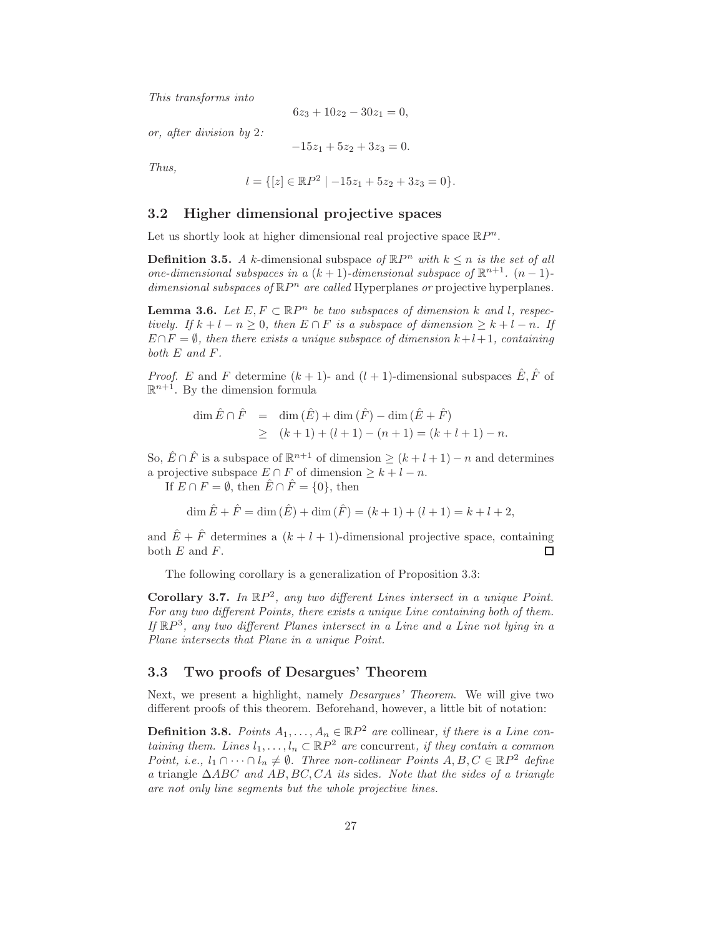*This transforms into*

$$
6z_3 + 10z_2 - 30z_1 = 0,
$$

*or, after division by* 2*:*

$$
-15z_1 + 5z_2 + 3z_3 = 0.
$$

*Thus,*

$$
l = \{ [z] \in \mathbb{R}P^2 \mid -15z_1 + 5z_2 + 3z_3 = 0 \}.
$$

#### 3.2 Higher dimensional projective spaces

Let us shortly look at higher dimensional real projective space  $\mathbb{R}P^n$ .

**Definition 3.5.** *A* k-dimensional subspace of  $\mathbb{R}P^n$  with  $k \leq n$  is the set of all *one-dimensional subspaces in a*  $(k + 1)$ *-dimensional subspace of*  $\mathbb{R}^{n+1}$ *.*  $(n - 1)$ dimensional subspaces of  $\mathbb{R}P^n$  are called Hyperplanes or projective hyperplanes.

**Lemma 3.6.** *Let*  $E, F \subset \mathbb{R}P^n$  *be two subspaces of dimension* k and l, respec*tively. If*  $k + l - n \geq 0$ *, then*  $E \cap F$  *is a subspace of dimension*  $\geq k + l - n$ *. If*  $E \cap F = \emptyset$ , then there exists a unique subspace of dimension  $k+l+1$ , containing *both* E *and* F*.*

*Proof.* E and F determine  $(k + 1)$ - and  $(l + 1)$ -dimensional subspaces  $\hat{E}, \hat{F}$  of  $\mathbb{R}^{n+1}$ . By the dimension formula

$$
\dim \hat{E} \cap \hat{F} = \dim (\hat{E}) + \dim (\hat{F}) - \dim (\hat{E} + \hat{F})
$$
  
\n
$$
\geq (k+1) + (l+1) - (n+1) = (k+l+1) - n.
$$

So,  $\hat{E} \cap \hat{F}$  is a subspace of  $\mathbb{R}^{n+1}$  of dimension  $\geq (k+l+1) - n$  and determines a projective subspace  $E \cap F$  of dimension  $\geq k + l - n$ .

If  $E \cap F = \emptyset$ , then  $\hat{E} \cap \hat{F} = \{0\}$ , then

$$
\dim \hat{E} + \hat{F} = \dim (\hat{E}) + \dim (\hat{F}) = (k+1) + (l+1) = k + l + 2,
$$

and  $\hat{E} + \hat{F}$  determines a  $(k+l+1)$ -dimensional projective space, containing both  $E$  and  $F$ . □

The following corollary is a generalization of Proposition 3.3:

Corollary 3.7. In  $\mathbb{R}P^2$ , any two different Lines intersect in a unique Point. *For any two different Points, there exists a unique Line containing both of them.* If  $\mathbb{R}P^3$ , any two different Planes intersect in a Line and a Line not lying in a *Plane intersects that Plane in a unique Point.*

#### 3.3 Two proofs of Desargues' Theorem

Next, we present a highlight, namely *Desargues' Theorem*. We will give two different proofs of this theorem. Beforehand, however, a little bit of notation:

**Definition 3.8.** *Points*  $A_1, \ldots, A_n \in \mathbb{R}P^2$  *are* collinear, *if there is a Line containing them. Lines*  $l_1, \ldots, l_n \subset \mathbb{R}P^2$  *are* concurrent, *if they contain a common Point, i.e.,*  $l_1 \cap \cdots \cap l_n \neq \emptyset$ . Three non-collinear Points  $A, B, C \in \mathbb{R}P^2$  define *a* triangle ∆ABC *and* AB, BC, CA *its* sides*. Note that the sides of a triangle are not only line segments but the whole projective lines.*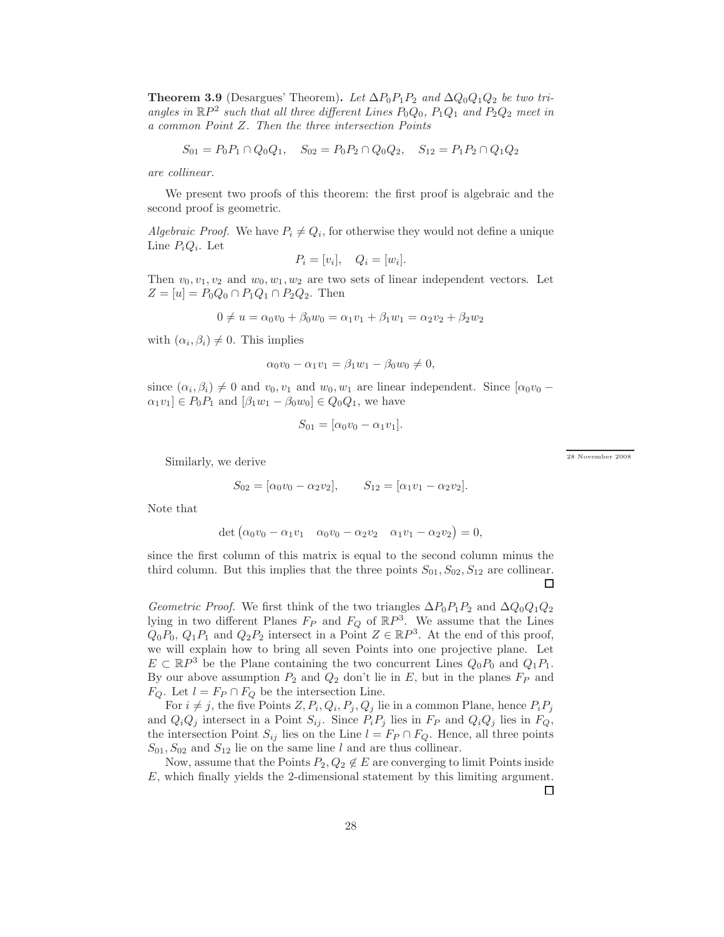Theorem 3.9 (Desargues' Theorem). Let  $\Delta P_0 P_1 P_2$  and  $\Delta Q_0 Q_1 Q_2$  be two triangles in  $\mathbb{R}P^2$  such that all three different Lines  $P_0Q_0$ ,  $P_1Q_1$  and  $P_2Q_2$  meet in *a common Point* Z*. Then the three intersection Points*

$$
S_{01} = P_0 P_1 \cap Q_0 Q_1, \quad S_{02} = P_0 P_2 \cap Q_0 Q_2, \quad S_{12} = P_1 P_2 \cap Q_1 Q_2
$$

*are collinear.*

We present two proofs of this theorem: the first proof is algebraic and the second proof is geometric.

*Algebraic Proof.* We have  $P_i \neq Q_i$ , for otherwise they would not define a unique Line  $P_iQ_i$ . Let

$$
P_i = [v_i], \quad Q_i = [w_i].
$$

Then  $v_0, v_1, v_2$  and  $w_0, w_1, w_2$  are two sets of linear independent vectors. Let  $Z = [u] = P_0 Q_0 \cap P_1 Q_1 \cap P_2 Q_2$ . Then

$$
0 \neq u = \alpha_0 v_0 + \beta_0 w_0 = \alpha_1 v_1 + \beta_1 w_1 = \alpha_2 v_2 + \beta_2 w_2
$$

with  $(\alpha_i, \beta_i) \neq 0$ . This implies

$$
\alpha_0 v_0 - \alpha_1 v_1 = \beta_1 w_1 - \beta_0 w_0 \neq 0,
$$

since  $(\alpha_i, \beta_i) \neq 0$  and  $v_0, v_1$  and  $w_0, w_1$  are linear independent. Since  $[\alpha_0 v_0 \alpha_1v_1 \in P_0P_1$  and  $\left[\beta_1w_1 - \beta_0w_0\right] \in Q_0Q_1$ , we have

$$
S_{01} = [\alpha_0 v_0 - \alpha_1 v_1].
$$

Similarly, we derive

$$
S_{02} = [\alpha_0 v_0 - \alpha_2 v_2], \qquad S_{12} = [\alpha_1 v_1 - \alpha_2 v_2].
$$

Note that

$$
\det \begin{pmatrix} \alpha_0 v_0 - \alpha_1 v_1 & \alpha_0 v_0 - \alpha_2 v_2 & \alpha_1 v_1 - \alpha_2 v_2 \end{pmatrix} = 0,
$$

since the first column of this matrix is equal to the second column minus the third column. But this implies that the three points  $S_{01}$ ,  $S_{02}$ ,  $S_{12}$  are collinear. □

*Geometric Proof.* We first think of the two triangles  $\Delta P_0 P_1 P_2$  and  $\Delta Q_0 Q_1 Q_2$ lying in two different Planes  $F_P$  and  $F_Q$  of  $\mathbb{R}P^3$ . We assume that the Lines  $Q_0P_0, Q_1P_1$  and  $Q_2P_2$  intersect in a Point  $Z \in \mathbb{R}P^3$ . At the end of this proof, we will explain how to bring all seven Points into one projective plane. Let  $E \subset \mathbb{R}P^3$  be the Plane containing the two concurrent Lines  $Q_0P_0$  and  $Q_1P_1$ . By our above assumption  $P_2$  and  $Q_2$  don't lie in E, but in the planes  $F_P$  and  $F_Q$ . Let  $l = F_P \cap F_Q$  be the intersection Line.

For  $i \neq j$ , the five Points  $Z, P_i, Q_i, P_j, Q_j$  lie in a common Plane, hence  $P_i P_j$ and  $Q_iQ_j$  intersect in a Point  $S_{ij}$ . Since  $P_iP_j$  lies in  $F_P$  and  $Q_iQ_j$  lies in  $F_Q$ , the intersection Point  $S_{ij}$  lies on the Line  $l = F_P \cap F_Q$ . Hence, all three points  $S_{01}, S_{02}$  and  $S_{12}$  lie on the same line l and are thus collinear.

Now, assume that the Points  $P_2, Q_2 \notin E$  are converging to limit Points inside E, which finally yields the 2-dimensional statement by this limiting argument.

□

.<br>28 November 2008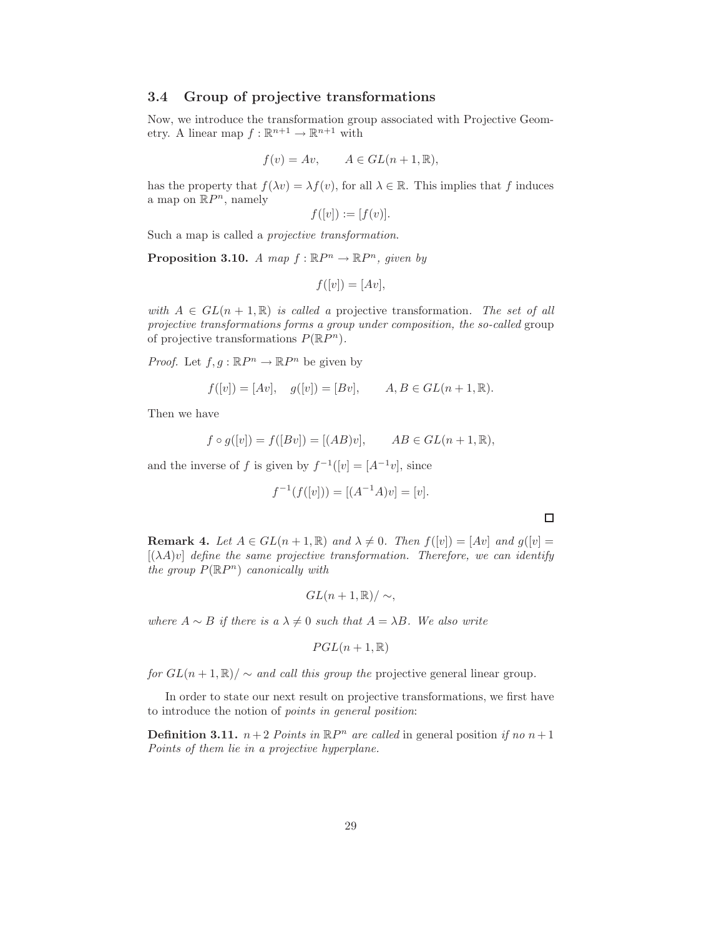#### 3.4 Group of projective transformations

Now, we introduce the transformation group associated with Projective Geometry. A linear map  $f : \mathbb{R}^{n+1} \to \mathbb{R}^{n+1}$  with

$$
f(v) = Av, \qquad A \in GL(n+1, \mathbb{R}),
$$

has the property that  $f(\lambda v) = \lambda f(v)$ , for all  $\lambda \in \mathbb{R}$ . This implies that f induces a map on  $\mathbb{R}P^n$ , namely

$$
f([v]) := [f(v)].
$$

Such a map is called a *projective transformation*.

**Proposition 3.10.** *A map*  $f : \mathbb{R}P^n \to \mathbb{R}P^n$ , given by

$$
f([v]) = [Av],
$$

*with*  $A \in GL(n+1,\mathbb{R})$  *is called a* projective transformation. The set of all *projective transformations forms a group under composition, the so-called* group of projective transformations  $P(\mathbb{R}P^n)$ .

*Proof.* Let  $f, g : \mathbb{R}P^n \to \mathbb{R}P^n$  be given by

$$
f([v]) = [Av], \quad g([v]) = [Bv], \qquad A, B \in GL(n+1, \mathbb{R}).
$$

Then we have

$$
f \circ g([v]) = f([Bv]) = [(AB)v], \qquad AB \in GL(n+1, \mathbb{R}),
$$

and the inverse of f is given by  $f^{-1}([v] = [A^{-1}v]$ , since

$$
f^{-1}(f([v])) = [(A^{-1}A)v] = [v].
$$

 $\Box$ 

**Remark 4.** *Let*  $A \in GL(n+1,\mathbb{R})$  *and*  $\lambda \neq 0$ *. Then*  $f([v]) = [Av]$  *and*  $g([v]) =$  $[(\lambda A)v]$  *define the same projective transformation. Therefore, we can identify the group*  $P(\mathbb{R}P^n)$  *canonically with* 

$$
GL(n+1,\mathbb{R})/\sim,
$$

*where*  $A \sim B$  *if there is a*  $\lambda \neq 0$  *such that*  $A = \lambda B$ *. We also write* 

$$
PGL(n+1,\mathbb{R})
$$

*for*  $GL(n+1,\mathbb{R})$ /  $\sim$  *and call this group the* projective general linear group.

In order to state our next result on projective transformations, we first have to introduce the notion of *points in general position*:

**Definition 3.11.**  $n+2$  *Points in*  $\mathbb{R}P^n$  *are called* in general position *if no*  $n+1$ *Points of them lie in a projective hyperplane.*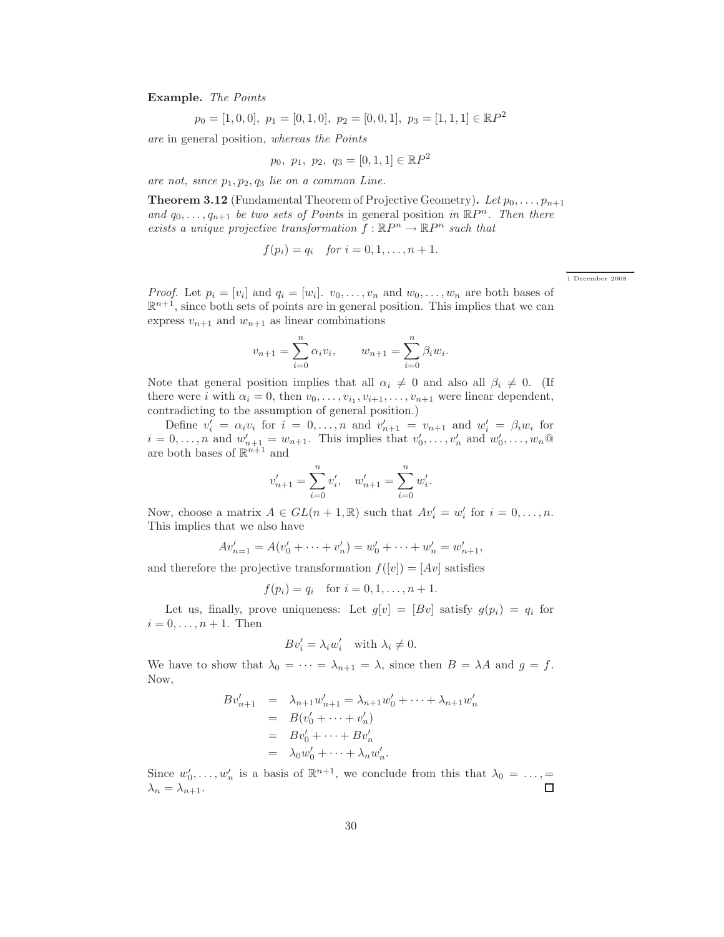Example. *The Points*

$$
p_0 = [1, 0, 0], p_1 = [0, 1, 0], p_2 = [0, 0, 1], p_3 = [1, 1, 1] \in \mathbb{R}P^2
$$

*are* in general position*, whereas the Points*

$$
p_0, p_1, p_2, q_3 = [0, 1, 1] \in \mathbb{R}P^2
$$

are not, since  $p_1, p_2, q_3$  *lie on a common Line.* 

**Theorem 3.12** (Fundamental Theorem of Projective Geometry). Let  $p_0, \ldots, p_{n+1}$ and  $q_0, \ldots, q_{n+1}$  *be two sets of Points* in general position *in*  $\mathbb{R}P^n$ *. Then there exists a unique projective transformation*  $f : \mathbb{R}P^n \to \mathbb{R}P^n$  *such that* 

$$
f(p_i) = q_i
$$
 for  $i = 0, 1, ..., n + 1$ .

←<br>1 December 2008

*Proof.* Let  $p_i = [v_i]$  and  $q_i = [w_i]$ .  $v_0, \ldots, v_n$  and  $w_0, \ldots, w_n$  are both bases of  $\mathbb{R}^{n+1}$ , since both sets of points are in general position. This implies that we can express  $v_{n+1}$  and  $w_{n+1}$  as linear combinations

$$
v_{n+1} = \sum_{i=0}^{n} \alpha_i v_i, \qquad w_{n+1} = \sum_{i=0}^{n} \beta_i w_i.
$$

Note that general position implies that all  $\alpha_i \neq 0$  and also all  $\beta_i \neq 0$ . (If there were *i* with  $\alpha_i = 0$ , then  $v_0, \ldots, v_{i_1}, v_{i+1}, \ldots, v_{n+1}$  were linear dependent, contradicting to the assumption of general position.)

Define  $v'_i = \alpha_i v_i$  for  $i = 0, \ldots, n$  and  $v'_{n+1} = v_{n+1}$  and  $w'_i = \beta_i w_i$  for  $i = 0, \ldots, n$  and  $w'_{n+1} = w_{n+1}$ . This implies that  $v'_0, \ldots, v'_n$  and  $w'_0, \ldots, w_n$  @ are both bases of  $\mathbb{R}^{n+1}$  and

$$
v'_{n+1} = \sum_{i=0}^{n} v'_i, \quad w'_{n+1} = \sum_{i=0}^{n} w'_i.
$$

Now, choose a matrix  $A \in GL(n+1,\mathbb{R})$  such that  $Av'_i = w'_i$  for  $i = 0, \ldots, n$ . This implies that we also have

$$
Av'_{n=1} = A(v'_0 + \dots + v'_n) = w'_0 + \dots + w'_n = w'_{n+1},
$$

and therefore the projective transformation  $f([v]) = [Av]$  satisfies

 $f(p_i) = q_i$  for  $i = 0, 1, ..., n + 1$ .

Let us, finally, prove uniqueness: Let  $g[v] = [Bv]$  satisfy  $g(p_i) = q_i$  for  $i = 0, \ldots, n + 1$ . Then

$$
Bv_i' = \lambda_i w_i' \quad \text{with } \lambda_i \neq 0.
$$

We have to show that  $\lambda_0 = \cdots = \lambda_{n+1} = \lambda$ , since then  $B = \lambda A$  and  $g = f$ . Now,

$$
Bv'_{n+1} = \lambda_{n+1}w'_{n+1} = \lambda_{n+1}w'_{0} + \dots + \lambda_{n+1}w'_{n}
$$
  
=  $B(v'_{0} + \dots + v'_{n})$   
=  $Bv'_{0} + \dots + Bv'_{n}$   
=  $\lambda_{0}w'_{0} + \dots + \lambda_{n}w'_{n}$ .

Since  $w'_0, \ldots, w'_n$  is a basis of  $\mathbb{R}^{n+1}$ , we conclude from this that  $\lambda_0 = \ldots$ ,  $\lambda_n = \lambda_{n+1}.$ □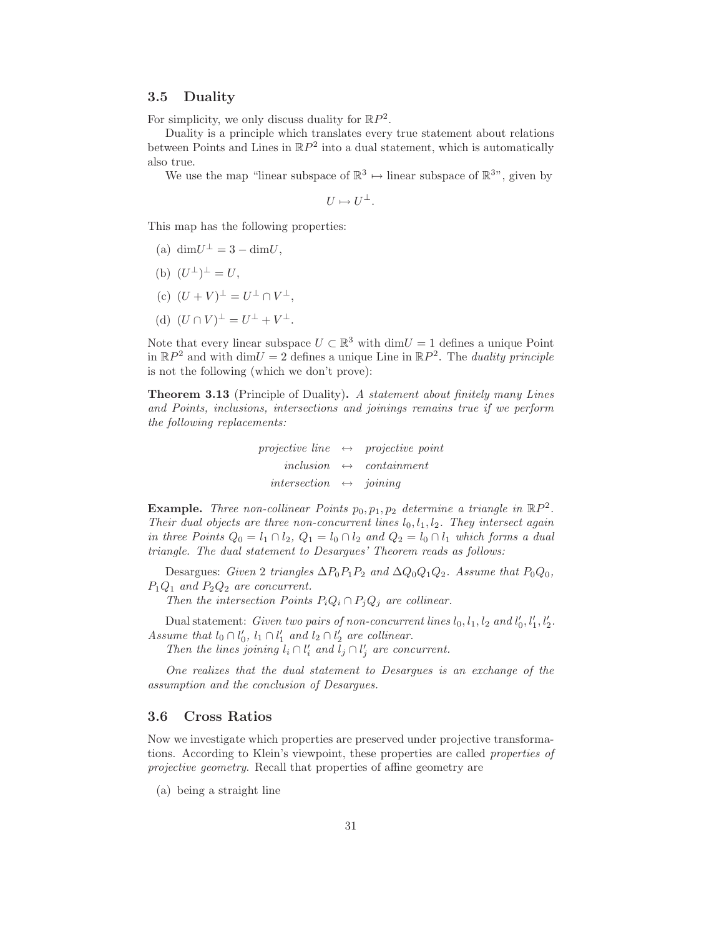#### 3.5 Duality

For simplicity, we only discuss duality for  $\mathbb{R}P^2$ .

Duality is a principle which translates every true statement about relations between Points and Lines in  $\mathbb{R}P^2$  into a dual statement, which is automatically also true.

We use the map "linear subspace of  $\mathbb{R}^3 \mapsto$  linear subspace of  $\mathbb{R}^3$ ", given by

$$
U\mapsto U^{\perp}.
$$

This map has the following properties:

- (a)  $\dim U^{\perp} = 3 \dim U$ ,
- (b)  $(U^{\perp})^{\perp} = U,$
- (c)  $(U + V)^{\perp} = U^{\perp} \cap V^{\perp}$ ,
- (d)  $(U \cap V)^{\perp} = U^{\perp} + V^{\perp}.$

Note that every linear subspace  $U \subset \mathbb{R}^3$  with  $\dim U = 1$  defines a unique Point in  $\mathbb{R}P^2$  and with  $\dim U = 2$  defines a unique Line in  $\mathbb{R}P^2$ . The *duality principle* is not the following (which we don't prove):

Theorem 3.13 (Principle of Duality). *A statement about finitely many Lines and Points, inclusions, intersections and joinings remains true if we perform the following replacements:*

> *projective line* ↔ *projective point*  $inclusion \leftrightarrow containment$ *intersection* ↔ *joining*

**Example.** Three non-collinear Points  $p_0, p_1, p_2$  determine a triangle in  $\mathbb{R}P^2$ . *Their dual objects are three non-concurrent lines*  $l_0, l_1, l_2$ *. They intersect again in three Points*  $Q_0 = l_1 \cap l_2$ ,  $Q_1 = l_0 \cap l_2$  *and*  $Q_2 = l_0 \cap l_1$  *which forms a dual triangle. The dual statement to Desargues' Theorem reads as follows:*

Desargues: *Given* 2 *triangles*  $\Delta P_0 P_1 P_2$  *and*  $\Delta Q_0 Q_1 Q_2$ *. Assume that*  $P_0 Q_0$ *,* P1Q<sup>1</sup> *and* P2Q<sup>2</sup> *are concurrent.*

*Then the intersection Points*  $P_iQ_i \cap P_jQ_j$  *are collinear.* 

Dual statement: *Given two pairs of non-concurrent lines*  $l_0, l_1, l_2$  and  $l'_0, l'_1, l'_2$ . *Assume that*  $l_0 \cap l'_0$ ,  $l_1 \cap l'_1$  *and*  $l_2 \cap l'_2$  *are collinear.* 

*Then the lines joining*  $l_i \cap l'_i$  *and*  $l_j \cap l'_j$  *are concurrent.* 

*One realizes that the dual statement to Desargues is an exchange of the assumption and the conclusion of Desargues.*

#### 3.6 Cross Ratios

Now we investigate which properties are preserved under projective transformations. According to Klein's viewpoint, these properties are called *properties of projective geometry*. Recall that properties of affine geometry are

(a) being a straight line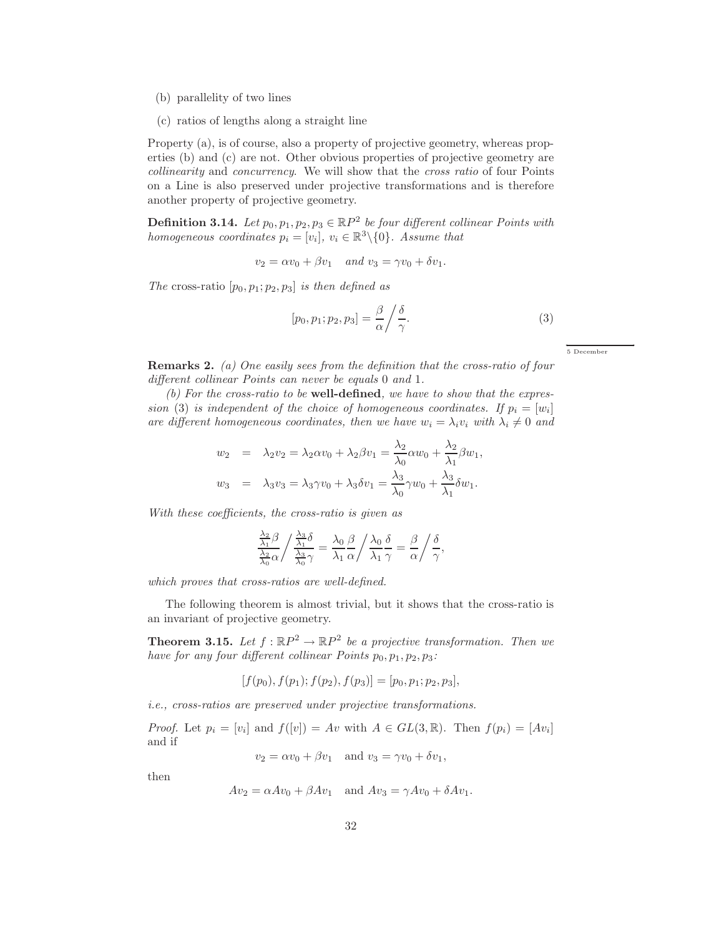- (b) parallelity of two lines
- (c) ratios of lengths along a straight line

Property (a), is of course, also a property of projective geometry, whereas properties (b) and (c) are not. Other obvious properties of projective geometry are *collinearity* and *concurrency*. We will show that the *cross ratio* of four Points on a Line is also preserved under projective transformations and is therefore another property of projective geometry.

**Definition 3.14.** Let  $p_0, p_1, p_2, p_3 \in \mathbb{R}P^2$  be four different collinear Points with *homogeneous coordinates*  $p_i = [v_i], v_i \in \mathbb{R}^3 \setminus \{0\}$ *. Assume that* 

 $v_2 = \alpha v_0 + \beta v_1$  *and*  $v_3 = \gamma v_0 + \delta v_1$ .

*The* cross-ratio  $[p_0, p_1; p_2, p_3]$  *is then defined as* 

$$
[p_0, p_1; p_2, p_3] = \frac{\beta}{\alpha} \bigg/ \frac{\delta}{\gamma}.
$$
 (3)

5 December

← →

Remarks 2. *(a) One easily sees from the definition that the cross-ratio of four different collinear Points can never be equals* 0 *and* 1*.*

*(b) For the cross-ratio to be* well-defined*, we have to show that the expression* (3) *is independent of the choice of homogeneous coordinates. If*  $p_i = [w_i]$ *are different homogeneous coordinates, then we have*  $w_i = \lambda_i v_i$  *with*  $\lambda_i \neq 0$  *and* 

$$
w_2 = \lambda_2 v_2 = \lambda_2 \alpha v_0 + \lambda_2 \beta v_1 = \frac{\lambda_2}{\lambda_0} \alpha w_0 + \frac{\lambda_2}{\lambda_1} \beta w_1,
$$
  

$$
w_3 = \lambda_3 v_3 = \lambda_3 \gamma v_0 + \lambda_3 \delta v_1 = \frac{\lambda_3}{\lambda_0} \gamma w_0 + \frac{\lambda_3}{\lambda_1} \delta w_1.
$$

*With these coefficients, the cross-ratio is given as*

$$
\frac{\frac{\lambda_2}{\lambda_1}\beta}{\frac{\lambda_2}{\lambda_0}\alpha} / \frac{\frac{\lambda_3}{\lambda_1}\delta}{\frac{\lambda_3}{\lambda_0}\gamma} = \frac{\lambda_0}{\lambda_1} \frac{\beta}{\alpha} / \frac{\lambda_0}{\lambda_1} \frac{\delta}{\gamma} = \frac{\beta}{\alpha} / \frac{\delta}{\gamma},
$$

*which proves that cross-ratios are well-defined.*

The following theorem is almost trivial, but it shows that the cross-ratio is an invariant of projective geometry.

**Theorem 3.15.** Let  $f : \mathbb{R}P^2 \to \mathbb{R}P^2$  be a projective transformation. Then we *have for any four different collinear Points*  $p_0, p_1, p_2, p_3$ :

$$
[f(p_0), f(p_1); f(p_2), f(p_3)] = [p_0, p_1; p_2, p_3],
$$

*i.e., cross-ratios are preserved under projective transformations.*

*Proof.* Let  $p_i = [v_i]$  and  $f([v]) = Av$  with  $A \in GL(3, \mathbb{R})$ . Then  $f(p_i) = [Av_i]$ and if

 $v_2 = \alpha v_0 + \beta v_1$  and  $v_3 = \gamma v_0 + \delta v_1$ ,

then

$$
Av_2 = \alpha Av_0 + \beta Av_1 \quad \text{and } Av_3 = \gamma Av_0 + \delta Av_1.
$$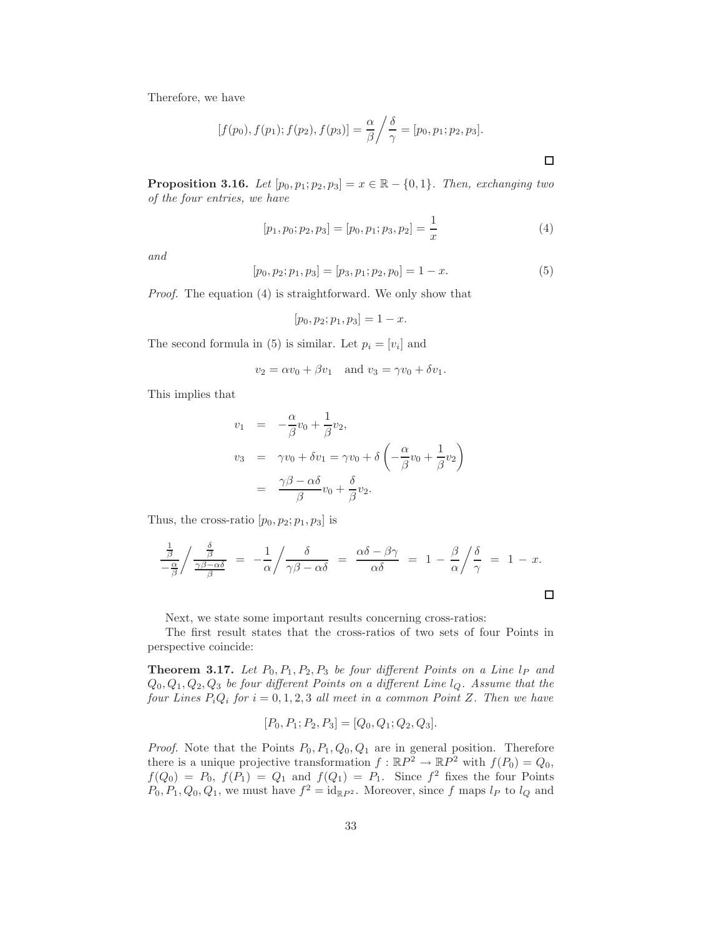Therefore, we have

$$
[f(p_0), f(p_1); f(p_2), f(p_3)] = \frac{\alpha}{\beta} / \frac{\delta}{\gamma} = [p_0, p_1; p_2, p_3].
$$

**Proposition 3.16.** *Let*  $[p_0, p_1; p_2, p_3] = x \in \mathbb{R} - \{0, 1\}$ *. Then, exchanging two of the four entries, we have*

$$
[p_1, p_0; p_2, p_3] = [p_0, p_1; p_3, p_2] = \frac{1}{x}
$$
 (4)

 $\Box$ 

*and*

$$
[p_0, p_2; p_1, p_3] = [p_3, p_1; p_2, p_0] = 1 - x.
$$
\n<sup>(5)</sup>

*Proof.* The equation (4) is straightforward. We only show that

$$
[p_0, p_2; p_1, p_3] = 1 - x.
$$

The second formula in (5) is similar. Let  $p_i = [v_i]$  and

$$
v_2 = \alpha v_0 + \beta v_1 \quad \text{and } v_3 = \gamma v_0 + \delta v_1.
$$

This implies that

$$
v_1 = -\frac{\alpha}{\beta}v_0 + \frac{1}{\beta}v_2,
$$
  
\n
$$
v_3 = \gamma v_0 + \delta v_1 = \gamma v_0 + \delta \left(-\frac{\alpha}{\beta}v_0 + \frac{1}{\beta}v_2\right)
$$
  
\n
$$
= \frac{\gamma\beta - \alpha\delta}{\beta}v_0 + \frac{\delta}{\beta}v_2.
$$

Thus, the cross-ratio  $[p_0, p_2; p_1, p_3]$  is

$$
\frac{\frac{1}{\beta}}{-\frac{\alpha}{\beta}}/\frac{\frac{\delta}{\beta}}{\frac{\gamma\beta-\alpha\delta}{\beta}} = -\frac{1}{\alpha}/\frac{\delta}{\gamma\beta-\alpha\delta} = \frac{\alpha\delta-\beta\gamma}{\alpha\delta} = 1 - \frac{\beta}{\alpha}/\frac{\delta}{\gamma} = 1 - x.
$$

Next, we state some important results concerning cross-ratios:

The first result states that the cross-ratios of two sets of four Points in perspective coincide:

**Theorem 3.17.** Let  $P_0$ ,  $P_1$ ,  $P_2$ ,  $P_3$  be four different Points on a Line  $l_P$  and Q0, Q1, Q2, Q<sup>3</sup> *be four different Points on a different Line* lQ*. Assume that the four Lines*  $P_iQ_i$  *for*  $i = 0, 1, 2, 3$  *all meet in a common Point Z. Then we have* 

$$
[P_0, P_1; P_2, P_3] = [Q_0, Q_1; Q_2, Q_3].
$$

*Proof.* Note that the Points  $P_0$ ,  $P_1$ ,  $Q_0$ ,  $Q_1$  are in general position. Therefore there is a unique projective transformation  $f : \mathbb{R}P^2 \to \mathbb{R}P^2$  with  $f(P_0) = Q_0$ ,  $f(Q_0) = P_0$ ,  $f(P_1) = Q_1$  and  $f(Q_1) = P_1$ . Since  $f^2$  fixes the four Points  $P_0, P_1, Q_0, Q_1$ , we must have  $f^2 = id_{\mathbb{R}P^2}$ . Moreover, since f maps  $l_P$  to  $l_Q$  and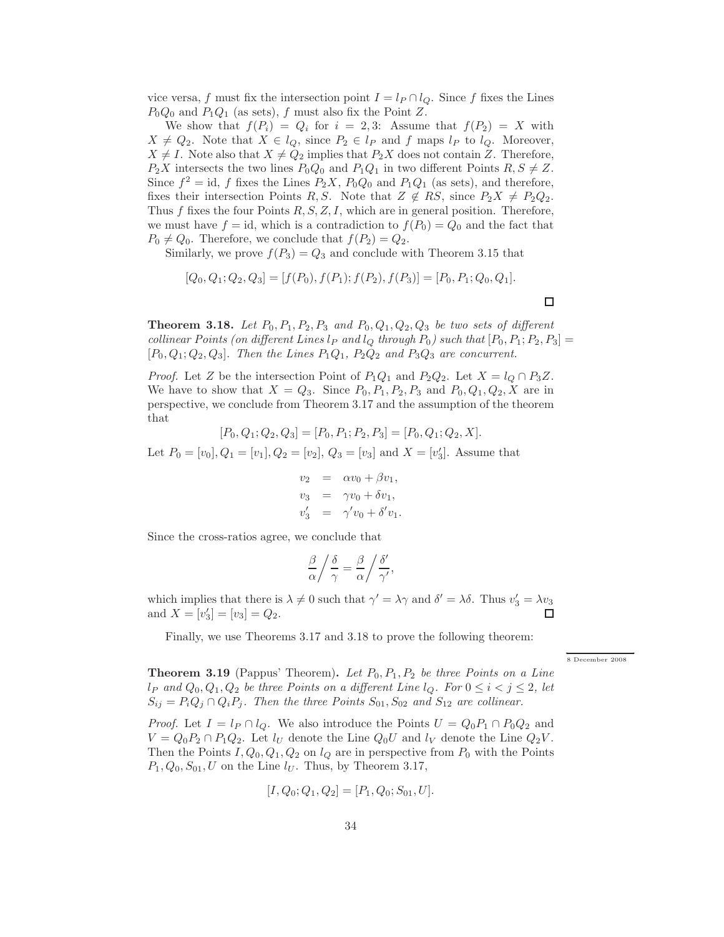vice versa, f must fix the intersection point  $I = l_P \cap l_Q$ . Since f fixes the Lines  $P_0Q_0$  and  $P_1Q_1$  (as sets), f must also fix the Point Z.

We show that  $f(P_i) = Q_i$  for  $i = 2,3$ : Assume that  $f(P_2) = X$  with  $X \neq Q_2$ . Note that  $X \in l_Q$ , since  $P_2 \in l_P$  and f maps  $l_P$  to  $l_Q$ . Moreover,  $X \neq I$ . Note also that  $X \neq Q_2$  implies that  $P_2X$  does not contain Z. Therefore,  $P_2X$  intersects the two lines  $P_0Q_0$  and  $P_1Q_1$  in two different Points  $R, S \neq Z$ . Since  $f^2 = id$ , f fixes the Lines  $P_2X$ ,  $P_0Q_0$  and  $P_1Q_1$  (as sets), and therefore, fixes their intersection Points R, S. Note that  $Z \notin RS$ , since  $P_2X \neq P_2Q_2$ . Thus f fixes the four Points  $R, S, Z, I$ , which are in general position. Therefore, we must have  $f = id$ , which is a contradiction to  $f(P_0) = Q_0$  and the fact that  $P_0 \neq Q_0$ . Therefore, we conclude that  $f(P_2) = Q_2$ .

Similarly, we prove  $f(P_3) = Q_3$  and conclude with Theorem 3.15 that

$$
[Q_0, Q_1; Q_2, Q_3] = [f(P_0), f(P_1); f(P_2), f(P_3)] = [P_0, P_1; Q_0, Q_1].
$$

**Theorem 3.18.** Let  $P_0, P_1, P_2, P_3$  and  $P_0, Q_1, Q_2, Q_3$  be two sets of different *collinear Points (on different Lines*  $l_P$  *and*  $l_Q$  *through*  $P_0$ *) such that*  $[P_0, P_1; P_2, P_3] =$  $[P_0, Q_1; Q_2, Q_3]$ *. Then the Lines*  $P_1Q_1$ *,*  $P_2Q_2$  *and*  $P_3Q_3$  *are concurrent.* 

*Proof.* Let Z be the intersection Point of  $P_1Q_1$  and  $P_2Q_2$ . Let  $X = l_Q \cap P_3Z$ . We have to show that  $X = Q_3$ . Since  $P_0, P_1, P_2, P_3$  and  $P_0, Q_1, Q_2, X$  are in perspective, we conclude from Theorem 3.17 and the assumption of the theorem that

$$
[P_0, Q_1; Q_2, Q_3] = [P_0, P_1; P_2, P_3] = [P_0, Q_1; Q_2, X].
$$

Let  $P_0 = [v_0], Q_1 = [v_1], Q_2 = [v_2], Q_3 = [v_3]$  and  $X = [v'_3]$ . Assume that

$$
v_2 = \alpha v_0 + \beta v_1,
$$
  
\n
$$
v_3 = \gamma v_0 + \delta v_1,
$$
  
\n
$$
v'_3 = \gamma' v_0 + \delta' v_1.
$$

Since the cross-ratios agree, we conclude that

$$
\frac{\beta}{\alpha} / \frac{\delta}{\gamma} = \frac{\beta}{\alpha} / \frac{\delta'}{\gamma'},
$$

which implies that there is  $\lambda \neq 0$  such that  $\gamma' = \lambda \gamma$  and  $\delta' = \lambda \delta$ . Thus  $v'_3 = \lambda v_3$ and  $X = [v'_3] = [v_3] = Q_2$ . П

Finally, we use Theorems 3.17 and 3.18 to prove the following theorem:

←<br>8 December 2008

 $\Box$ 

**Theorem 3.19** (Pappus' Theorem). Let  $P_0$ ,  $P_1$ ,  $P_2$  be three Points on a Line  $l_P$  and  $Q_0, Q_1, Q_2$  be three Points on a different Line  $l_Q$ . For  $0 \leq i < j \leq 2$ , let  $S_{ij} = P_i Q_j \cap Q_i P_j$ . Then the three Points  $S_{01}$ ,  $S_{02}$  and  $S_{12}$  are collinear.

*Proof.* Let  $I = l_P \cap l_Q$ . We also introduce the Points  $U = Q_0 P_1 \cap P_0 Q_2$  and  $V = Q_0 P_2 \cap P_1 Q_2$ . Let  $l_U$  denote the Line  $Q_0 U$  and  $l_V$  denote the Line  $Q_2 V$ . Then the Points  $I, Q_0, Q_1, Q_2$  on  $l_Q$  are in perspective from  $P_0$  with the Points  $P_1, Q_0, S_{01}, U$  on the Line  $l_U$ . Thus, by Theorem 3.17,

$$
[I, Q_0; Q_1, Q_2] = [P_1, Q_0; S_{01}, U].
$$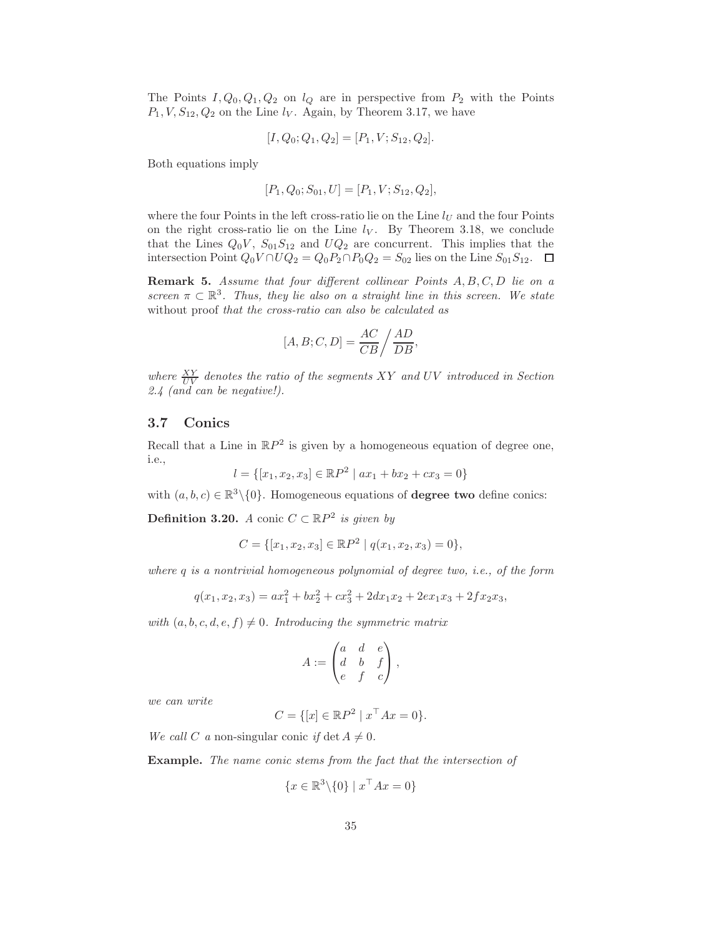The Points  $I, Q_0, Q_1, Q_2$  on  $l_Q$  are in perspective from  $P_2$  with the Points  $P_1, V, S_{12}, Q_2$  on the Line  $l_V$ . Again, by Theorem 3.17, we have

$$
[I, Q_0; Q_1, Q_2] = [P_1, V; S_{12}, Q_2].
$$

Both equations imply

$$
[P_1, Q_0; S_{01}, U] = [P_1, V; S_{12}, Q_2],
$$

where the four Points in the left cross-ratio lie on the Line  $l_U$  and the four Points on the right cross-ratio lie on the Line  $l_V$ . By Theorem 3.18, we conclude that the Lines  $Q_0V$ ,  $S_{01}S_{12}$  and  $UQ_2$  are concurrent. This implies that the intersection Point  $Q_0V \cap UQ_2 = Q_0P_2 \cap P_0Q_2 = S_{02}$  lies on the Line  $S_{01}S_{12}$ .  $\Box$ 

Remark 5. *Assume that four different collinear Points* A, B, C, D *lie on a screen*  $\pi \subset \mathbb{R}^3$ . Thus, they lie also on a straight line in this screen. We state without proof *that the cross-ratio can also be calculated as*

$$
[A, B; C, D] = \frac{AC}{CB} / \frac{AD}{DB},
$$

where  $\frac{XY}{UV}$  denotes the ratio of the segments XY and UV introduced in Section *2.4 (and can be negative!).*

#### 3.7 Conics

Recall that a Line in  $\mathbb{R}P^2$  is given by a homogeneous equation of degree one, i.e.,

$$
l = \{ [x_1, x_2, x_3] \in \mathbb{R}P^2 \mid ax_1 + bx_2 + cx_3 = 0 \}
$$

with  $(a, b, c) \in \mathbb{R}^3 \setminus \{0\}$ . Homogeneous equations of **degree two** define conics:

**Definition 3.20.** *A* conic  $C \subset \mathbb{R}P^2$  *is given by* 

$$
C = \{ [x_1, x_2, x_3] \in \mathbb{R}P^2 \mid q(x_1, x_2, x_3) = 0 \},\
$$

*where* q *is a nontrivial homogeneous polynomial of degree two, i.e., of the form*

$$
q(x_1, x_2, x_3) = ax_1^2 + bx_2^2 + cx_3^2 + 2dx_1x_2 + 2ex_1x_3 + 2fx_2x_3,
$$

*with*  $(a, b, c, d, e, f) \neq 0$ *. Introducing the symmetric matrix* 

$$
A:=\begin{pmatrix} a & d & e \\ d & b & f \\ e & f & c \end{pmatrix},
$$

*we can write*

$$
C = \{ [x] \in \mathbb{R}P^2 \mid x^\top Ax = 0 \}.
$$

*We call* C *a* non-singular conic *if* det  $A \neq 0$ .

Example. *The name conic stems from the fact that the intersection of*

$$
\{x \in \mathbb{R}^3 \backslash \{0\} \mid x^\top A x = 0\}
$$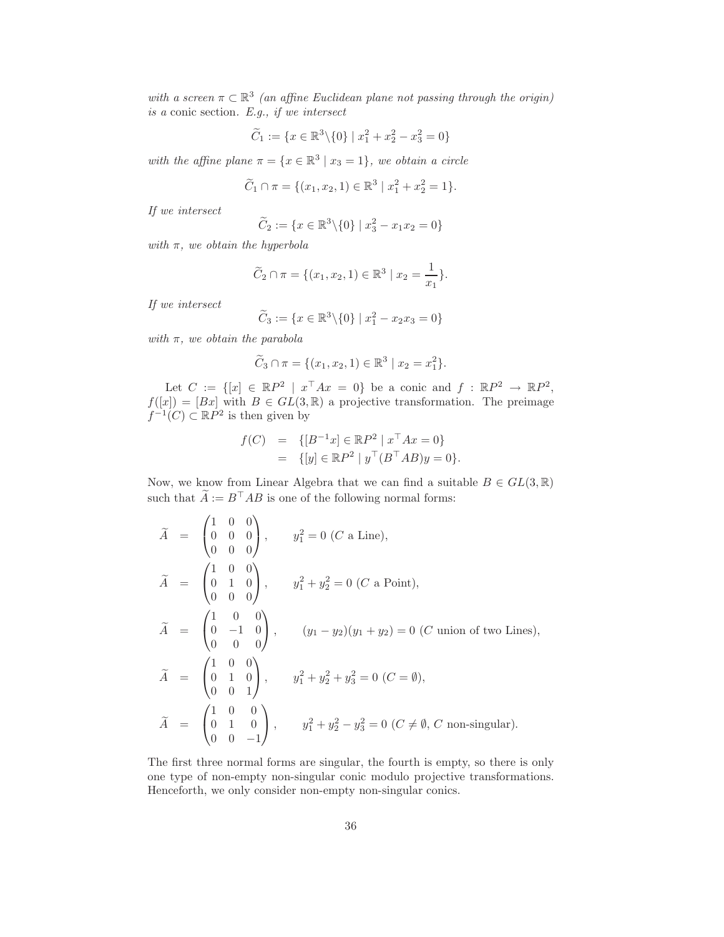with a screen  $\pi \subset \mathbb{R}^3$  (an affine Euclidean plane not passing through the origin) *is a* conic section*. E.g., if we intersect*

$$
\widetilde{C}_1 := \{ x \in \mathbb{R}^3 \backslash \{0\} \mid x_1^2 + x_2^2 - x_3^2 = 0 \}
$$

with the affine plane  $\pi = \{x \in \mathbb{R}^3 \mid x_3 = 1\}$ , we obtain a circle

$$
\widetilde{C}_1 \cap \pi = \{ (x_1, x_2, 1) \in \mathbb{R}^3 \mid x_1^2 + x_2^2 = 1 \}.
$$

*If we intersect*

$$
\widetilde{C}_2 := \{ x \in \mathbb{R}^3 \backslash \{0\} \mid x_3^2 - x_1 x_2 = 0 \}
$$

*with* π*, we obtain the hyperbola*

$$
\widetilde{C}_2 \cap \pi = \{ (x_1, x_2, 1) \in \mathbb{R}^3 \mid x_2 = \frac{1}{x_1} \}.
$$

*If we intersect*

$$
\widetilde{C}_3 := \{ x \in \mathbb{R}^3 \backslash \{0\} \mid x_1^2 - x_2 x_3 = 0 \}
$$

*with* π*, we obtain the parabola*

$$
\widetilde{C}_3 \cap \pi = \{ (x_1, x_2, 1) \in \mathbb{R}^3 \mid x_2 = x_1^2 \}.
$$

Let  $C := \{ [x] \in \mathbb{R}P^2 \mid x^\top Ax = 0 \}$  be a conic and  $f : \mathbb{R}P^2 \to \mathbb{R}P^2$ ,  $f([x]) = [Bx]$  with  $B \in GL(3, \mathbb{R})$  a projective transformation. The preimage  $f^{-1}(C) \subset \mathbb{R}P^2$  is then given by

$$
f(C) = \{ [B^{-1}x] \in \mathbb{R}P^2 \mid x^\top Ax = 0 \}
$$
  
= 
$$
\{ [y] \in \mathbb{R}P^2 \mid y^\top (B^\top AB)y = 0 \}.
$$

Now, we know from Linear Algebra that we can find a suitable  $B \in GL(3,\mathbb{R})$ such that  $\widetilde{A} := B^{\top}AB$  is one of the following normal forms:

$$
\tilde{A} = \begin{pmatrix} 1 & 0 & 0 \\ 0 & 0 & 0 \\ 0 & 0 & 0 \end{pmatrix}, \qquad y_1^2 = 0 \ (C \text{ a Line}),
$$
\n
$$
\tilde{A} = \begin{pmatrix} 1 & 0 & 0 \\ 0 & 1 & 0 \\ 0 & 0 & 0 \end{pmatrix}, \qquad y_1^2 + y_2^2 = 0 \ (C \text{ a Point}),
$$
\n
$$
\tilde{A} = \begin{pmatrix} 1 & 0 & 0 \\ 0 & -1 & 0 \\ 0 & 0 & 0 \end{pmatrix}, \qquad (y_1 - y_2)(y_1 + y_2) = 0 \ (C \text{ union of two Lines}),
$$
\n
$$
\tilde{A} = \begin{pmatrix} 1 & 0 & 0 \\ 0 & 1 & 0 \\ 0 & 0 & 1 \end{pmatrix}, \qquad y_1^2 + y_2^2 + y_3^2 = 0 \ (C = \emptyset),
$$
\n
$$
\tilde{A} = \begin{pmatrix} 1 & 0 & 0 \\ 0 & 1 & 0 \\ 0 & 0 & -1 \end{pmatrix}, \qquad y_1^2 + y_2^2 - y_3^2 = 0 \ (C \neq \emptyset, C \text{ non-singular}).
$$

The first three normal forms are singular, the fourth is empty, so there is only one type of non-empty non-singular conic modulo projective transformations. Henceforth, we only consider non-empty non-singular conics.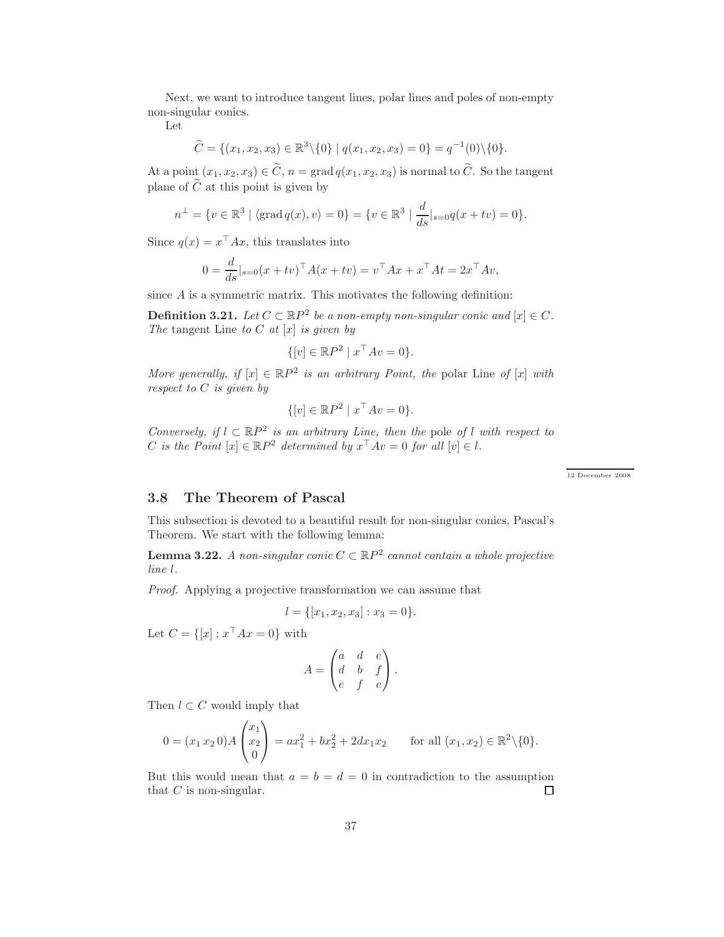Next, we want to introduce tangent lines, polar lines and poles of non-empty non-singular conics.

Let

$$
\widetilde{C} = \{(x_1, x_2, x_3) \in \mathbb{R}^3 \setminus \{0\} \mid q(x_1, x_2, x_3) = 0\} = q^{-1}(0) \setminus \{0\}.
$$

At a point  $(x_1, x_2, x_3) \in \widetilde{C}$ ,  $n = \text{grad } q(x_1, x_2, x_3)$  is normal to  $\widetilde{C}$ . So the tangent plane of  $\tilde{C}$  at this point is given by

$$
n^{\perp} = \{v \in \mathbb{R}^3 \mid \langle \text{grad } q(x), v \rangle = 0\} = \{v \in \mathbb{R}^3 \mid \frac{d}{ds}|_{s=0} q(x + tv) = 0\}.
$$

Since  $q(x) = x^{\top} A x$ , this translates into

$$
0 = \frac{d}{ds}|_{s=0}(x+tv)^{\top} A(x+tv) = v^{\top} Ax + x^{\top} At = 2x^{\top} Av,
$$

since  $A$  is a symmetric matrix. This motivates the following definition:

**Definition 3.21.** *Let*  $C \subset \mathbb{R}P^2$  *be a non-empty non-singular conic and*  $[x] \in C$ *. The* tangent Line *to* C *at* [x] *is given by*

$$
\{ [v] \in \mathbb{R}P^2 \mid x^\top Av = 0 \}.
$$

*More generally, if*  $[x] \in \mathbb{R}P^2$  *is an arbitrary Point, the polar Line of*  $[x]$  *with respect to* C *is given by*

$$
\{ [v] \in \mathbb{R}P^2 \mid x^\top Av = 0 \}.
$$

*Conversely, if*  $l \subset \mathbb{R}P^2$  *is an arbitrary Line, then the* pole *of* l *with respect to* C is the Point  $[x] \in \mathbb{R}P^2$  determined by  $x^{\top}Av = 0$  for all  $[v] \in l$ .

← → 12 December 2008

### 3.8 The Theorem of Pascal

This subsection is devoted to a beautiful result for non-singular conics, Pascal's Theorem. We start with the following lemma:

**Lemma 3.22.** *A non-singular conic*  $C \subset \mathbb{R}P^2$  cannot contain a whole projective *line* l*.*

*Proof.* Applying a projective transformation we can assume that

$$
l = \{ [x_1, x_2, x_3] : x_3 = 0 \}.
$$

Let  $C = \{ [x] : x^\top A x = 0 \}$  with

$$
A = \begin{pmatrix} a & d & e \\ d & b & f \\ e & f & c \end{pmatrix}.
$$

Then  $l \subset C$  would imply that

$$
0 = (x_1 \, x_2 \, 0) A \begin{pmatrix} x_1 \\ x_2 \\ 0 \end{pmatrix} = a x_1^2 + b x_2^2 + 2 dx_1 x_2 \quad \text{for all } (x_1, x_2) \in \mathbb{R}^2 \setminus \{0\}.
$$

But this would mean that  $a = b = d = 0$  in contradiction to the assumption that  $C$  is non-singular. □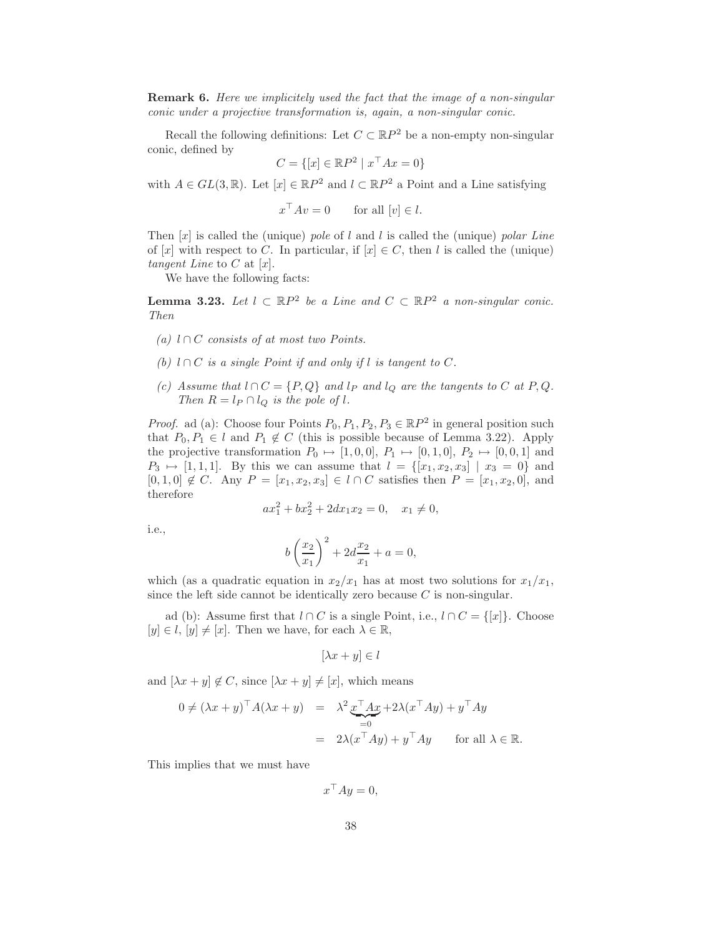Remark 6. *Here we implicitely used the fact that the image of a non-singular conic under a projective transformation is, again, a non-singular conic.*

Recall the following definitions: Let  $C \subset \mathbb{R}P^2$  be a non-empty non-singular conic, defined by

$$
C = \{ [x] \in \mathbb{R}P^2 \mid x^\top Ax = 0 \}
$$

with  $A \in GL(3, \mathbb{R})$ . Let  $[x] \in \mathbb{R}P^2$  and  $l \subset \mathbb{R}P^2$  a Point and a Line satisfying

$$
x^{\top}Av = 0
$$
 for all  $[v] \in l$ .

Then [x] is called the (unique) *pole* of l and l is called the (unique) *polar Line* of [x] with respect to C. In particular, if  $[x] \in C$ , then l is called the (unique) *tangent Line* to C at [x].

We have the following facts:

**Lemma 3.23.** Let  $l \subset \mathbb{R}P^2$  be a Line and  $C \subset \mathbb{R}P^2$  a non-singular conic. *Then*

- *(a)* l ∩ C *consists of at most two Points.*
- *(b)*  $l ∩ C$  *is a single Point if and only if*  $l$  *is tangent to*  $C$ *.*
- *(c)* Assume that  $l \cap C = \{P, Q\}$  *and*  $l_P$  *and*  $l_Q$  *are the tangents to* C *at*  $P, Q$ *. Then*  $R = l_P \cap l_Q$  *is the pole of l.*

*Proof.* ad (a): Choose four Points  $P_0, P_1, P_2, P_3 \in \mathbb{R}P^2$  in general position such that  $P_0, P_1 \in l$  and  $P_1 \notin C$  (this is possible because of Lemma 3.22). Apply the projective transformation  $P_0 \mapsto [1, 0, 0], P_1 \mapsto [0, 1, 0], P_2 \mapsto [0, 0, 1]$  and  $P_3 \mapsto [1, 1, 1].$  By this we can assume that  $l = \{[x_1, x_2, x_3] \mid x_3 = 0\}$  and  $[0, 1, 0] \notin C$ . Any  $P = [x_1, x_2, x_3] \in l \cap C$  satisfies then  $P = [x_1, x_2, 0]$ , and therefore

$$
ax_1^2 + bx_2^2 + 2dx_1x_2 = 0, \quad x_1 \neq 0,
$$

i.e.,

$$
b\left(\frac{x_2}{x_1}\right)^2 + 2d\frac{x_2}{x_1} + a = 0,
$$

which (as a quadratic equation in  $x_2/x_1$  has at most two solutions for  $x_1/x_1$ , since the left side cannot be identically zero because  $C$  is non-singular.

ad (b): Assume first that  $l \cap C$  is a single Point, i.e.,  $l \cap C = \{[x]\}\.$  Choose  $[y] \in l, [y] \neq [x]$ . Then we have, for each  $\lambda \in \mathbb{R}$ ,

$$
[\lambda x + y] \in l
$$

and  $[\lambda x + y] \notin C$ , since  $[\lambda x + y] \neq [x]$ , which means

$$
0 \neq (\lambda x + y)^{\top} A (\lambda x + y) = \lambda^2 \underbrace{x^{\top} A x}_{=0} + 2\lambda (x^{\top} A y) + y^{\top} A y
$$
  
=  $2\lambda (x^{\top} A y) + y^{\top} A y$  for all  $\lambda \in \mathbb{R}$ .

This implies that we must have

$$
x^\top A y = 0,
$$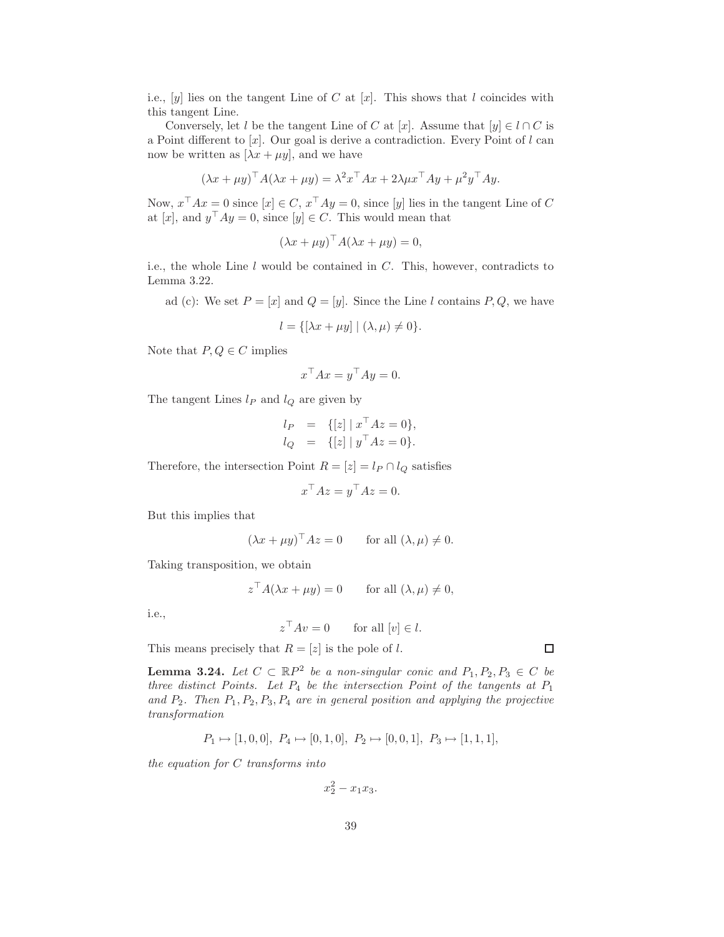i.e.,  $[y]$  lies on the tangent Line of C at  $[x]$ . This shows that l coincides with this tangent Line.

Conversely, let l be the tangent Line of C at [x]. Assume that  $[y] \in l \cap C$  is a Point different to  $[x]$ . Our goal is derive a contradiction. Every Point of l can now be written as  $[\lambda x + \mu y]$ , and we have

$$
(\lambda x + \mu y)^{\top} A (\lambda x + \mu y) = \lambda^2 x^{\top} A x + 2\lambda \mu x^{\top} A y + \mu^2 y^{\top} A y.
$$

Now,  $x^{\top}Ax = 0$  since  $[x] \in C$ ,  $x^{\top}Ay = 0$ , since  $[y]$  lies in the tangent Line of C at [x], and  $y^{\top}Ay = 0$ , since [y]  $\in C$ . This would mean that

$$
(\lambda x + \mu y)^{\top} A (\lambda x + \mu y) = 0,
$$

i.e., the whole Line  $l$  would be contained in  $C$ . This, however, contradicts to Lemma 3.22.

ad (c): We set  $P = [x]$  and  $Q = [y]$ . Since the Line l contains P, Q, we have

$$
l = \{ [\lambda x + \mu y] \mid (\lambda, \mu) \neq 0 \}.
$$

Note that  $P, Q \in C$  implies

$$
x^{\top} A x = y^{\top} A y = 0.
$$

The tangent Lines  $l_P$  and  $l_Q$  are given by

$$
l_P = \{ [z] | x^{\top} A z = 0 \},
$$
  
\n
$$
l_Q = \{ [z] | y^{\top} A z = 0 \}.
$$

Therefore, the intersection Point  $R = [z] = l_P \cap l_Q$  satisfies

$$
x^{\top} A z = y^{\top} A z = 0.
$$

But this implies that

$$
(\lambda x + \mu y)^{\top} A z = 0
$$
 for all  $(\lambda, \mu) \neq 0$ .

Taking transposition, we obtain

$$
z^{\top} A(\lambda x + \mu y) = 0
$$
 for all  $(\lambda, \mu) \neq 0$ ,

i.e.,

$$
z^{\top}Av = 0
$$
 for all  $[v] \in l$ .

This means precisely that  $R = [z]$  is the pole of l.

**Lemma 3.24.** Let  $C \subset \mathbb{R}P^2$  be a non-singular conic and  $P_1, P_2, P_3 \in C$  be *three distinct Points. Let*  $P_4$  *be the intersection Point of the tangents at*  $P_1$ and  $P_2$ . Then  $P_1, P_2, P_3, P_4$  are in general position and applying the projective *transformation*

$$
P_1 \mapsto [1,0,0], P_4 \mapsto [0,1,0], P_2 \mapsto [0,0,1], P_3 \mapsto [1,1,1],
$$

*the equation for* C *transforms into*

$$
x_2^2 - x_1 x_3.
$$

 $\Box$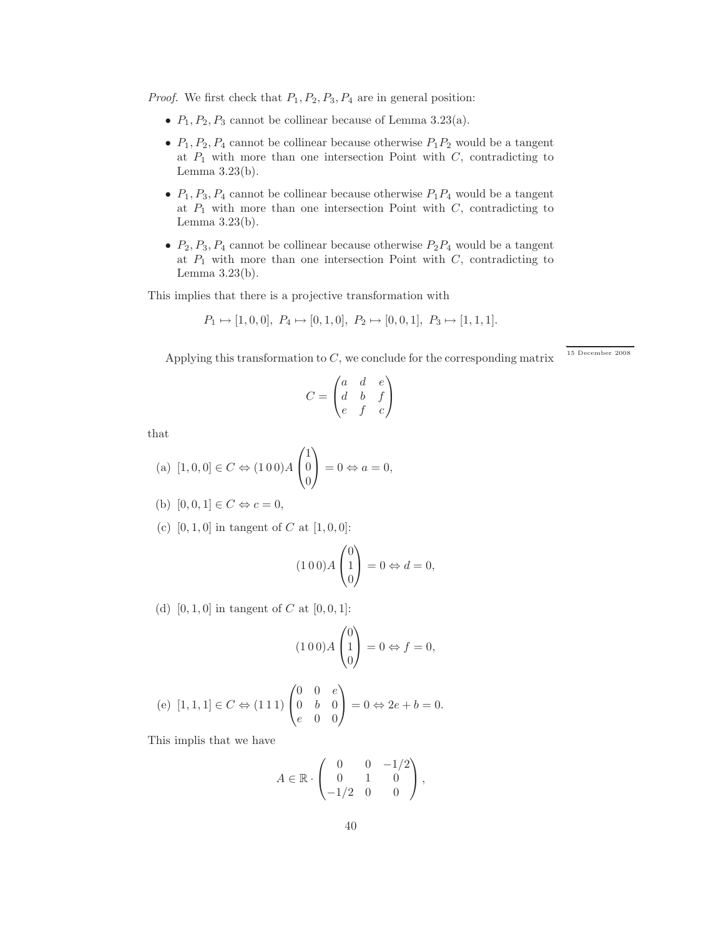*Proof.* We first check that  $P_1$ ,  $P_2$ ,  $P_3$ ,  $P_4$  are in general position:

- $P_1, P_2, P_3$  cannot be collinear because of Lemma 3.23(a).
- $P_1, P_2, P_4$  cannot be collinear because otherwise  $P_1P_2$  would be a tangent at  $P_1$  with more than one intersection Point with  $C$ , contradicting to Lemma 3.23(b).
- $P_1, P_3, P_4$  cannot be collinear because otherwise  $P_1P_4$  would be a tangent at  $P_1$  with more than one intersection Point with  $C$ , contradicting to Lemma 3.23(b).
- $P_2, P_3, P_4$  cannot be collinear because otherwise  $P_2P_4$  would be a tangent at  $P_1$  with more than one intersection Point with  $C$ , contradicting to Lemma 3.23(b).

This implies that there is a projective transformation with

$$
P_1 \mapsto [1,0,0], P_4 \mapsto [0,1,0], P_2 \mapsto [0,0,1], P_3 \mapsto [1,1,1].
$$

Applying this transformation to  $C$ , we conclude for the corresponding matrix

 $15\,$  December  $\,2008\,$ 

$$
C = \begin{pmatrix} a & d & e \\ d & b & f \\ e & f & c \end{pmatrix}
$$

that

(a) 
$$
[1,0,0] \in C \Leftrightarrow (100)A \begin{pmatrix} 1 \\ 0 \\ 0 \end{pmatrix} = 0 \Leftrightarrow a = 0,
$$

(b) 
$$
[0,0,1] \in C \Leftrightarrow c = 0
$$
,

(c)  $[0, 1, 0]$  in tangent of C at  $[1, 0, 0]$ :

$$
(1 0 0) A \begin{pmatrix} 0 \\ 1 \\ 0 \end{pmatrix} = 0 \Leftrightarrow d = 0,
$$

(d)  $[0, 1, 0]$  in tangent of C at  $[0, 0, 1]$ :

$$
(100)A\begin{pmatrix}0\\1\\0\end{pmatrix} = 0 \Leftrightarrow f = 0,
$$

(e) 
$$
[1,1,1] \in C \Leftrightarrow (111) \begin{pmatrix} 0 & 0 & e \\ 0 & b & 0 \\ e & 0 & 0 \end{pmatrix} = 0 \Leftrightarrow 2e + b = 0.
$$

This implis that we have

$$
A \in \mathbb{R} \cdot \begin{pmatrix} 0 & 0 & -1/2 \\ 0 & 1 & 0 \\ -1/2 & 0 & 0 \end{pmatrix},
$$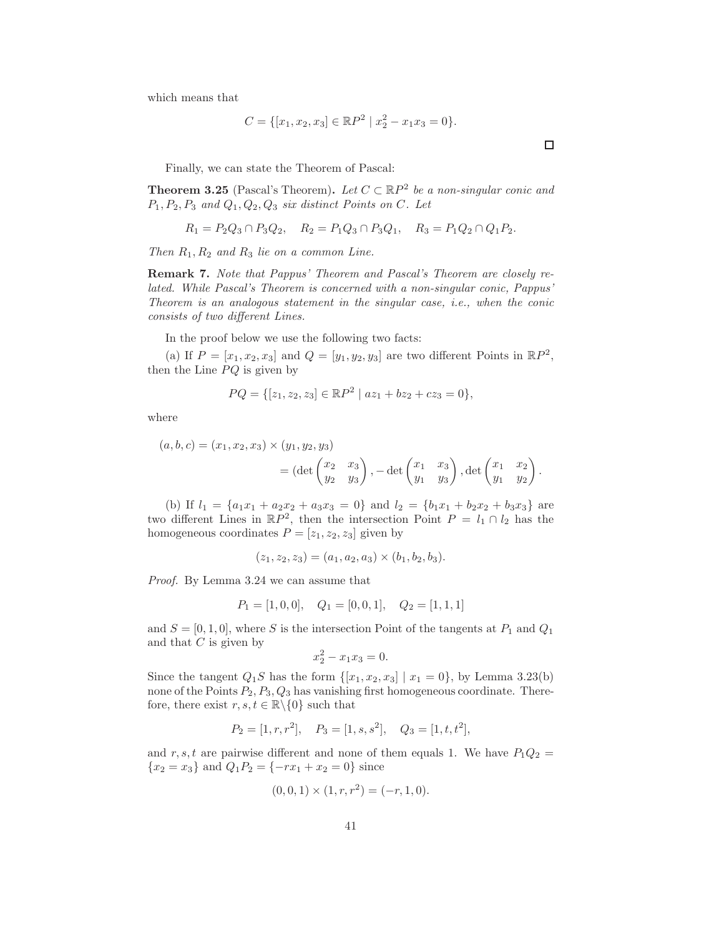which means that

$$
C = \{ [x_1, x_2, x_3] \in \mathbb{R}P^2 \mid x_2^2 - x_1x_3 = 0 \}.
$$

Finally, we can state the Theorem of Pascal:

**Theorem 3.25** (Pascal's Theorem). Let  $C \subset \mathbb{R}P^2$  be a non-singular conic and P1, P2, P<sup>3</sup> *and* Q1, Q2, Q<sup>3</sup> *six distinct Points on* C*. Let*

$$
R_1 = P_2 Q_3 \cap P_3 Q_2, \quad R_2 = P_1 Q_3 \cap P_3 Q_1, \quad R_3 = P_1 Q_2 \cap Q_1 P_2.
$$

*Then* R1, R<sup>2</sup> *and* R<sup>3</sup> *lie on a common Line.*

Remark 7. *Note that Pappus' Theorem and Pascal's Theorem are closely related. While Pascal's Theorem is concerned with a non-singular conic, Pappus' Theorem is an analogous statement in the singular case, i.e., when the conic consists of two different Lines.*

In the proof below we use the following two facts:

(a) If  $P = [x_1, x_2, x_3]$  and  $Q = [y_1, y_2, y_3]$  are two different Points in  $\mathbb{R}P^2$ , then the Line  $PQ$  is given by

$$
PQ = \{ [z_1, z_2, z_3] \in \mathbb{R}P^2 \mid az_1 + bz_2 + cz_3 = 0 \},\
$$

where

$$
(a, b, c) = (x_1, x_2, x_3) \times (y_1, y_2, y_3)
$$
  
=  $(\det \begin{pmatrix} x_2 & x_3 \\ y_2 & y_3 \end{pmatrix}, -\det \begin{pmatrix} x_1 & x_3 \\ y_1 & y_3 \end{pmatrix}, \det \begin{pmatrix} x_1 & x_2 \\ y_1 & y_2 \end{pmatrix}.$ 

(b) If  $l_1 = \{a_1x_1 + a_2x_2 + a_3x_3 = 0\}$  and  $l_2 = \{b_1x_1 + b_2x_2 + b_3x_3\}$  are two different Lines in  $\mathbb{R}P^2$ , then the intersection Point  $P = l_1 \cap l_2$  has the homogeneous coordinates  $P = [z_1, z_2, z_3]$  given by

$$
(z_1, z_2, z_3) = (a_1, a_2, a_3) \times (b_1, b_2, b_3).
$$

*Proof.* By Lemma 3.24 we can assume that

$$
P_1 = [1, 0, 0], \quad Q_1 = [0, 0, 1], \quad Q_2 = [1, 1, 1]
$$

and  $S = [0, 1, 0]$ , where S is the intersection Point of the tangents at  $P_1$  and  $Q_1$ and that  $C$  is given by

$$
x_2^2 - x_1 x_3 = 0.
$$

Since the tangent  $Q_1S$  has the form  $\{[x_1, x_2, x_3] \mid x_1 = 0\}$ , by Lemma 3.23(b) none of the Points  $P_2, P_3, Q_3$  has vanishing first homogeneous coordinate. Therefore, there exist  $r, s, t \in \mathbb{R} \backslash \{0\}$  such that

$$
P_2 = [1, r, r^2], \quad P_3 = [1, s, s^2], \quad Q_3 = [1, t, t^2],
$$

and r, s, t are pairwise different and none of them equals 1. We have  $P_1Q_2 =$  ${x_2 = x_3}$  and  $Q_1P_2 = \{-rx_1 + x_2 = 0\}$  since

$$
(0,0,1) \times (1,r,r^2) = (-r,1,0).
$$

 $\Box$